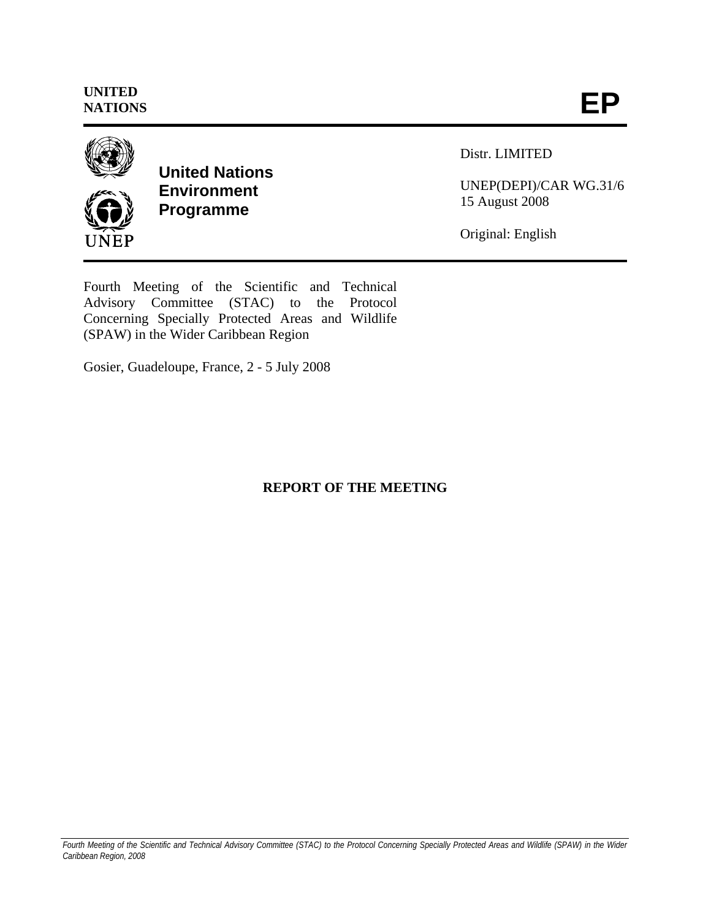

**United Nations Environment Programme** 

Distr. LIMITED

UNEP(DEPI)/CAR WG.31/6 15 August 2008

Original: English

Fourth Meeting of the Scientific and Technical Advisory Committee (STAC) to the Protocol Concerning Specially Protected Areas and Wildlife (SPAW) in the Wider Caribbean Region

Gosier, Guadeloupe, France, 2 - 5 July 2008

# **REPORT OF THE MEETING**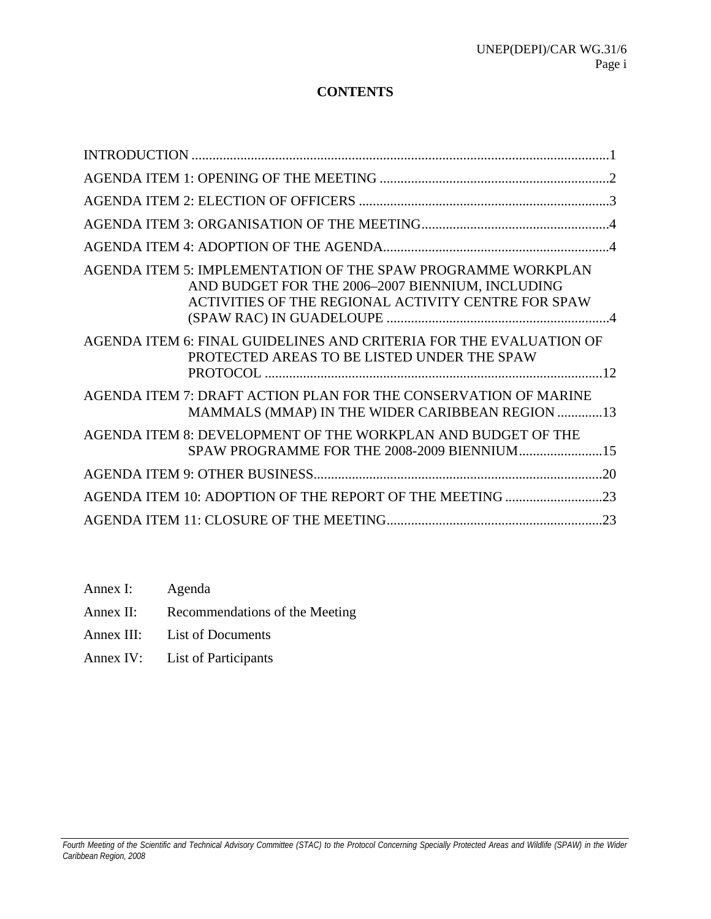## **CONTENTS**

| AGENDA ITEM 5: IMPLEMENTATION OF THE SPAW PROGRAMME WORKPLAN<br>AND BUDGET FOR THE 2006-2007 BIENNIUM, INCLUDING<br>ACTIVITIES OF THE REGIONAL ACTIVITY CENTRE FOR SPAW |  |
|-------------------------------------------------------------------------------------------------------------------------------------------------------------------------|--|
| AGENDA ITEM 6: FINAL GUIDELINES AND CRITERIA FOR THE EVALUATION OF<br>PROTECTED AREAS TO BE LISTED UNDER THE SPAW                                                       |  |
| AGENDA ITEM 7: DRAFT ACTION PLAN FOR THE CONSERVATION OF MARINE<br>MAMMALS (MMAP) IN THE WIDER CARIBBEAN REGION 13                                                      |  |
| AGENDA ITEM 8: DEVELOPMENT OF THE WORKPLAN AND BUDGET OF THE<br>SPAW PROGRAMME FOR THE 2008-2009 BIENNIUM15                                                             |  |
|                                                                                                                                                                         |  |
|                                                                                                                                                                         |  |
|                                                                                                                                                                         |  |

- Annex I: Agenda
- Annex II: Recommendations of the Meeting
- Annex III: List of Documents
- Annex IV: List of Participants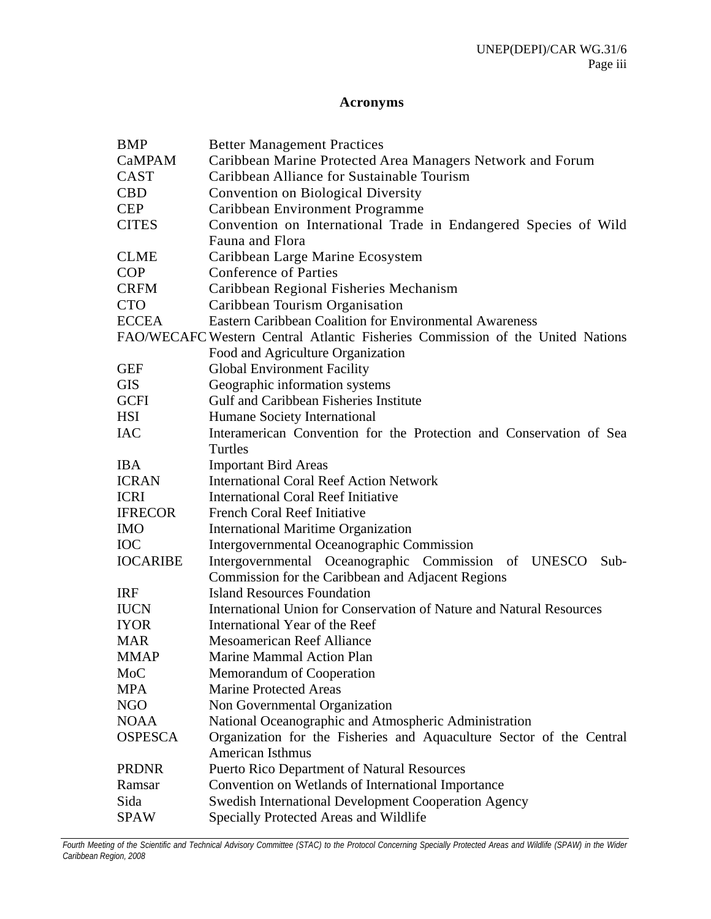## **Acronyms**

| <b>BMP</b>      | <b>Better Management Practices</b>                                             |  |  |
|-----------------|--------------------------------------------------------------------------------|--|--|
| <b>CaMPAM</b>   | Caribbean Marine Protected Area Managers Network and Forum                     |  |  |
| CAST            | Caribbean Alliance for Sustainable Tourism                                     |  |  |
| <b>CBD</b>      | <b>Convention on Biological Diversity</b>                                      |  |  |
| <b>CEP</b>      | Caribbean Environment Programme                                                |  |  |
| <b>CITES</b>    | Convention on International Trade in Endangered Species of Wild                |  |  |
|                 | Fauna and Flora                                                                |  |  |
| <b>CLME</b>     | Caribbean Large Marine Ecosystem                                               |  |  |
| <b>COP</b>      | <b>Conference of Parties</b>                                                   |  |  |
| <b>CRFM</b>     | Caribbean Regional Fisheries Mechanism                                         |  |  |
| <b>CTO</b>      | Caribbean Tourism Organisation                                                 |  |  |
| <b>ECCEA</b>    | <b>Eastern Caribbean Coalition for Environmental Awareness</b>                 |  |  |
|                 | FAO/WECAFC Western Central Atlantic Fisheries Commission of the United Nations |  |  |
|                 | Food and Agriculture Organization                                              |  |  |
| <b>GEF</b>      | <b>Global Environment Facility</b>                                             |  |  |
| <b>GIS</b>      | Geographic information systems                                                 |  |  |
| <b>GCFI</b>     | Gulf and Caribbean Fisheries Institute                                         |  |  |
| <b>HSI</b>      | Humane Society International                                                   |  |  |
| <b>IAC</b>      | Interamerican Convention for the Protection and Conservation of Sea            |  |  |
|                 | Turtles                                                                        |  |  |
| <b>IBA</b>      | <b>Important Bird Areas</b>                                                    |  |  |
| <b>ICRAN</b>    | <b>International Coral Reef Action Network</b>                                 |  |  |
| <b>ICRI</b>     | <b>International Coral Reef Initiative</b>                                     |  |  |
| <b>IFRECOR</b>  | <b>French Coral Reef Initiative</b>                                            |  |  |
| <b>IMO</b>      | <b>International Maritime Organization</b>                                     |  |  |
| <b>IOC</b>      | <b>Intergovernmental Oceanographic Commission</b>                              |  |  |
| <b>IOCARIBE</b> | Intergovernmental Oceanographic Commission<br>of UNESCO<br>$Sub-$              |  |  |
|                 | Commission for the Caribbean and Adjacent Regions                              |  |  |
| <b>IRF</b>      | <b>Island Resources Foundation</b>                                             |  |  |
| <b>IUCN</b>     | International Union for Conservation of Nature and Natural Resources           |  |  |
| <b>IYOR</b>     | International Year of the Reef                                                 |  |  |
| <b>MAR</b>      | <b>Mesoamerican Reef Alliance</b>                                              |  |  |
| <b>MMAP</b>     | Marine Mammal Action Plan                                                      |  |  |
| MoC             | Memorandum of Cooperation                                                      |  |  |
| <b>MPA</b>      | <b>Marine Protected Areas</b>                                                  |  |  |
| <b>NGO</b>      | Non Governmental Organization                                                  |  |  |
| <b>NOAA</b>     | National Oceanographic and Atmospheric Administration                          |  |  |
| <b>OSPESCA</b>  | Organization for the Fisheries and Aquaculture Sector of the Central           |  |  |
|                 | American Isthmus                                                               |  |  |
| <b>PRDNR</b>    | Puerto Rico Department of Natural Resources                                    |  |  |
| Ramsar          | Convention on Wetlands of International Importance                             |  |  |
| Sida            | Swedish International Development Cooperation Agency                           |  |  |
| <b>SPAW</b>     | Specially Protected Areas and Wildlife                                         |  |  |

*Fourth Meeting of the Scientific and Technical Advisory Committee (STAC) to the Protocol Concerning Specially Protected Areas and Wildlife (SPAW) in the Wider Caribbean Region, 2008*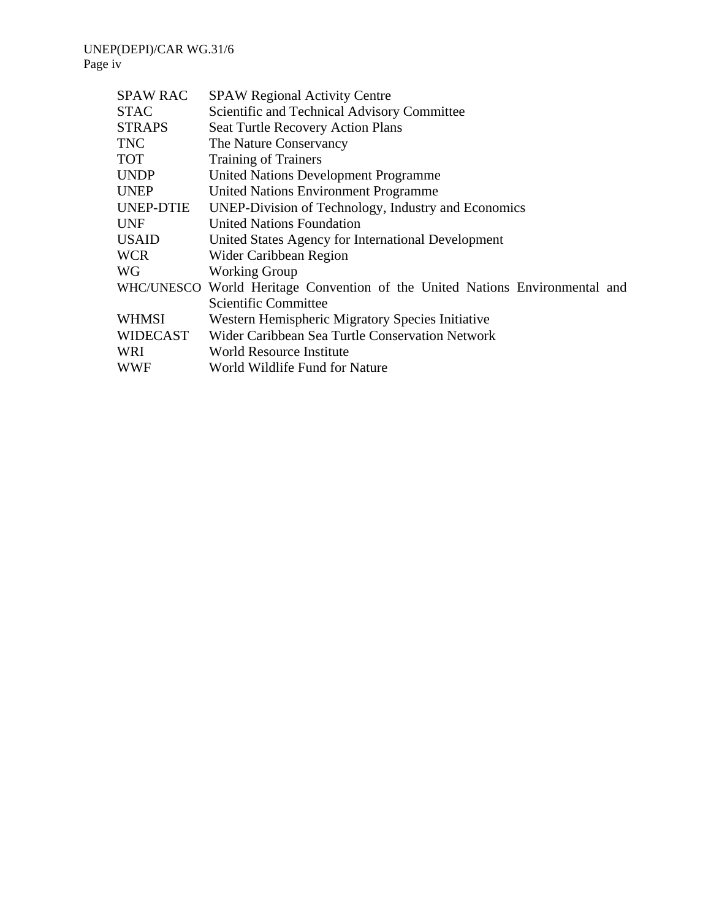#### UNEP(DEPI)/CAR WG.31/6 Page iv

| <b>SPAW Regional Activity Centre</b>                                         |
|------------------------------------------------------------------------------|
| Scientific and Technical Advisory Committee                                  |
| <b>Seat Turtle Recovery Action Plans</b>                                     |
| The Nature Conservancy                                                       |
| <b>Training of Trainers</b>                                                  |
| <b>United Nations Development Programme</b>                                  |
| United Nations Environment Programme                                         |
| UNEP-Division of Technology, Industry and Economics                          |
| <b>United Nations Foundation</b>                                             |
| United States Agency for International Development                           |
| Wider Caribbean Region                                                       |
| <b>Working Group</b>                                                         |
| WHC/UNESCO World Heritage Convention of the United Nations Environmental and |
| Scientific Committee                                                         |
| Western Hemispheric Migratory Species Initiative                             |
| Wider Caribbean Sea Turtle Conservation Network                              |
| World Resource Institute                                                     |
| World Wildlife Fund for Nature                                               |
|                                                                              |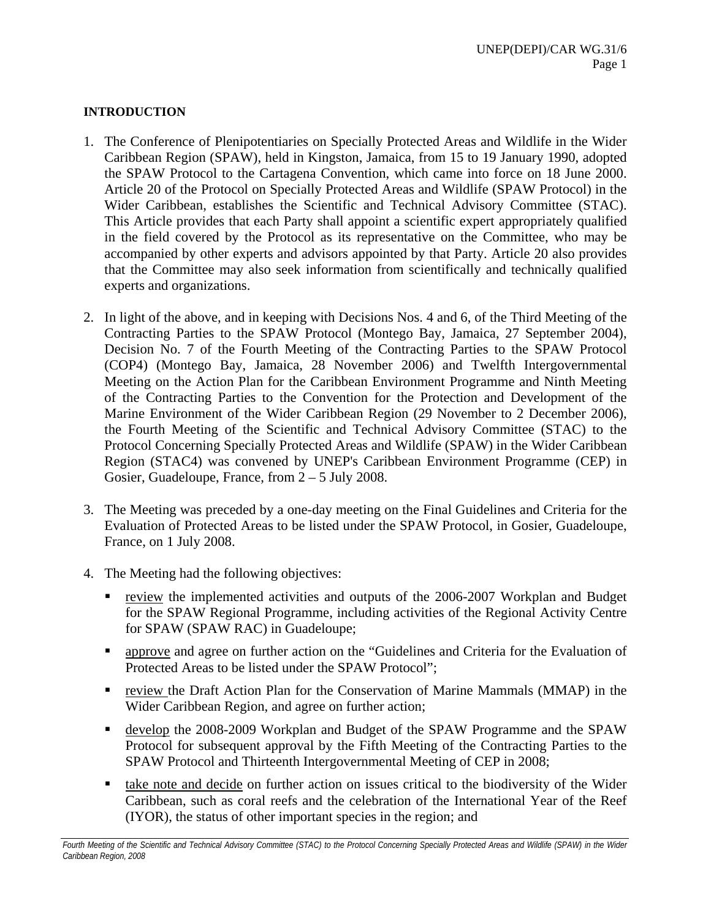## **INTRODUCTION**

- 1. The Conference of Plenipotentiaries on Specially Protected Areas and Wildlife in the Wider Caribbean Region (SPAW), held in Kingston, Jamaica, from 15 to 19 January 1990, adopted the SPAW Protocol to the Cartagena Convention, which came into force on 18 June 2000. Article 20 of the Protocol on Specially Protected Areas and Wildlife (SPAW Protocol) in the Wider Caribbean, establishes the Scientific and Technical Advisory Committee (STAC). This Article provides that each Party shall appoint a scientific expert appropriately qualified in the field covered by the Protocol as its representative on the Committee, who may be accompanied by other experts and advisors appointed by that Party. Article 20 also provides that the Committee may also seek information from scientifically and technically qualified experts and organizations.
- 2. In light of the above, and in keeping with Decisions Nos. 4 and 6, of the Third Meeting of the Contracting Parties to the SPAW Protocol (Montego Bay, Jamaica, 27 September 2004), Decision No. 7 of the Fourth Meeting of the Contracting Parties to the SPAW Protocol (COP4) (Montego Bay, Jamaica, 28 November 2006) and Twelfth Intergovernmental Meeting on the Action Plan for the Caribbean Environment Programme and Ninth Meeting of the Contracting Parties to the Convention for the Protection and Development of the Marine Environment of the Wider Caribbean Region (29 November to 2 December 2006), the Fourth Meeting of the Scientific and Technical Advisory Committee (STAC) to the Protocol Concerning Specially Protected Areas and Wildlife (SPAW) in the Wider Caribbean Region (STAC4) was convened by UNEP's Caribbean Environment Programme (CEP) in Gosier, Guadeloupe, France, from 2 – 5 July 2008.
- 3. The Meeting was preceded by a one-day meeting on the Final Guidelines and Criteria for the Evaluation of Protected Areas to be listed under the SPAW Protocol, in Gosier, Guadeloupe, France, on 1 July 2008.
- 4. The Meeting had the following objectives:
	- review the implemented activities and outputs of the 2006-2007 Workplan and Budget for the SPAW Regional Programme, including activities of the Regional Activity Centre for SPAW (SPAW RAC) in Guadeloupe;
	- approve and agree on further action on the "Guidelines and Criteria for the Evaluation of Protected Areas to be listed under the SPAW Protocol";
	- review the Draft Action Plan for the Conservation of Marine Mammals (MMAP) in the Wider Caribbean Region, and agree on further action;
	- develop the 2008-2009 Workplan and Budget of the SPAW Programme and the SPAW Protocol for subsequent approval by the Fifth Meeting of the Contracting Parties to the SPAW Protocol and Thirteenth Intergovernmental Meeting of CEP in 2008;
	- take note and decide on further action on issues critical to the biodiversity of the Wider Caribbean, such as coral reefs and the celebration of the International Year of the Reef (IYOR), the status of other important species in the region; and

Fourth Meeting of the Scientific and Technical Advisory Committee (STAC) to the Protocol Concerning Specially Protected Areas and Wildlife (SPAW) in the Wider *Caribbean Region, 2008*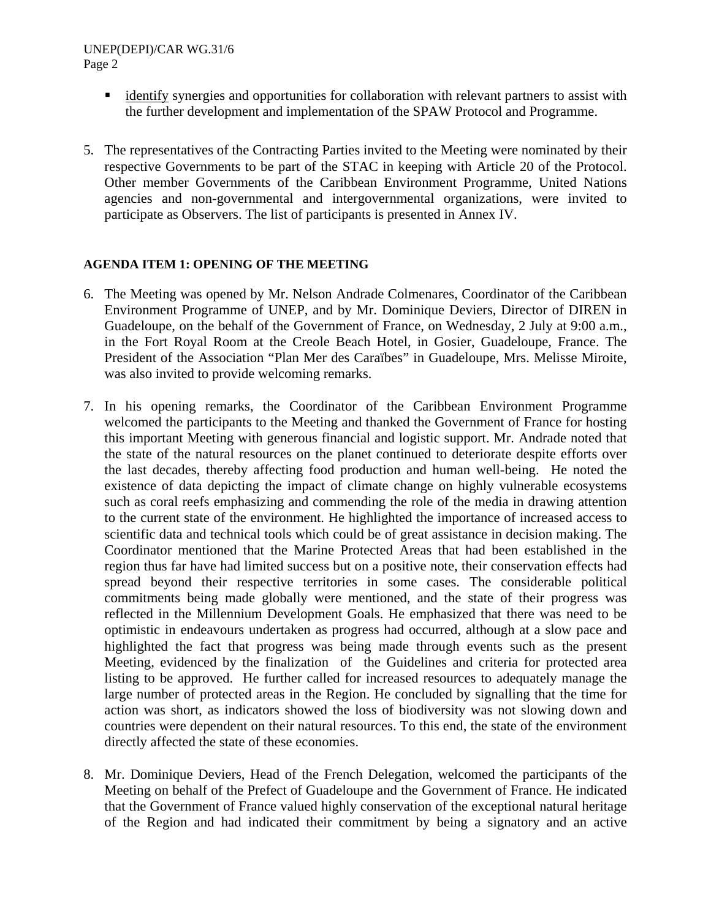#### UNEP(DEPI)/CAR WG.31/6 Page 2

- **identify** synergies and opportunities for collaboration with relevant partners to assist with the further development and implementation of the SPAW Protocol and Programme.
- 5. The representatives of the Contracting Parties invited to the Meeting were nominated by their respective Governments to be part of the STAC in keeping with Article 20 of the Protocol. Other member Governments of the Caribbean Environment Programme, United Nations agencies and non-governmental and intergovernmental organizations, were invited to participate as Observers. The list of participants is presented in Annex IV.

### **AGENDA ITEM 1: OPENING OF THE MEETING**

- 6. The Meeting was opened by Mr. Nelson Andrade Colmenares, Coordinator of the Caribbean Environment Programme of UNEP, and by Mr. Dominique Deviers, Director of DIREN in Guadeloupe, on the behalf of the Government of France, on Wednesday, 2 July at 9:00 a.m., in the Fort Royal Room at the Creole Beach Hotel, in Gosier, Guadeloupe, France. The President of the Association "Plan Mer des Caraïbes" in Guadeloupe, Mrs. Melisse Miroite, was also invited to provide welcoming remarks.
- 7. In his opening remarks, the Coordinator of the Caribbean Environment Programme welcomed the participants to the Meeting and thanked the Government of France for hosting this important Meeting with generous financial and logistic support. Mr. Andrade noted that the state of the natural resources on the planet continued to deteriorate despite efforts over the last decades, thereby affecting food production and human well-being. He noted the existence of data depicting the impact of climate change on highly vulnerable ecosystems such as coral reefs emphasizing and commending the role of the media in drawing attention to the current state of the environment. He highlighted the importance of increased access to scientific data and technical tools which could be of great assistance in decision making. The Coordinator mentioned that the Marine Protected Areas that had been established in the region thus far have had limited success but on a positive note, their conservation effects had spread beyond their respective territories in some cases. The considerable political commitments being made globally were mentioned, and the state of their progress was reflected in the Millennium Development Goals. He emphasized that there was need to be optimistic in endeavours undertaken as progress had occurred, although at a slow pace and highlighted the fact that progress was being made through events such as the present Meeting, evidenced by the finalization of the Guidelines and criteria for protected area listing to be approved. He further called for increased resources to adequately manage the large number of protected areas in the Region. He concluded by signalling that the time for action was short, as indicators showed the loss of biodiversity was not slowing down and countries were dependent on their natural resources. To this end, the state of the environment directly affected the state of these economies.
- 8. Mr. Dominique Deviers, Head of the French Delegation, welcomed the participants of the Meeting on behalf of the Prefect of Guadeloupe and the Government of France. He indicated that the Government of France valued highly conservation of the exceptional natural heritage of the Region and had indicated their commitment by being a signatory and an active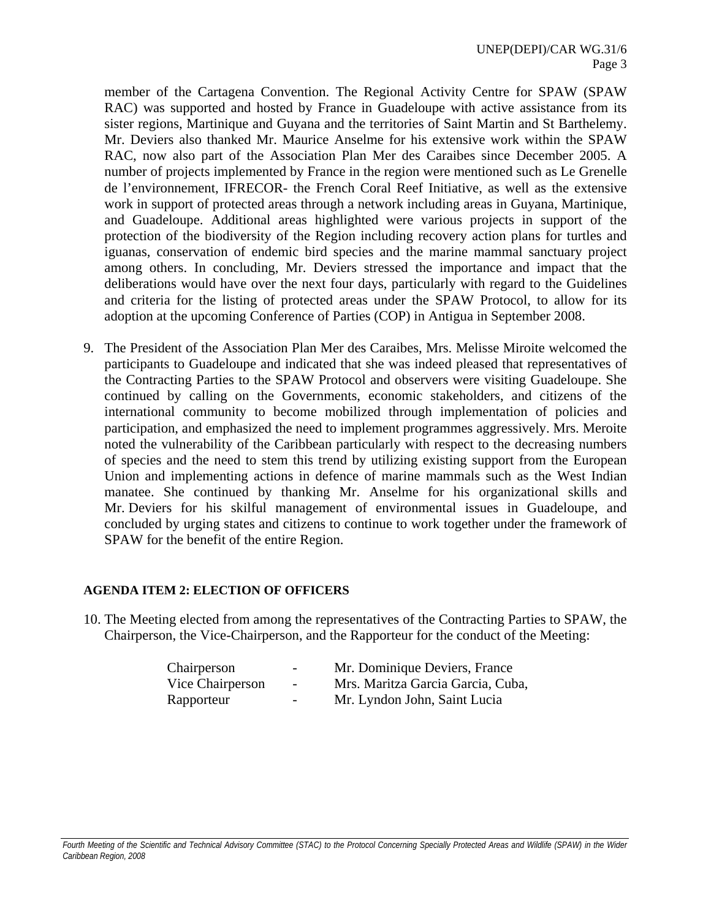member of the Cartagena Convention. The Regional Activity Centre for SPAW (SPAW RAC) was supported and hosted by France in Guadeloupe with active assistance from its sister regions, Martinique and Guyana and the territories of Saint Martin and St Barthelemy. Mr. Deviers also thanked Mr. Maurice Anselme for his extensive work within the SPAW RAC, now also part of the Association Plan Mer des Caraibes since December 2005. A number of projects implemented by France in the region were mentioned such as Le Grenelle de l'environnement, IFRECOR- the French Coral Reef Initiative, as well as the extensive work in support of protected areas through a network including areas in Guyana, Martinique, and Guadeloupe. Additional areas highlighted were various projects in support of the protection of the biodiversity of the Region including recovery action plans for turtles and iguanas, conservation of endemic bird species and the marine mammal sanctuary project among others. In concluding, Mr. Deviers stressed the importance and impact that the deliberations would have over the next four days, particularly with regard to the Guidelines and criteria for the listing of protected areas under the SPAW Protocol, to allow for its adoption at the upcoming Conference of Parties (COP) in Antigua in September 2008.

9. The President of the Association Plan Mer des Caraibes, Mrs. Melisse Miroite welcomed the participants to Guadeloupe and indicated that she was indeed pleased that representatives of the Contracting Parties to the SPAW Protocol and observers were visiting Guadeloupe. She continued by calling on the Governments, economic stakeholders, and citizens of the international community to become mobilized through implementation of policies and participation, and emphasized the need to implement programmes aggressively. Mrs. Meroite noted the vulnerability of the Caribbean particularly with respect to the decreasing numbers of species and the need to stem this trend by utilizing existing support from the European Union and implementing actions in defence of marine mammals such as the West Indian manatee. She continued by thanking Mr. Anselme for his organizational skills and Mr. Deviers for his skilful management of environmental issues in Guadeloupe, and concluded by urging states and citizens to continue to work together under the framework of SPAW for the benefit of the entire Region.

### **AGENDA ITEM 2: ELECTION OF OFFICERS**

10. The Meeting elected from among the representatives of the Contracting Parties to SPAW, the Chairperson, the Vice-Chairperson, and the Rapporteur for the conduct of the Meeting:

| Chairperson      | $\sim$                   | Mr. Dominique Deviers, France     |
|------------------|--------------------------|-----------------------------------|
| Vice Chairperson | $\sim$ 100 $\mu$         | Mrs. Maritza Garcia Garcia, Cuba, |
| Rapporteur       | $\overline{\phantom{a}}$ | Mr. Lyndon John, Saint Lucia      |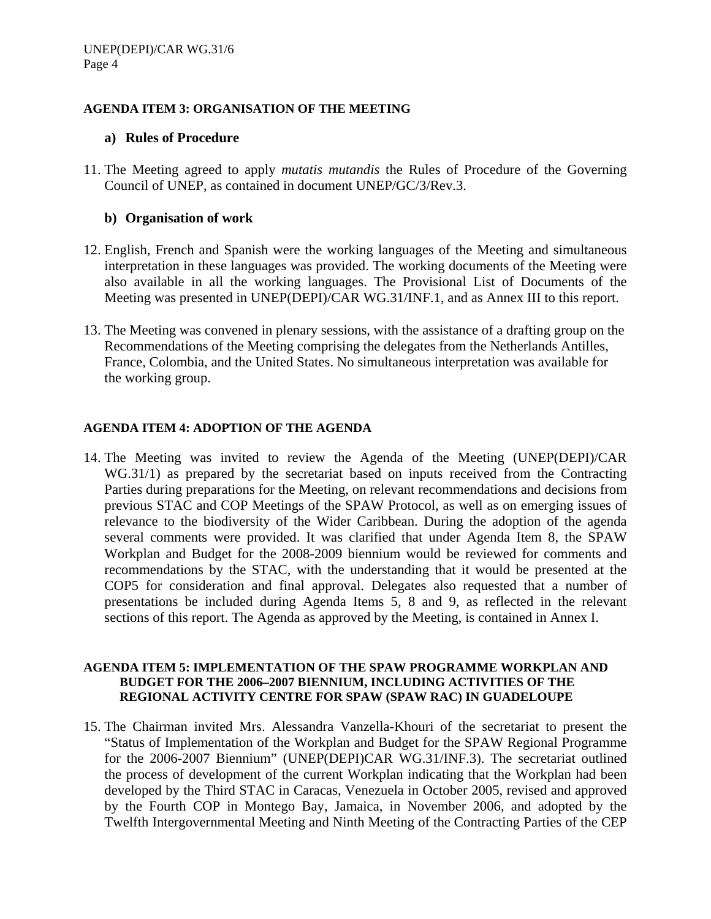### **AGENDA ITEM 3: ORGANISATION OF THE MEETING**

### **a) Rules of Procedure**

11. The Meeting agreed to apply *mutatis mutandis* the Rules of Procedure of the Governing Council of UNEP, as contained in document UNEP/GC/3/Rev.3.

### **b) Organisation of work**

- 12. English, French and Spanish were the working languages of the Meeting and simultaneous interpretation in these languages was provided. The working documents of the Meeting were also available in all the working languages. The Provisional List of Documents of the Meeting was presented in UNEP(DEPI)/CAR WG.31/INF.1, and as Annex III to this report.
- 13. The Meeting was convened in plenary sessions, with the assistance of a drafting group on the Recommendations of the Meeting comprising the delegates from the Netherlands Antilles, France, Colombia, and the United States. No simultaneous interpretation was available for the working group.

### **AGENDA ITEM 4: ADOPTION OF THE AGENDA**

14. The Meeting was invited to review the Agenda of the Meeting (UNEP(DEPI)/CAR WG.31/1) as prepared by the secretariat based on inputs received from the Contracting Parties during preparations for the Meeting, on relevant recommendations and decisions from previous STAC and COP Meetings of the SPAW Protocol, as well as on emerging issues of relevance to the biodiversity of the Wider Caribbean. During the adoption of the agenda several comments were provided. It was clarified that under Agenda Item 8, the SPAW Workplan and Budget for the 2008-2009 biennium would be reviewed for comments and recommendations by the STAC, with the understanding that it would be presented at the COP5 for consideration and final approval. Delegates also requested that a number of presentations be included during Agenda Items 5, 8 and 9, as reflected in the relevant sections of this report. The Agenda as approved by the Meeting, is contained in Annex I.

#### **AGENDA ITEM 5: IMPLEMENTATION OF THE SPAW PROGRAMME WORKPLAN AND BUDGET FOR THE 2006–2007 BIENNIUM, INCLUDING ACTIVITIES OF THE REGIONAL ACTIVITY CENTRE FOR SPAW (SPAW RAC) IN GUADELOUPE**

15. The Chairman invited Mrs. Alessandra Vanzella-Khouri of the secretariat to present the "Status of Implementation of the Workplan and Budget for the SPAW Regional Programme for the 2006-2007 Biennium" (UNEP(DEPI)CAR WG.31/INF.3). The secretariat outlined the process of development of the current Workplan indicating that the Workplan had been developed by the Third STAC in Caracas, Venezuela in October 2005, revised and approved by the Fourth COP in Montego Bay, Jamaica, in November 2006, and adopted by the Twelfth Intergovernmental Meeting and Ninth Meeting of the Contracting Parties of the CEP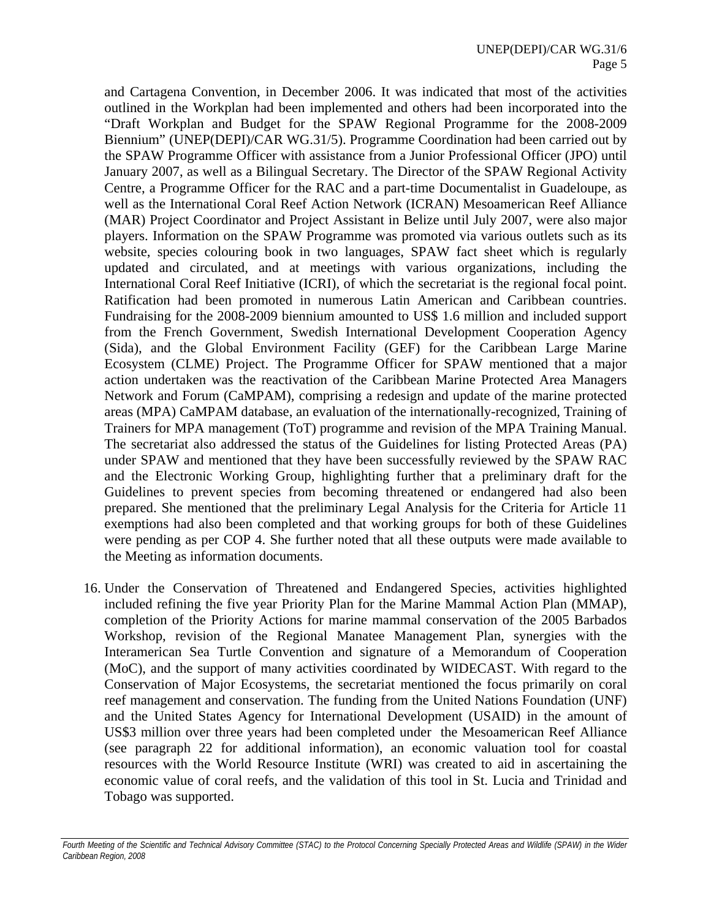and Cartagena Convention, in December 2006. It was indicated that most of the activities outlined in the Workplan had been implemented and others had been incorporated into the "Draft Workplan and Budget for the SPAW Regional Programme for the 2008-2009 Biennium" (UNEP(DEPI)/CAR WG.31/5). Programme Coordination had been carried out by the SPAW Programme Officer with assistance from a Junior Professional Officer (JPO) until January 2007, as well as a Bilingual Secretary. The Director of the SPAW Regional Activity Centre, a Programme Officer for the RAC and a part-time Documentalist in Guadeloupe, as well as the International Coral Reef Action Network (ICRAN) Mesoamerican Reef Alliance (MAR) Project Coordinator and Project Assistant in Belize until July 2007, were also major players. Information on the SPAW Programme was promoted via various outlets such as its website, species colouring book in two languages, SPAW fact sheet which is regularly updated and circulated, and at meetings with various organizations, including the International Coral Reef Initiative (ICRI), of which the secretariat is the regional focal point. Ratification had been promoted in numerous Latin American and Caribbean countries. Fundraising for the 2008-2009 biennium amounted to US\$ 1.6 million and included support from the French Government, Swedish International Development Cooperation Agency (Sida), and the Global Environment Facility (GEF) for the Caribbean Large Marine Ecosystem (CLME) Project. The Programme Officer for SPAW mentioned that a major action undertaken was the reactivation of the Caribbean Marine Protected Area Managers Network and Forum (CaMPAM), comprising a redesign and update of the marine protected areas (MPA) CaMPAM database, an evaluation of the internationally-recognized, Training of Trainers for MPA management (ToT) programme and revision of the MPA Training Manual. The secretariat also addressed the status of the Guidelines for listing Protected Areas (PA) under SPAW and mentioned that they have been successfully reviewed by the SPAW RAC and the Electronic Working Group, highlighting further that a preliminary draft for the Guidelines to prevent species from becoming threatened or endangered had also been prepared. She mentioned that the preliminary Legal Analysis for the Criteria for Article 11 exemptions had also been completed and that working groups for both of these Guidelines were pending as per COP 4. She further noted that all these outputs were made available to the Meeting as information documents.

16. Under the Conservation of Threatened and Endangered Species, activities highlighted included refining the five year Priority Plan for the Marine Mammal Action Plan (MMAP), completion of the Priority Actions for marine mammal conservation of the 2005 Barbados Workshop, revision of the Regional Manatee Management Plan, synergies with the Interamerican Sea Turtle Convention and signature of a Memorandum of Cooperation (MoC), and the support of many activities coordinated by WIDECAST. With regard to the Conservation of Major Ecosystems, the secretariat mentioned the focus primarily on coral reef management and conservation. The funding from the United Nations Foundation (UNF) and the United States Agency for International Development (USAID) in the amount of US\$3 million over three years had been completed under the Mesoamerican Reef Alliance (see paragraph 22 for additional information), an economic valuation tool for coastal resources with the World Resource Institute (WRI) was created to aid in ascertaining the economic value of coral reefs, and the validation of this tool in St. Lucia and Trinidad and Tobago was supported.

Fourth Meeting of the Scientific and Technical Advisory Committee (STAC) to the Protocol Concerning Specially Protected Areas and Wildlife (SPAW) in the Wider *Caribbean Region, 2008*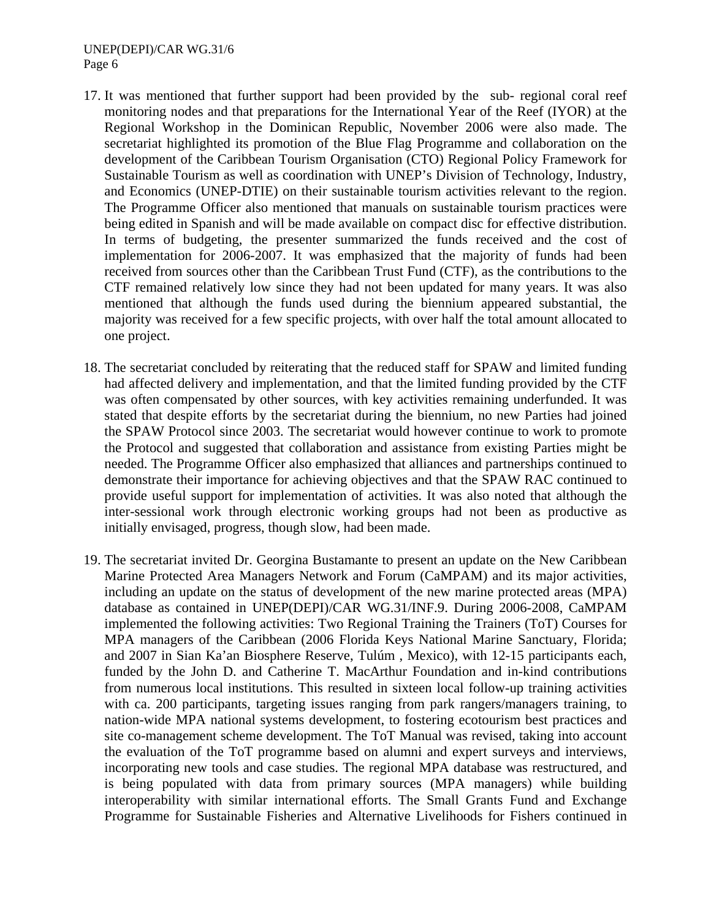#### UNEP(DEPI)/CAR WG.31/6 Page 6

- 17. It was mentioned that further support had been provided by the sub- regional coral reef monitoring nodes and that preparations for the International Year of the Reef (IYOR) at the Regional Workshop in the Dominican Republic, November 2006 were also made. The secretariat highlighted its promotion of the Blue Flag Programme and collaboration on the development of the Caribbean Tourism Organisation (CTO) Regional Policy Framework for Sustainable Tourism as well as coordination with UNEP's Division of Technology, Industry, and Economics (UNEP-DTIE) on their sustainable tourism activities relevant to the region. The Programme Officer also mentioned that manuals on sustainable tourism practices were being edited in Spanish and will be made available on compact disc for effective distribution. In terms of budgeting, the presenter summarized the funds received and the cost of implementation for 2006-2007. It was emphasized that the majority of funds had been received from sources other than the Caribbean Trust Fund (CTF), as the contributions to the CTF remained relatively low since they had not been updated for many years. It was also mentioned that although the funds used during the biennium appeared substantial, the majority was received for a few specific projects, with over half the total amount allocated to one project.
- 18. The secretariat concluded by reiterating that the reduced staff for SPAW and limited funding had affected delivery and implementation, and that the limited funding provided by the CTF was often compensated by other sources, with key activities remaining underfunded. It was stated that despite efforts by the secretariat during the biennium, no new Parties had joined the SPAW Protocol since 2003. The secretariat would however continue to work to promote the Protocol and suggested that collaboration and assistance from existing Parties might be needed. The Programme Officer also emphasized that alliances and partnerships continued to demonstrate their importance for achieving objectives and that the SPAW RAC continued to provide useful support for implementation of activities. It was also noted that although the inter-sessional work through electronic working groups had not been as productive as initially envisaged, progress, though slow, had been made.
- 19. The secretariat invited Dr. Georgina Bustamante to present an update on the New Caribbean Marine Protected Area Managers Network and Forum (CaMPAM) and its major activities, including an update on the status of development of the new marine protected areas (MPA) database as contained in UNEP(DEPI)/CAR WG.31/INF.9. During 2006-2008, CaMPAM implemented the following activities: Two Regional Training the Trainers (ToT) Courses for MPA managers of the Caribbean (2006 Florida Keys National Marine Sanctuary, Florida; and 2007 in Sian Ka'an Biosphere Reserve, Tulúm , Mexico), with 12-15 participants each, funded by the John D. and Catherine T. MacArthur Foundation and in-kind contributions from numerous local institutions. This resulted in sixteen local follow-up training activities with ca. 200 participants, targeting issues ranging from park rangers/managers training, to nation-wide MPA national systems development, to fostering ecotourism best practices and site co-management scheme development. The ToT Manual was revised, taking into account the evaluation of the ToT programme based on alumni and expert surveys and interviews, incorporating new tools and case studies. The regional MPA database was restructured, and is being populated with data from primary sources (MPA managers) while building interoperability with similar international efforts. The Small Grants Fund and Exchange Programme for Sustainable Fisheries and Alternative Livelihoods for Fishers continued in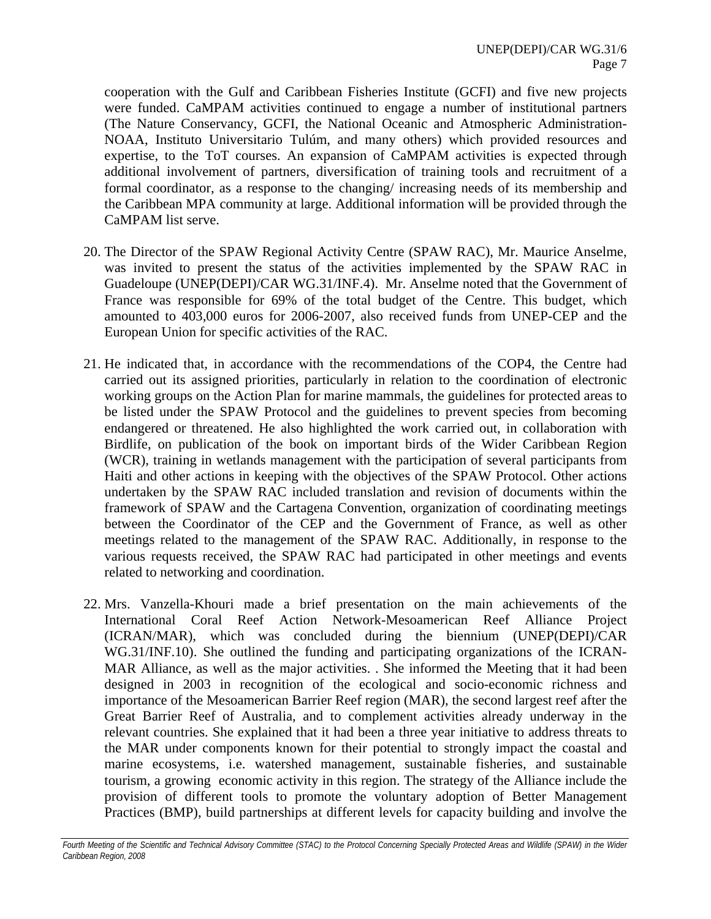cooperation with the Gulf and Caribbean Fisheries Institute (GCFI) and five new projects were funded. CaMPAM activities continued to engage a number of institutional partners (The Nature Conservancy, GCFI, the National Oceanic and Atmospheric Administration-NOAA, Instituto Universitario Tulúm, and many others) which provided resources and expertise, to the ToT courses. An expansion of CaMPAM activities is expected through additional involvement of partners, diversification of training tools and recruitment of a formal coordinator, as a response to the changing/ increasing needs of its membership and the Caribbean MPA community at large. Additional information will be provided through the CaMPAM list serve.

- 20. The Director of the SPAW Regional Activity Centre (SPAW RAC), Mr. Maurice Anselme, was invited to present the status of the activities implemented by the SPAW RAC in Guadeloupe (UNEP(DEPI)/CAR WG.31/INF.4). Mr. Anselme noted that the Government of France was responsible for 69% of the total budget of the Centre. This budget, which amounted to 403,000 euros for 2006-2007, also received funds from UNEP-CEP and the European Union for specific activities of the RAC.
- 21. He indicated that, in accordance with the recommendations of the COP4, the Centre had carried out its assigned priorities, particularly in relation to the coordination of electronic working groups on the Action Plan for marine mammals, the guidelines for protected areas to be listed under the SPAW Protocol and the guidelines to prevent species from becoming endangered or threatened. He also highlighted the work carried out, in collaboration with Birdlife, on publication of the book on important birds of the Wider Caribbean Region (WCR), training in wetlands management with the participation of several participants from Haiti and other actions in keeping with the objectives of the SPAW Protocol. Other actions undertaken by the SPAW RAC included translation and revision of documents within the framework of SPAW and the Cartagena Convention, organization of coordinating meetings between the Coordinator of the CEP and the Government of France, as well as other meetings related to the management of the SPAW RAC. Additionally, in response to the various requests received, the SPAW RAC had participated in other meetings and events related to networking and coordination.
- 22. Mrs. Vanzella-Khouri made a brief presentation on the main achievements of the International Coral Reef Action Network-Mesoamerican Reef Alliance Project (ICRAN/MAR), which was concluded during the biennium (UNEP(DEPI)/CAR WG.31/INF.10). She outlined the funding and participating organizations of the ICRAN-MAR Alliance, as well as the major activities. . She informed the Meeting that it had been designed in 2003 in recognition of the ecological and socio-economic richness and importance of the Mesoamerican Barrier Reef region (MAR), the second largest reef after the Great Barrier Reef of Australia, and to complement activities already underway in the relevant countries. She explained that it had been a three year initiative to address threats to the MAR under components known for their potential to strongly impact the coastal and marine ecosystems, i.e. watershed management, sustainable fisheries, and sustainable tourism, a growing economic activity in this region. The strategy of the Alliance include the provision of different tools to promote the voluntary adoption of Better Management Practices (BMP), build partnerships at different levels for capacity building and involve the

Fourth Meeting of the Scientific and Technical Advisory Committee (STAC) to the Protocol Concerning Specially Protected Areas and Wildlife (SPAW) in the Wider *Caribbean Region, 2008*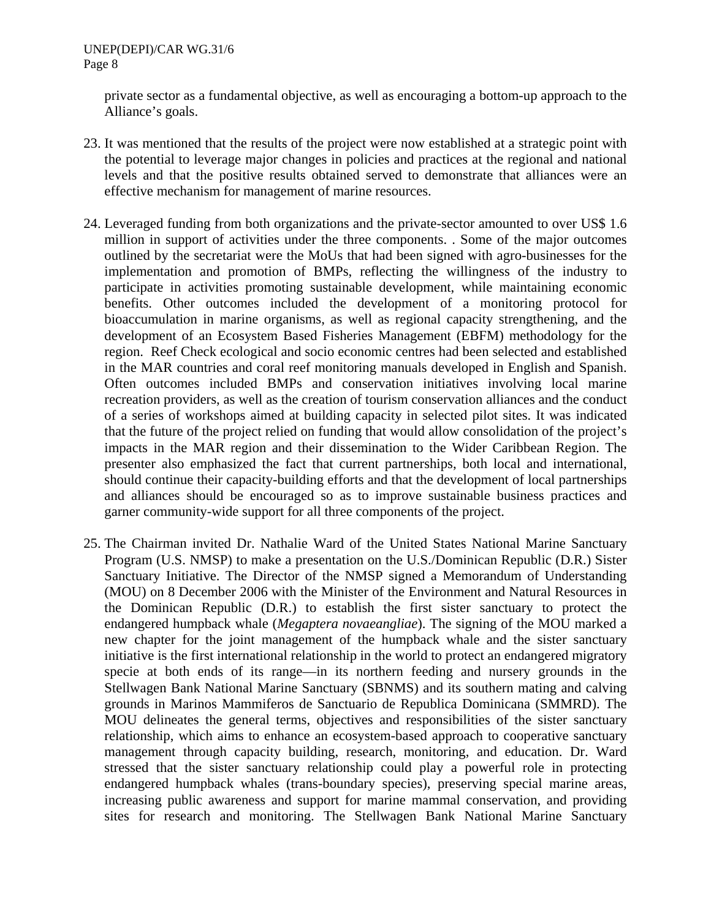private sector as a fundamental objective, as well as encouraging a bottom-up approach to the Alliance's goals.

- 23. It was mentioned that the results of the project were now established at a strategic point with the potential to leverage major changes in policies and practices at the regional and national levels and that the positive results obtained served to demonstrate that alliances were an effective mechanism for management of marine resources.
- 24. Leveraged funding from both organizations and the private-sector amounted to over US\$ 1.6 million in support of activities under the three components. . Some of the major outcomes outlined by the secretariat were the MoUs that had been signed with agro-businesses for the implementation and promotion of BMPs, reflecting the willingness of the industry to participate in activities promoting sustainable development, while maintaining economic benefits. Other outcomes included the development of a monitoring protocol for bioaccumulation in marine organisms, as well as regional capacity strengthening, and the development of an Ecosystem Based Fisheries Management (EBFM) methodology for the region. Reef Check ecological and socio economic centres had been selected and established in the MAR countries and coral reef monitoring manuals developed in English and Spanish. Often outcomes included BMPs and conservation initiatives involving local marine recreation providers, as well as the creation of tourism conservation alliances and the conduct of a series of workshops aimed at building capacity in selected pilot sites. It was indicated that the future of the project relied on funding that would allow consolidation of the project's impacts in the MAR region and their dissemination to the Wider Caribbean Region. The presenter also emphasized the fact that current partnerships, both local and international, should continue their capacity-building efforts and that the development of local partnerships and alliances should be encouraged so as to improve sustainable business practices and garner community-wide support for all three components of the project.
- 25. The Chairman invited Dr. Nathalie Ward of the United States National Marine Sanctuary Program (U.S. NMSP) to make a presentation on the U.S./Dominican Republic (D.R.) Sister Sanctuary Initiative. The Director of the NMSP signed a Memorandum of Understanding (MOU) on 8 December 2006 with the Minister of the Environment and Natural Resources in the Dominican Republic (D.R.) to establish the first sister sanctuary to protect the endangered humpback whale (*Megaptera novaeangliae*). The signing of the MOU marked a new chapter for the joint management of the humpback whale and the sister sanctuary initiative is the first international relationship in the world to protect an endangered migratory specie at both ends of its range—in its northern feeding and nursery grounds in the Stellwagen Bank National Marine Sanctuary (SBNMS) and its southern mating and calving grounds in Marinos Mammiferos de Sanctuario de Republica Dominicana (SMMRD). The MOU delineates the general terms, objectives and responsibilities of the sister sanctuary relationship, which aims to enhance an ecosystem-based approach to cooperative sanctuary management through capacity building, research, monitoring, and education. Dr. Ward stressed that the sister sanctuary relationship could play a powerful role in protecting endangered humpback whales (trans-boundary species), preserving special marine areas, increasing public awareness and support for marine mammal conservation, and providing sites for research and monitoring. The Stellwagen Bank National Marine Sanctuary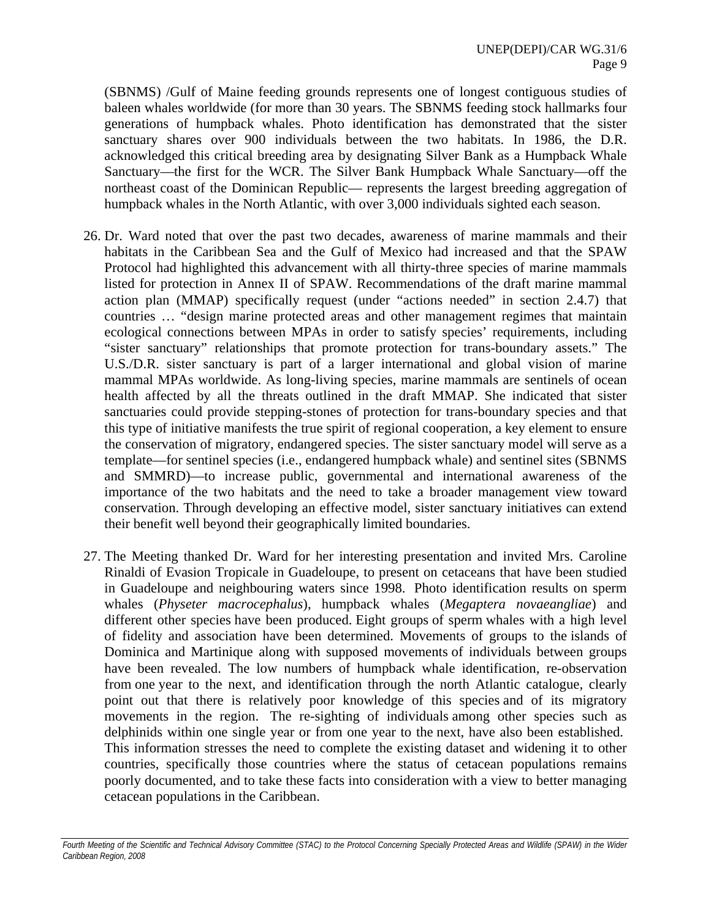(SBNMS) /Gulf of Maine feeding grounds represents one of longest contiguous studies of baleen whales worldwide (for more than 30 years. The SBNMS feeding stock hallmarks four generations of humpback whales. Photo identification has demonstrated that the sister sanctuary shares over 900 individuals between the two habitats. In 1986, the D.R. acknowledged this critical breeding area by designating Silver Bank as a Humpback Whale Sanctuary—the first for the WCR. The Silver Bank Humpback Whale Sanctuary—off the northeast coast of the Dominican Republic— represents the largest breeding aggregation of humpback whales in the North Atlantic, with over 3,000 individuals sighted each season.

- 26. Dr. Ward noted that over the past two decades, awareness of marine mammals and their habitats in the Caribbean Sea and the Gulf of Mexico had increased and that the SPAW Protocol had highlighted this advancement with all thirty-three species of marine mammals listed for protection in Annex II of SPAW. Recommendations of the draft marine mammal action plan (MMAP) specifically request (under "actions needed" in section 2.4.7) that countries … "design marine protected areas and other management regimes that maintain ecological connections between MPAs in order to satisfy species' requirements, including "sister sanctuary" relationships that promote protection for trans-boundary assets." The U.S./D.R. sister sanctuary is part of a larger international and global vision of marine mammal MPAs worldwide. As long-living species, marine mammals are sentinels of ocean health affected by all the threats outlined in the draft MMAP. She indicated that sister sanctuaries could provide stepping-stones of protection for trans-boundary species and that this type of initiative manifests the true spirit of regional cooperation, a key element to ensure the conservation of migratory, endangered species. The sister sanctuary model will serve as a template—for sentinel species (i.e., endangered humpback whale) and sentinel sites (SBNMS and SMMRD)—to increase public, governmental and international awareness of the importance of the two habitats and the need to take a broader management view toward conservation. Through developing an effective model, sister sanctuary initiatives can extend their benefit well beyond their geographically limited boundaries.
- 27. The Meeting thanked Dr. Ward for her interesting presentation and invited Mrs. Caroline Rinaldi of Evasion Tropicale in Guadeloupe, to present on cetaceans that have been studied in Guadeloupe and neighbouring waters since 1998. Photo identification results on sperm whales (*Physeter macrocephalus*), humpback whales (*Megaptera novaeangliae*) and different other species have been produced. Eight groups of sperm whales with a high level of fidelity and association have been determined. Movements of groups to the islands of Dominica and Martinique along with supposed movements of individuals between groups have been revealed. The low numbers of humpback whale identification, re-observation from one year to the next, and identification through the north Atlantic catalogue, clearly point out that there is relatively poor knowledge of this species and of its migratory movements in the region. The re-sighting of individuals among other species such as delphinids within one single year or from one year to the next, have also been established. This information stresses the need to complete the existing dataset and widening it to other countries, specifically those countries where the status of cetacean populations remains poorly documented, and to take these facts into consideration with a view to better managing cetacean populations in the Caribbean.

Fourth Meeting of the Scientific and Technical Advisory Committee (STAC) to the Protocol Concerning Specially Protected Areas and Wildlife (SPAW) in the Wider *Caribbean Region, 2008*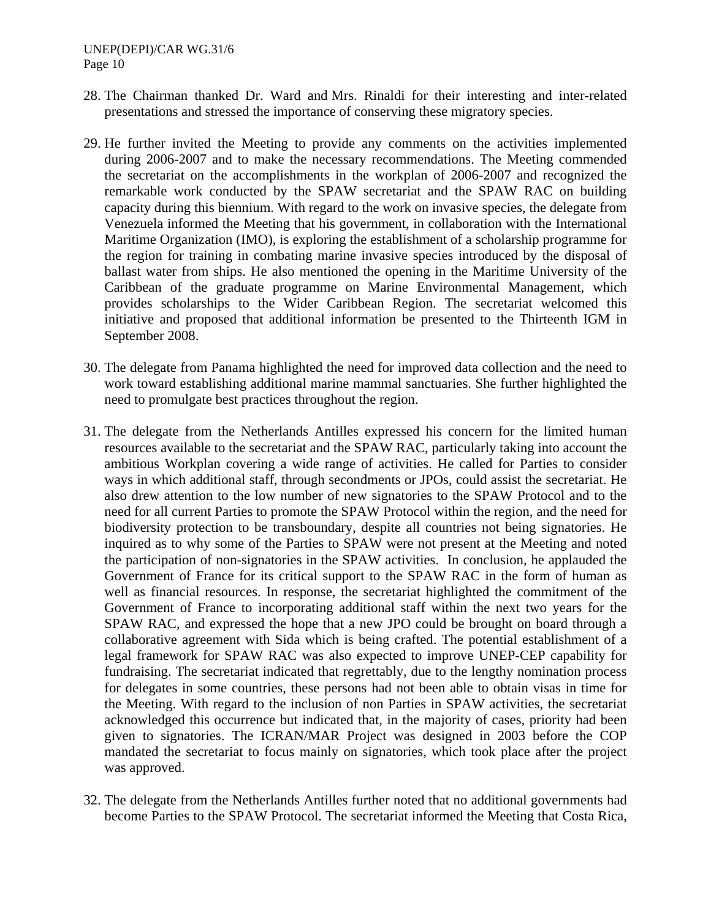#### UNEP(DEPI)/CAR WG.31/6 Page 10

- 28. The Chairman thanked Dr. Ward and Mrs. Rinaldi for their interesting and inter-related presentations and stressed the importance of conserving these migratory species.
- 29. He further invited the Meeting to provide any comments on the activities implemented during 2006-2007 and to make the necessary recommendations. The Meeting commended the secretariat on the accomplishments in the workplan of 2006-2007 and recognized the remarkable work conducted by the SPAW secretariat and the SPAW RAC on building capacity during this biennium. With regard to the work on invasive species, the delegate from Venezuela informed the Meeting that his government, in collaboration with the International Maritime Organization (IMO), is exploring the establishment of a scholarship programme for the region for training in combating marine invasive species introduced by the disposal of ballast water from ships. He also mentioned the opening in the Maritime University of the Caribbean of the graduate programme on Marine Environmental Management, which provides scholarships to the Wider Caribbean Region. The secretariat welcomed this initiative and proposed that additional information be presented to the Thirteenth IGM in September 2008.
- 30. The delegate from Panama highlighted the need for improved data collection and the need to work toward establishing additional marine mammal sanctuaries. She further highlighted the need to promulgate best practices throughout the region.
- 31. The delegate from the Netherlands Antilles expressed his concern for the limited human resources available to the secretariat and the SPAW RAC, particularly taking into account the ambitious Workplan covering a wide range of activities. He called for Parties to consider ways in which additional staff, through secondments or JPOs, could assist the secretariat. He also drew attention to the low number of new signatories to the SPAW Protocol and to the need for all current Parties to promote the SPAW Protocol within the region, and the need for biodiversity protection to be transboundary, despite all countries not being signatories. He inquired as to why some of the Parties to SPAW were not present at the Meeting and noted the participation of non-signatories in the SPAW activities. In conclusion, he applauded the Government of France for its critical support to the SPAW RAC in the form of human as well as financial resources. In response, the secretariat highlighted the commitment of the Government of France to incorporating additional staff within the next two years for the SPAW RAC, and expressed the hope that a new JPO could be brought on board through a collaborative agreement with Sida which is being crafted. The potential establishment of a legal framework for SPAW RAC was also expected to improve UNEP-CEP capability for fundraising. The secretariat indicated that regrettably, due to the lengthy nomination process for delegates in some countries, these persons had not been able to obtain visas in time for the Meeting. With regard to the inclusion of non Parties in SPAW activities, the secretariat acknowledged this occurrence but indicated that, in the majority of cases, priority had been given to signatories. The ICRAN/MAR Project was designed in 2003 before the COP mandated the secretariat to focus mainly on signatories, which took place after the project was approved.
- 32. The delegate from the Netherlands Antilles further noted that no additional governments had become Parties to the SPAW Protocol. The secretariat informed the Meeting that Costa Rica,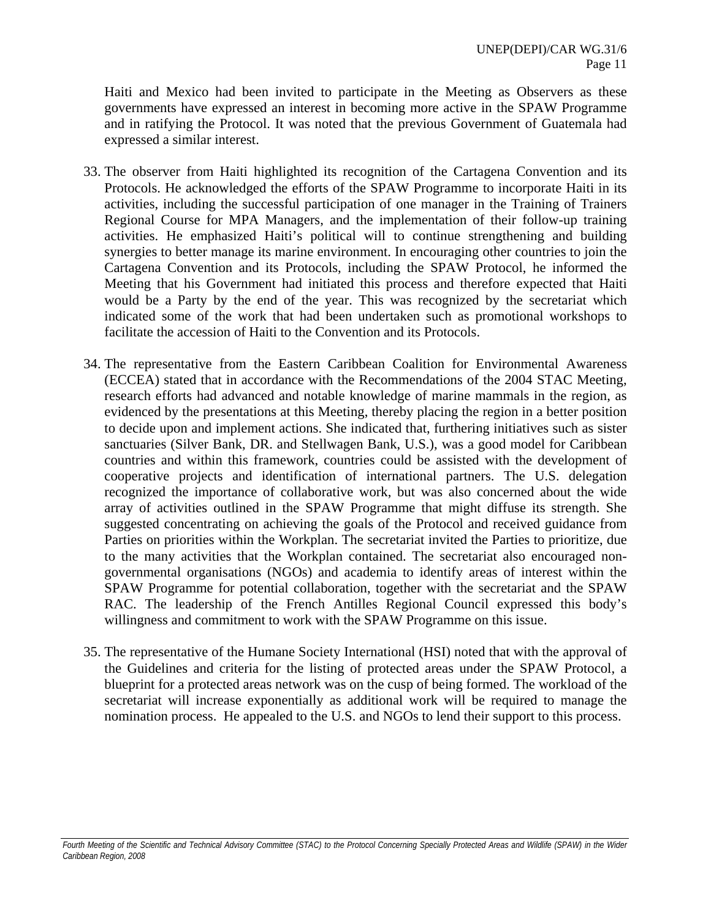Haiti and Mexico had been invited to participate in the Meeting as Observers as these governments have expressed an interest in becoming more active in the SPAW Programme and in ratifying the Protocol. It was noted that the previous Government of Guatemala had expressed a similar interest.

- 33. The observer from Haiti highlighted its recognition of the Cartagena Convention and its Protocols. He acknowledged the efforts of the SPAW Programme to incorporate Haiti in its activities, including the successful participation of one manager in the Training of Trainers Regional Course for MPA Managers, and the implementation of their follow-up training activities. He emphasized Haiti's political will to continue strengthening and building synergies to better manage its marine environment. In encouraging other countries to join the Cartagena Convention and its Protocols, including the SPAW Protocol, he informed the Meeting that his Government had initiated this process and therefore expected that Haiti would be a Party by the end of the year. This was recognized by the secretariat which indicated some of the work that had been undertaken such as promotional workshops to facilitate the accession of Haiti to the Convention and its Protocols.
- 34. The representative from the Eastern Caribbean Coalition for Environmental Awareness (ECCEA) stated that in accordance with the Recommendations of the 2004 STAC Meeting, research efforts had advanced and notable knowledge of marine mammals in the region, as evidenced by the presentations at this Meeting, thereby placing the region in a better position to decide upon and implement actions. She indicated that, furthering initiatives such as sister sanctuaries (Silver Bank, DR. and Stellwagen Bank, U.S.), was a good model for Caribbean countries and within this framework, countries could be assisted with the development of cooperative projects and identification of international partners. The U.S. delegation recognized the importance of collaborative work, but was also concerned about the wide array of activities outlined in the SPAW Programme that might diffuse its strength. She suggested concentrating on achieving the goals of the Protocol and received guidance from Parties on priorities within the Workplan. The secretariat invited the Parties to prioritize, due to the many activities that the Workplan contained. The secretariat also encouraged nongovernmental organisations (NGOs) and academia to identify areas of interest within the SPAW Programme for potential collaboration, together with the secretariat and the SPAW RAC. The leadership of the French Antilles Regional Council expressed this body's willingness and commitment to work with the SPAW Programme on this issue.
- 35. The representative of the Humane Society International (HSI) noted that with the approval of the Guidelines and criteria for the listing of protected areas under the SPAW Protocol, a blueprint for a protected areas network was on the cusp of being formed. The workload of the secretariat will increase exponentially as additional work will be required to manage the nomination process. He appealed to the U.S. and NGOs to lend their support to this process.

Fourth Meeting of the Scientific and Technical Advisory Committee (STAC) to the Protocol Concerning Specially Protected Areas and Wildlife (SPAW) in the Wider *Caribbean Region, 2008*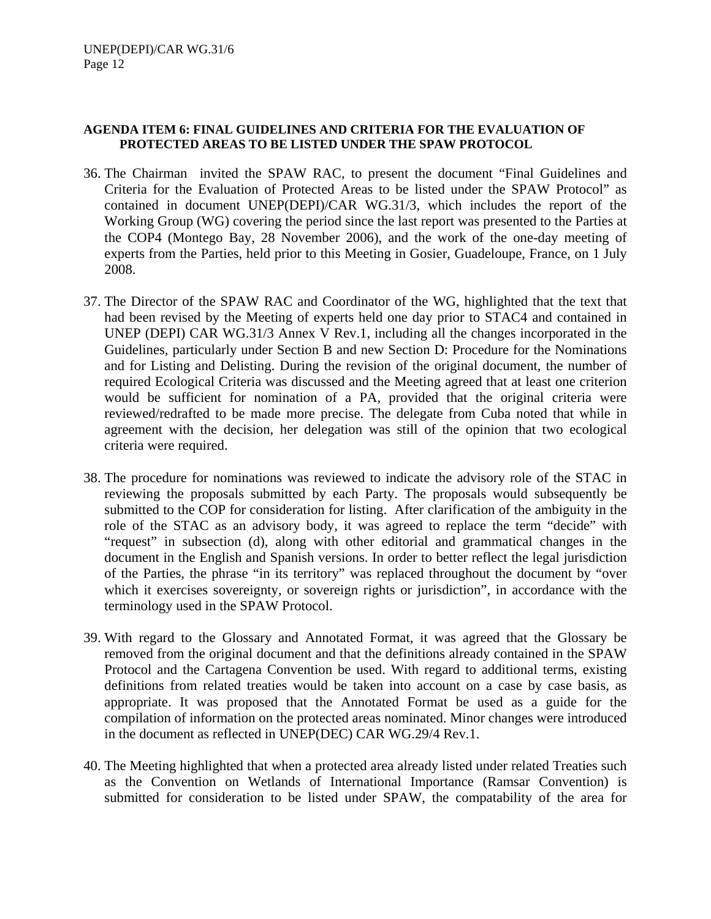### **AGENDA ITEM 6: FINAL GUIDELINES AND CRITERIA FOR THE EVALUATION OF PROTECTED AREAS TO BE LISTED UNDER THE SPAW PROTOCOL**

- 36. The Chairman invited the SPAW RAC, to present the document "Final Guidelines and Criteria for the Evaluation of Protected Areas to be listed under the SPAW Protocol" as contained in document UNEP(DEPI)/CAR WG.31/3, which includes the report of the Working Group (WG) covering the period since the last report was presented to the Parties at the COP4 (Montego Bay, 28 November 2006), and the work of the one-day meeting of experts from the Parties, held prior to this Meeting in Gosier, Guadeloupe, France, on 1 July 2008.
- 37. The Director of the SPAW RAC and Coordinator of the WG, highlighted that the text that had been revised by the Meeting of experts held one day prior to STAC4 and contained in UNEP (DEPI) CAR WG.31/3 Annex V Rev.1, including all the changes incorporated in the Guidelines, particularly under Section B and new Section D: Procedure for the Nominations and for Listing and Delisting. During the revision of the original document, the number of required Ecological Criteria was discussed and the Meeting agreed that at least one criterion would be sufficient for nomination of a PA, provided that the original criteria were reviewed/redrafted to be made more precise. The delegate from Cuba noted that while in agreement with the decision, her delegation was still of the opinion that two ecological criteria were required.
- 38. The procedure for nominations was reviewed to indicate the advisory role of the STAC in reviewing the proposals submitted by each Party. The proposals would subsequently be submitted to the COP for consideration for listing. After clarification of the ambiguity in the role of the STAC as an advisory body, it was agreed to replace the term "decide" with "request" in subsection (d), along with other editorial and grammatical changes in the document in the English and Spanish versions. In order to better reflect the legal jurisdiction of the Parties, the phrase "in its territory" was replaced throughout the document by "over which it exercises sovereignty, or sovereign rights or jurisdiction", in accordance with the terminology used in the SPAW Protocol.
- 39. With regard to the Glossary and Annotated Format, it was agreed that the Glossary be removed from the original document and that the definitions already contained in the SPAW Protocol and the Cartagena Convention be used. With regard to additional terms, existing definitions from related treaties would be taken into account on a case by case basis, as appropriate. It was proposed that the Annotated Format be used as a guide for the compilation of information on the protected areas nominated. Minor changes were introduced in the document as reflected in UNEP(DEC) CAR WG.29/4 Rev.1.
- 40. The Meeting highlighted that when a protected area already listed under related Treaties such as the Convention on Wetlands of International Importance (Ramsar Convention) is submitted for consideration to be listed under SPAW, the compatability of the area for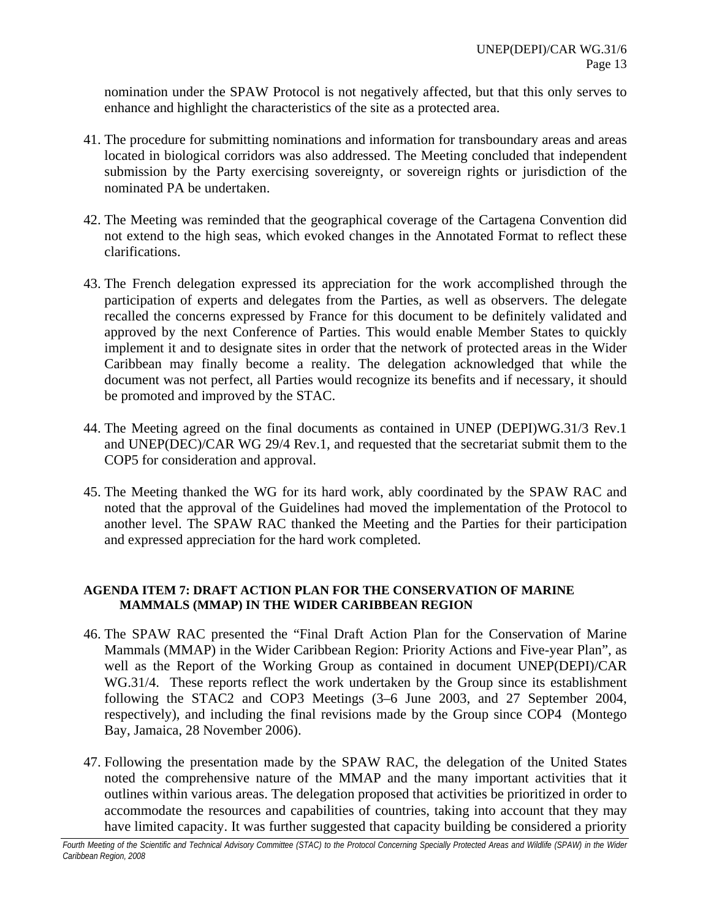nomination under the SPAW Protocol is not negatively affected, but that this only serves to enhance and highlight the characteristics of the site as a protected area.

- 41. The procedure for submitting nominations and information for transboundary areas and areas located in biological corridors was also addressed. The Meeting concluded that independent submission by the Party exercising sovereignty, or sovereign rights or jurisdiction of the nominated PA be undertaken.
- 42. The Meeting was reminded that the geographical coverage of the Cartagena Convention did not extend to the high seas, which evoked changes in the Annotated Format to reflect these clarifications.
- 43. The French delegation expressed its appreciation for the work accomplished through the participation of experts and delegates from the Parties, as well as observers. The delegate recalled the concerns expressed by France for this document to be definitely validated and approved by the next Conference of Parties. This would enable Member States to quickly implement it and to designate sites in order that the network of protected areas in the Wider Caribbean may finally become a reality. The delegation acknowledged that while the document was not perfect, all Parties would recognize its benefits and if necessary, it should be promoted and improved by the STAC.
- 44. The Meeting agreed on the final documents as contained in UNEP (DEPI)WG.31/3 Rev.1 and UNEP(DEC)/CAR WG 29/4 Rev.1, and requested that the secretariat submit them to the COP5 for consideration and approval.
- 45. The Meeting thanked the WG for its hard work, ably coordinated by the SPAW RAC and noted that the approval of the Guidelines had moved the implementation of the Protocol to another level. The SPAW RAC thanked the Meeting and the Parties for their participation and expressed appreciation for the hard work completed.

### **AGENDA ITEM 7: DRAFT ACTION PLAN FOR THE CONSERVATION OF MARINE MAMMALS (MMAP) IN THE WIDER CARIBBEAN REGION**

- 46. The SPAW RAC presented the "Final Draft Action Plan for the Conservation of Marine Mammals (MMAP) in the Wider Caribbean Region: Priority Actions and Five-year Plan", as well as the Report of the Working Group as contained in document UNEP(DEPI)/CAR WG.31/4. These reports reflect the work undertaken by the Group since its establishment following the STAC2 and COP3 Meetings (3–6 June 2003, and 27 September 2004, respectively), and including the final revisions made by the Group since COP4 (Montego Bay, Jamaica, 28 November 2006).
- 47. Following the presentation made by the SPAW RAC, the delegation of the United States noted the comprehensive nature of the MMAP and the many important activities that it outlines within various areas. The delegation proposed that activities be prioritized in order to accommodate the resources and capabilities of countries, taking into account that they may have limited capacity. It was further suggested that capacity building be considered a priority

*Fourth Meeting of the Scientific and Technical Advisory Committee (STAC) to the Protocol Concerning Specially Protected Areas and Wildlife (SPAW) in the Wider Caribbean Region, 2008*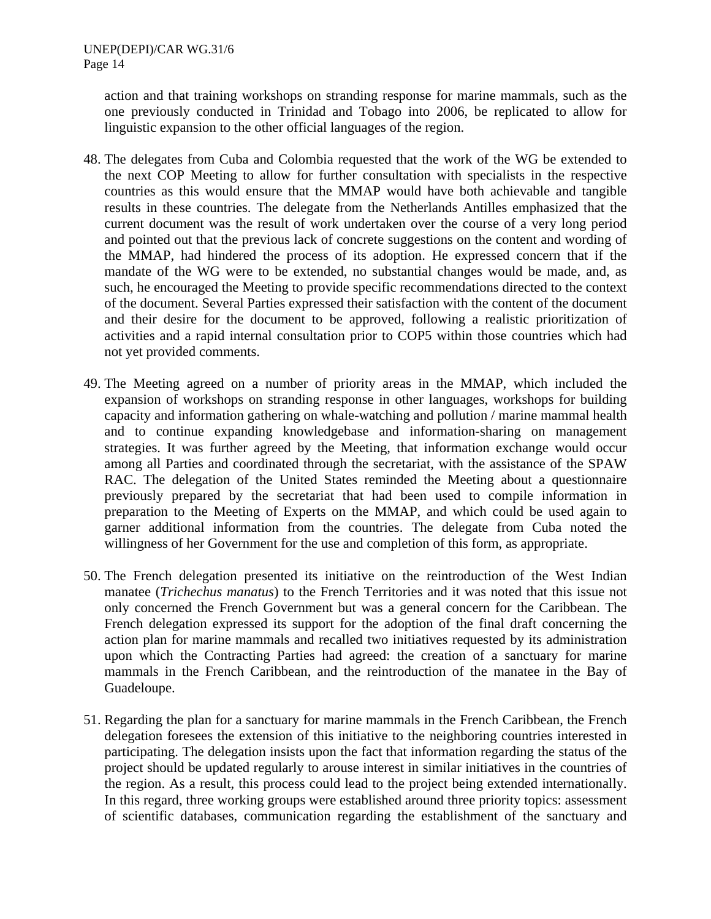action and that training workshops on stranding response for marine mammals, such as the one previously conducted in Trinidad and Tobago into 2006, be replicated to allow for linguistic expansion to the other official languages of the region.

- 48. The delegates from Cuba and Colombia requested that the work of the WG be extended to the next COP Meeting to allow for further consultation with specialists in the respective countries as this would ensure that the MMAP would have both achievable and tangible results in these countries. The delegate from the Netherlands Antilles emphasized that the current document was the result of work undertaken over the course of a very long period and pointed out that the previous lack of concrete suggestions on the content and wording of the MMAP, had hindered the process of its adoption. He expressed concern that if the mandate of the WG were to be extended, no substantial changes would be made, and, as such, he encouraged the Meeting to provide specific recommendations directed to the context of the document. Several Parties expressed their satisfaction with the content of the document and their desire for the document to be approved, following a realistic prioritization of activities and a rapid internal consultation prior to COP5 within those countries which had not yet provided comments.
- 49. The Meeting agreed on a number of priority areas in the MMAP, which included the expansion of workshops on stranding response in other languages, workshops for building capacity and information gathering on whale-watching and pollution / marine mammal health and to continue expanding knowledgebase and information-sharing on management strategies. It was further agreed by the Meeting, that information exchange would occur among all Parties and coordinated through the secretariat, with the assistance of the SPAW RAC. The delegation of the United States reminded the Meeting about a questionnaire previously prepared by the secretariat that had been used to compile information in preparation to the Meeting of Experts on the MMAP, and which could be used again to garner additional information from the countries. The delegate from Cuba noted the willingness of her Government for the use and completion of this form, as appropriate.
- 50. The French delegation presented its initiative on the reintroduction of the West Indian manatee (*Trichechus manatus*) to the French Territories and it was noted that this issue not only concerned the French Government but was a general concern for the Caribbean. The French delegation expressed its support for the adoption of the final draft concerning the action plan for marine mammals and recalled two initiatives requested by its administration upon which the Contracting Parties had agreed: the creation of a sanctuary for marine mammals in the French Caribbean, and the reintroduction of the manatee in the Bay of Guadeloupe.
- 51. Regarding the plan for a sanctuary for marine mammals in the French Caribbean, the French delegation foresees the extension of this initiative to the neighboring countries interested in participating. The delegation insists upon the fact that information regarding the status of the project should be updated regularly to arouse interest in similar initiatives in the countries of the region. As a result, this process could lead to the project being extended internationally. In this regard, three working groups were established around three priority topics: assessment of scientific databases, communication regarding the establishment of the sanctuary and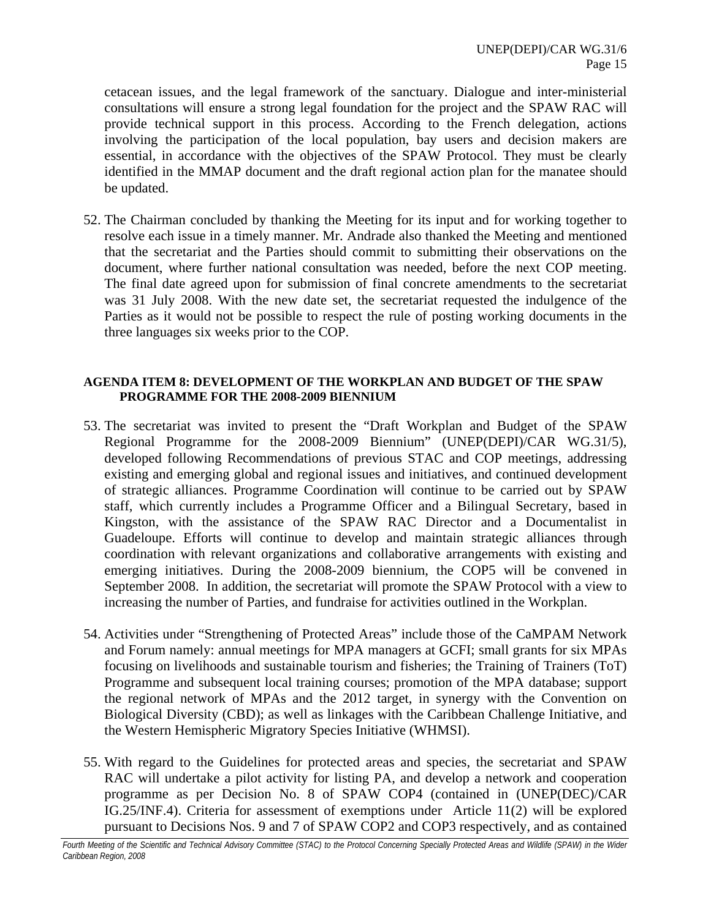cetacean issues, and the legal framework of the sanctuary. Dialogue and inter-ministerial consultations will ensure a strong legal foundation for the project and the SPAW RAC will provide technical support in this process. According to the French delegation, actions involving the participation of the local population, bay users and decision makers are essential, in accordance with the objectives of the SPAW Protocol. They must be clearly identified in the MMAP document and the draft regional action plan for the manatee should be updated.

52. The Chairman concluded by thanking the Meeting for its input and for working together to resolve each issue in a timely manner. Mr. Andrade also thanked the Meeting and mentioned that the secretariat and the Parties should commit to submitting their observations on the document, where further national consultation was needed, before the next COP meeting. The final date agreed upon for submission of final concrete amendments to the secretariat was 31 July 2008. With the new date set, the secretariat requested the indulgence of the Parties as it would not be possible to respect the rule of posting working documents in the three languages six weeks prior to the COP.

#### **AGENDA ITEM 8: DEVELOPMENT OF THE WORKPLAN AND BUDGET OF THE SPAW PROGRAMME FOR THE 2008-2009 BIENNIUM**

- 53. The secretariat was invited to present the "Draft Workplan and Budget of the SPAW Regional Programme for the 2008-2009 Biennium" (UNEP(DEPI)/CAR WG.31/5), developed following Recommendations of previous STAC and COP meetings, addressing existing and emerging global and regional issues and initiatives, and continued development of strategic alliances. Programme Coordination will continue to be carried out by SPAW staff, which currently includes a Programme Officer and a Bilingual Secretary, based in Kingston, with the assistance of the SPAW RAC Director and a Documentalist in Guadeloupe. Efforts will continue to develop and maintain strategic alliances through coordination with relevant organizations and collaborative arrangements with existing and emerging initiatives. During the 2008-2009 biennium, the COP5 will be convened in September 2008. In addition, the secretariat will promote the SPAW Protocol with a view to increasing the number of Parties, and fundraise for activities outlined in the Workplan.
- 54. Activities under "Strengthening of Protected Areas" include those of the CaMPAM Network and Forum namely: annual meetings for MPA managers at GCFI; small grants for six MPAs focusing on livelihoods and sustainable tourism and fisheries; the Training of Trainers (ToT) Programme and subsequent local training courses; promotion of the MPA database; support the regional network of MPAs and the 2012 target, in synergy with the Convention on Biological Diversity (CBD); as well as linkages with the Caribbean Challenge Initiative, and the Western Hemispheric Migratory Species Initiative (WHMSI).
- 55. With regard to the Guidelines for protected areas and species, the secretariat and SPAW RAC will undertake a pilot activity for listing PA, and develop a network and cooperation programme as per Decision No. 8 of SPAW COP4 (contained in (UNEP(DEC)/CAR IG.25/INF.4). Criteria for assessment of exemptions under Article 11(2) will be explored pursuant to Decisions Nos. 9 and 7 of SPAW COP2 and COP3 respectively, and as contained

*Fourth Meeting of the Scientific and Technical Advisory Committee (STAC) to the Protocol Concerning Specially Protected Areas and Wildlife (SPAW) in the Wider Caribbean Region, 2008*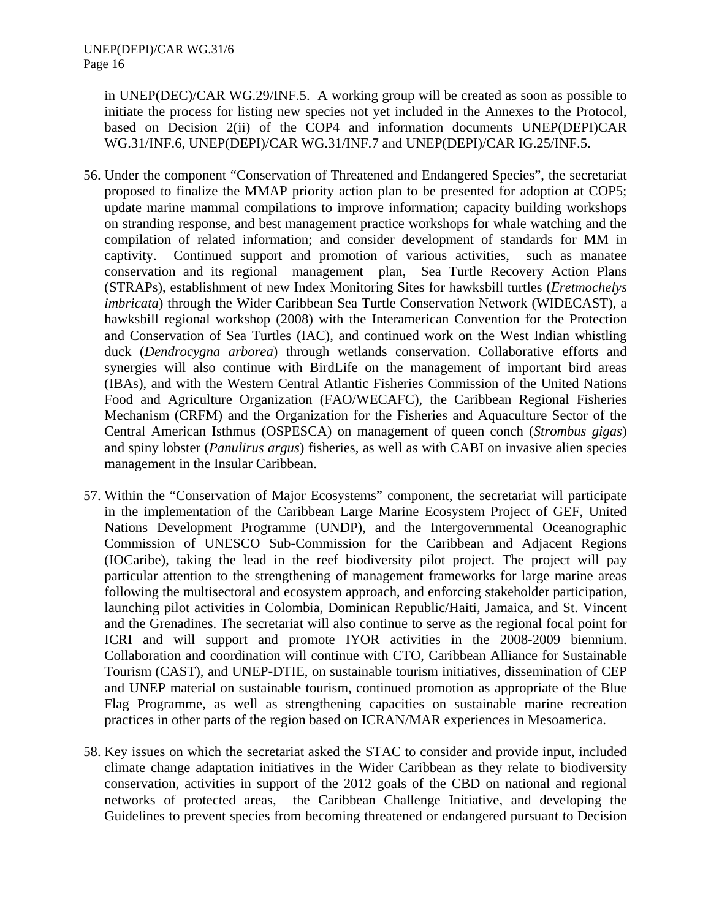in UNEP(DEC)/CAR WG.29/INF.5. A working group will be created as soon as possible to initiate the process for listing new species not yet included in the Annexes to the Protocol, based on Decision 2(ii) of the COP4 and information documents UNEP(DEPI)CAR WG.31/INF.6, UNEP(DEPI)/CAR WG.31/INF.7 and UNEP(DEPI)/CAR IG.25/INF.5.

- 56. Under the component "Conservation of Threatened and Endangered Species", the secretariat proposed to finalize the MMAP priority action plan to be presented for adoption at COP5; update marine mammal compilations to improve information; capacity building workshops on stranding response, and best management practice workshops for whale watching and the compilation of related information; and consider development of standards for MM in captivity. Continued support and promotion of various activities, such as manatee conservation and its regional management plan, Sea Turtle Recovery Action Plans (STRAPs), establishment of new Index Monitoring Sites for hawksbill turtles (*Eretmochelys imbricata*) through the Wider Caribbean Sea Turtle Conservation Network (WIDECAST), a hawksbill regional workshop (2008) with the Interamerican Convention for the Protection and Conservation of Sea Turtles (IAC), and continued work on the West Indian whistling duck (*Dendrocygna arborea*) through wetlands conservation. Collaborative efforts and synergies will also continue with BirdLife on the management of important bird areas (IBAs), and with the Western Central Atlantic Fisheries Commission of the United Nations Food and Agriculture Organization (FAO/WECAFC), the Caribbean Regional Fisheries Mechanism (CRFM) and the Organization for the Fisheries and Aquaculture Sector of the Central American Isthmus (OSPESCA) on management of queen conch (*Strombus gigas*) and spiny lobster (*Panulirus argus*) fisheries, as well as with CABI on invasive alien species management in the Insular Caribbean.
- 57. Within the "Conservation of Major Ecosystems" component, the secretariat will participate in the implementation of the Caribbean Large Marine Ecosystem Project of GEF, United Nations Development Programme (UNDP), and the Intergovernmental Oceanographic Commission of UNESCO Sub-Commission for the Caribbean and Adjacent Regions (IOCaribe), taking the lead in the reef biodiversity pilot project. The project will pay particular attention to the strengthening of management frameworks for large marine areas following the multisectoral and ecosystem approach, and enforcing stakeholder participation, launching pilot activities in Colombia, Dominican Republic/Haiti, Jamaica, and St. Vincent and the Grenadines. The secretariat will also continue to serve as the regional focal point for ICRI and will support and promote IYOR activities in the 2008-2009 biennium. Collaboration and coordination will continue with CTO, Caribbean Alliance for Sustainable Tourism (CAST), and UNEP-DTIE, on sustainable tourism initiatives, dissemination of CEP and UNEP material on sustainable tourism, continued promotion as appropriate of the Blue Flag Programme, as well as strengthening capacities on sustainable marine recreation practices in other parts of the region based on ICRAN/MAR experiences in Mesoamerica.
- 58. Key issues on which the secretariat asked the STAC to consider and provide input, included climate change adaptation initiatives in the Wider Caribbean as they relate to biodiversity conservation, activities in support of the 2012 goals of the CBD on national and regional networks of protected areas, the Caribbean Challenge Initiative, and developing the Guidelines to prevent species from becoming threatened or endangered pursuant to Decision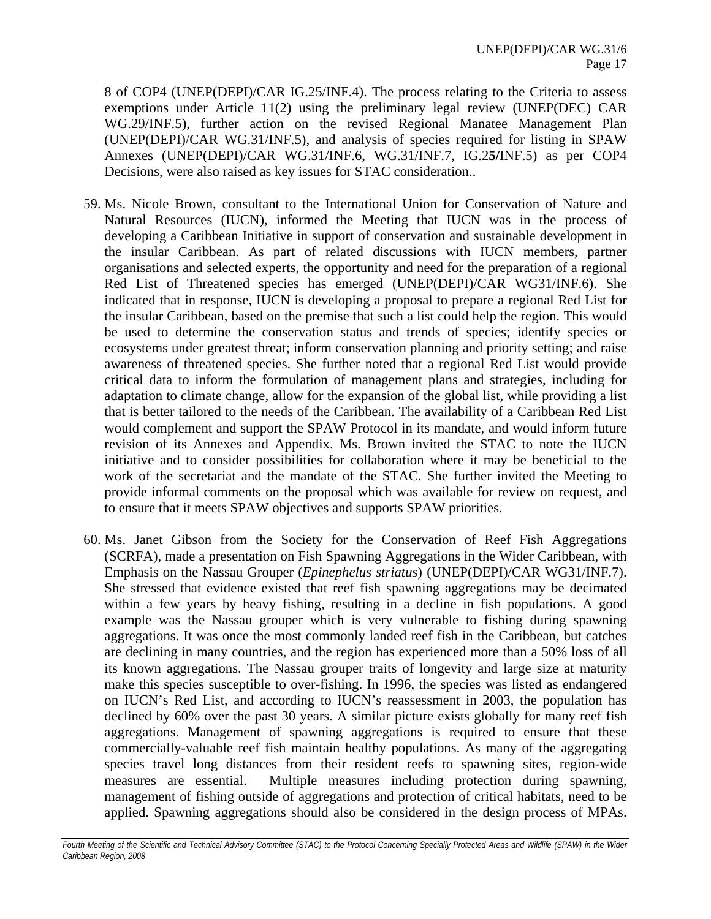8 of COP4 (UNEP(DEPI)/CAR IG.25/INF.4). The process relating to the Criteria to assess exemptions under Article 11(2) using the preliminary legal review (UNEP(DEC) CAR WG.29/INF.5), further action on the revised Regional Manatee Management Plan (UNEP(DEPI)/CAR WG.31/INF.5), and analysis of species required for listing in SPAW Annexes (UNEP(DEPI)/CAR WG.31/INF.6, WG.31/INF.7, IG.2**5/**INF.5) as per COP4 Decisions, were also raised as key issues for STAC consideration..

- 59. Ms. Nicole Brown, consultant to the International Union for Conservation of Nature and Natural Resources (IUCN), informed the Meeting that IUCN was in the process of developing a Caribbean Initiative in support of conservation and sustainable development in the insular Caribbean. As part of related discussions with IUCN members, partner organisations and selected experts, the opportunity and need for the preparation of a regional Red List of Threatened species has emerged (UNEP(DEPI)/CAR WG31/INF.6). She indicated that in response, IUCN is developing a proposal to prepare a regional Red List for the insular Caribbean, based on the premise that such a list could help the region. This would be used to determine the conservation status and trends of species; identify species or ecosystems under greatest threat; inform conservation planning and priority setting; and raise awareness of threatened species. She further noted that a regional Red List would provide critical data to inform the formulation of management plans and strategies, including for adaptation to climate change, allow for the expansion of the global list, while providing a list that is better tailored to the needs of the Caribbean. The availability of a Caribbean Red List would complement and support the SPAW Protocol in its mandate, and would inform future revision of its Annexes and Appendix. Ms. Brown invited the STAC to note the IUCN initiative and to consider possibilities for collaboration where it may be beneficial to the work of the secretariat and the mandate of the STAC. She further invited the Meeting to provide informal comments on the proposal which was available for review on request, and to ensure that it meets SPAW objectives and supports SPAW priorities.
- 60. Ms. Janet Gibson from the Society for the Conservation of Reef Fish Aggregations (SCRFA), made a presentation on Fish Spawning Aggregations in the Wider Caribbean, with Emphasis on the Nassau Grouper (*Epinephelus striatus*) (UNEP(DEPI)/CAR WG31/INF.7). She stressed that evidence existed that reef fish spawning aggregations may be decimated within a few years by heavy fishing, resulting in a decline in fish populations. A good example was the Nassau grouper which is very vulnerable to fishing during spawning aggregations. It was once the most commonly landed reef fish in the Caribbean, but catches are declining in many countries, and the region has experienced more than a 50% loss of all its known aggregations. The Nassau grouper traits of longevity and large size at maturity make this species susceptible to over-fishing. In 1996, the species was listed as endangered on IUCN's Red List, and according to IUCN's reassessment in 2003, the population has declined by 60% over the past 30 years. A similar picture exists globally for many reef fish aggregations. Management of spawning aggregations is required to ensure that these commercially-valuable reef fish maintain healthy populations. As many of the aggregating species travel long distances from their resident reefs to spawning sites, region-wide measures are essential. Multiple measures including protection during spawning, management of fishing outside of aggregations and protection of critical habitats, need to be applied. Spawning aggregations should also be considered in the design process of MPAs.

Fourth Meeting of the Scientific and Technical Advisory Committee (STAC) to the Protocol Concerning Specially Protected Areas and Wildlife (SPAW) in the Wider *Caribbean Region, 2008*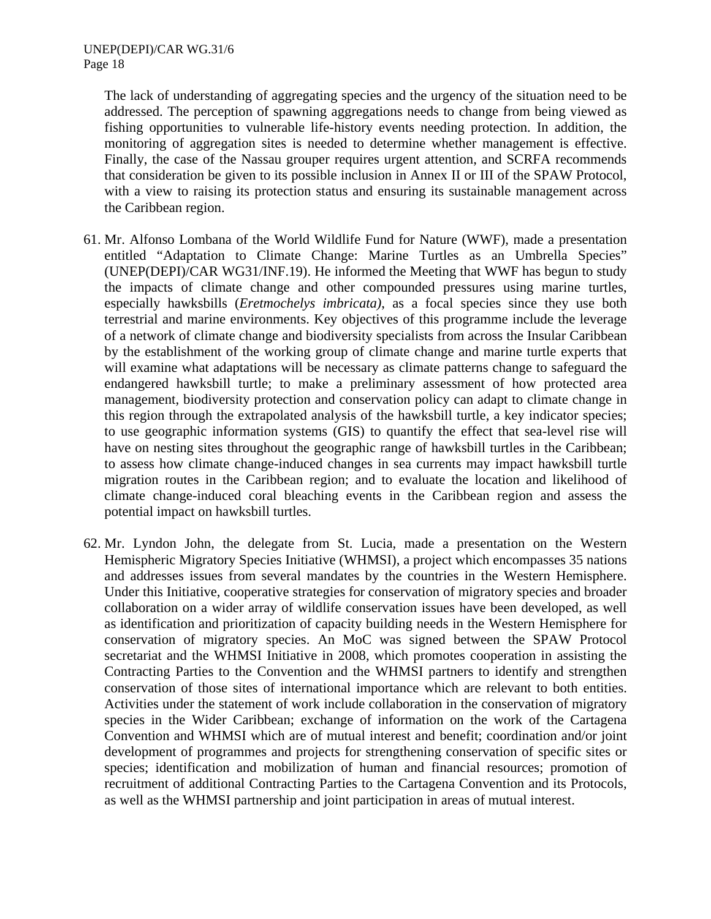The lack of understanding of aggregating species and the urgency of the situation need to be addressed. The perception of spawning aggregations needs to change from being viewed as fishing opportunities to vulnerable life-history events needing protection. In addition, the monitoring of aggregation sites is needed to determine whether management is effective. Finally, the case of the Nassau grouper requires urgent attention, and SCRFA recommends that consideration be given to its possible inclusion in Annex II or III of the SPAW Protocol, with a view to raising its protection status and ensuring its sustainable management across the Caribbean region.

- 61. Mr. Alfonso Lombana of the World Wildlife Fund for Nature (WWF), made a presentation entitled "Adaptation to Climate Change: Marine Turtles as an Umbrella Species" (UNEP(DEPI)/CAR WG31/INF.19). He informed the Meeting that WWF has begun to study the impacts of climate change and other compounded pressures using marine turtles, especially hawksbills (*Eretmochelys imbricata)*, as a focal species since they use both terrestrial and marine environments. Key objectives of this programme include the leverage of a network of climate change and biodiversity specialists from across the Insular Caribbean by the establishment of the working group of climate change and marine turtle experts that will examine what adaptations will be necessary as climate patterns change to safeguard the endangered hawksbill turtle; to make a preliminary assessment of how protected area management, biodiversity protection and conservation policy can adapt to climate change in this region through the extrapolated analysis of the hawksbill turtle, a key indicator species; to use geographic information systems (GIS) to quantify the effect that sea-level rise will have on nesting sites throughout the geographic range of hawksbill turtles in the Caribbean; to assess how climate change-induced changes in sea currents may impact hawksbill turtle migration routes in the Caribbean region; and to evaluate the location and likelihood of climate change-induced coral bleaching events in the Caribbean region and assess the potential impact on hawksbill turtles.
- 62. Mr. Lyndon John, the delegate from St. Lucia, made a presentation on the Western Hemispheric Migratory Species Initiative (WHMSI), a project which encompasses 35 nations and addresses issues from several mandates by the countries in the Western Hemisphere. Under this Initiative, cooperative strategies for conservation of migratory species and broader collaboration on a wider array of wildlife conservation issues have been developed, as well as identification and prioritization of capacity building needs in the Western Hemisphere for conservation of migratory species. An MoC was signed between the SPAW Protocol secretariat and the WHMSI Initiative in 2008, which promotes cooperation in assisting the Contracting Parties to the Convention and the WHMSI partners to identify and strengthen conservation of those sites of international importance which are relevant to both entities. Activities under the statement of work include collaboration in the conservation of migratory species in the Wider Caribbean; exchange of information on the work of the Cartagena Convention and WHMSI which are of mutual interest and benefit; coordination and/or joint development of programmes and projects for strengthening conservation of specific sites or species; identification and mobilization of human and financial resources; promotion of recruitment of additional Contracting Parties to the Cartagena Convention and its Protocols, as well as the WHMSI partnership and joint participation in areas of mutual interest.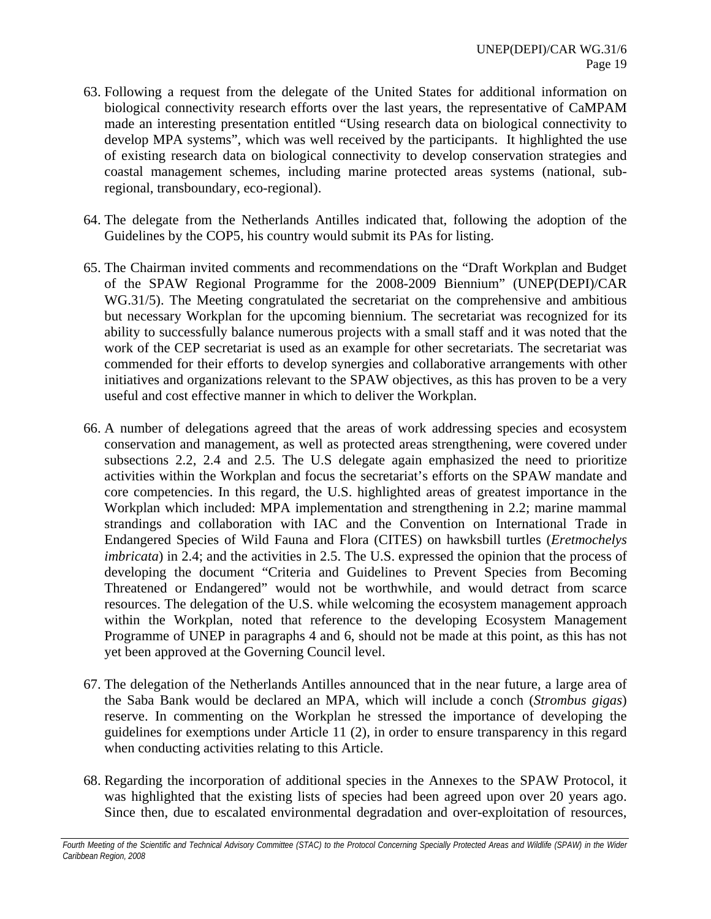- 63. Following a request from the delegate of the United States for additional information on biological connectivity research efforts over the last years, the representative of CaMPAM made an interesting presentation entitled "Using research data on biological connectivity to develop MPA systems", which was well received by the participants. It highlighted the use of existing research data on biological connectivity to develop conservation strategies and coastal management schemes, including marine protected areas systems (national, subregional, transboundary, eco-regional).
- 64. The delegate from the Netherlands Antilles indicated that, following the adoption of the Guidelines by the COP5, his country would submit its PAs for listing.
- 65. The Chairman invited comments and recommendations on the "Draft Workplan and Budget of the SPAW Regional Programme for the 2008-2009 Biennium" (UNEP(DEPI)/CAR WG.31/5). The Meeting congratulated the secretariat on the comprehensive and ambitious but necessary Workplan for the upcoming biennium. The secretariat was recognized for its ability to successfully balance numerous projects with a small staff and it was noted that the work of the CEP secretariat is used as an example for other secretariats. The secretariat was commended for their efforts to develop synergies and collaborative arrangements with other initiatives and organizations relevant to the SPAW objectives, as this has proven to be a very useful and cost effective manner in which to deliver the Workplan.
- 66. A number of delegations agreed that the areas of work addressing species and ecosystem conservation and management, as well as protected areas strengthening, were covered under subsections 2.2, 2.4 and 2.5. The U.S delegate again emphasized the need to prioritize activities within the Workplan and focus the secretariat's efforts on the SPAW mandate and core competencies. In this regard, the U.S. highlighted areas of greatest importance in the Workplan which included: MPA implementation and strengthening in 2.2; marine mammal strandings and collaboration with IAC and the Convention on International Trade in Endangered Species of Wild Fauna and Flora (CITES) on hawksbill turtles (*Eretmochelys imbricata*) in 2.4; and the activities in 2.5. The U.S. expressed the opinion that the process of developing the document "Criteria and Guidelines to Prevent Species from Becoming Threatened or Endangered" would not be worthwhile, and would detract from scarce resources. The delegation of the U.S. while welcoming the ecosystem management approach within the Workplan, noted that reference to the developing Ecosystem Management Programme of UNEP in paragraphs 4 and 6, should not be made at this point, as this has not yet been approved at the Governing Council level.
- 67. The delegation of the Netherlands Antilles announced that in the near future, a large area of the Saba Bank would be declared an MPA, which will include a conch (*Strombus gigas*) reserve. In commenting on the Workplan he stressed the importance of developing the guidelines for exemptions under Article 11 (2), in order to ensure transparency in this regard when conducting activities relating to this Article.
- 68. Regarding the incorporation of additional species in the Annexes to the SPAW Protocol, it was highlighted that the existing lists of species had been agreed upon over 20 years ago. Since then, due to escalated environmental degradation and over-exploitation of resources,

Fourth Meeting of the Scientific and Technical Advisory Committee (STAC) to the Protocol Concerning Specially Protected Areas and Wildlife (SPAW) in the Wider *Caribbean Region, 2008*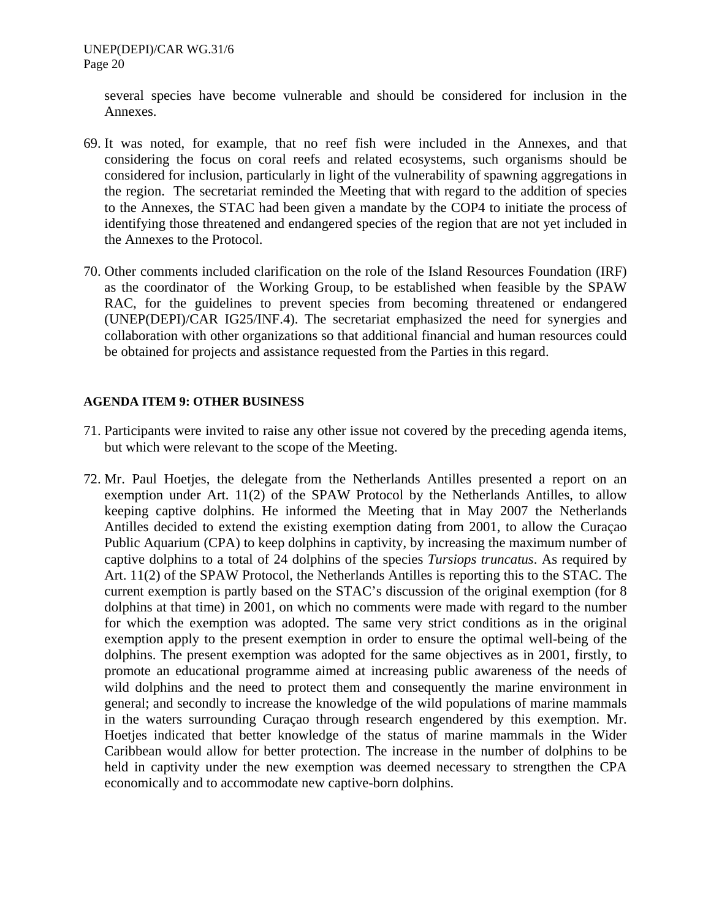several species have become vulnerable and should be considered for inclusion in the Annexes.

- 69. It was noted, for example, that no reef fish were included in the Annexes, and that considering the focus on coral reefs and related ecosystems, such organisms should be considered for inclusion, particularly in light of the vulnerability of spawning aggregations in the region. The secretariat reminded the Meeting that with regard to the addition of species to the Annexes, the STAC had been given a mandate by the COP4 to initiate the process of identifying those threatened and endangered species of the region that are not yet included in the Annexes to the Protocol.
- 70. Other comments included clarification on the role of the Island Resources Foundation (IRF) as the coordinator of the Working Group, to be established when feasible by the SPAW RAC, for the guidelines to prevent species from becoming threatened or endangered (UNEP(DEPI)/CAR IG25/INF.4). The secretariat emphasized the need for synergies and collaboration with other organizations so that additional financial and human resources could be obtained for projects and assistance requested from the Parties in this regard.

### **AGENDA ITEM 9: OTHER BUSINESS**

- 71. Participants were invited to raise any other issue not covered by the preceding agenda items, but which were relevant to the scope of the Meeting.
- 72. Mr. Paul Hoetjes, the delegate from the Netherlands Antilles presented a report on an exemption under Art. 11(2) of the SPAW Protocol by the Netherlands Antilles, to allow keeping captive dolphins. He informed the Meeting that in May 2007 the Netherlands Antilles decided to extend the existing exemption dating from 2001, to allow the Curaçao Public Aquarium (CPA) to keep dolphins in captivity, by increasing the maximum number of captive dolphins to a total of 24 dolphins of the species *Tursiops truncatus*. As required by Art. 11(2) of the SPAW Protocol, the Netherlands Antilles is reporting this to the STAC. The current exemption is partly based on the STAC's discussion of the original exemption (for 8 dolphins at that time) in 2001, on which no comments were made with regard to the number for which the exemption was adopted. The same very strict conditions as in the original exemption apply to the present exemption in order to ensure the optimal well-being of the dolphins. The present exemption was adopted for the same objectives as in 2001, firstly, to promote an educational programme aimed at increasing public awareness of the needs of wild dolphins and the need to protect them and consequently the marine environment in general; and secondly to increase the knowledge of the wild populations of marine mammals in the waters surrounding Curaçao through research engendered by this exemption. Mr. Hoetjes indicated that better knowledge of the status of marine mammals in the Wider Caribbean would allow for better protection. The increase in the number of dolphins to be held in captivity under the new exemption was deemed necessary to strengthen the CPA economically and to accommodate new captive-born dolphins.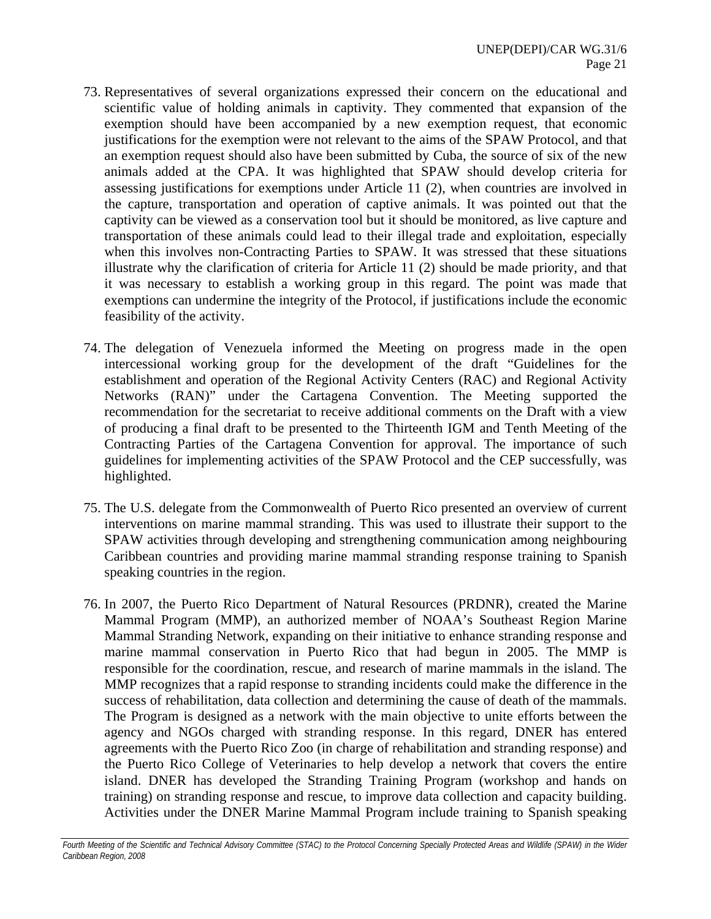- 73. Representatives of several organizations expressed their concern on the educational and scientific value of holding animals in captivity. They commented that expansion of the exemption should have been accompanied by a new exemption request, that economic justifications for the exemption were not relevant to the aims of the SPAW Protocol, and that an exemption request should also have been submitted by Cuba, the source of six of the new animals added at the CPA. It was highlighted that SPAW should develop criteria for assessing justifications for exemptions under Article 11 (2), when countries are involved in the capture, transportation and operation of captive animals. It was pointed out that the captivity can be viewed as a conservation tool but it should be monitored, as live capture and transportation of these animals could lead to their illegal trade and exploitation, especially when this involves non-Contracting Parties to SPAW. It was stressed that these situations illustrate why the clarification of criteria for Article 11 (2) should be made priority, and that it was necessary to establish a working group in this regard. The point was made that exemptions can undermine the integrity of the Protocol, if justifications include the economic feasibility of the activity.
- 74. The delegation of Venezuela informed the Meeting on progress made in the open intercessional working group for the development of the draft "Guidelines for the establishment and operation of the Regional Activity Centers (RAC) and Regional Activity Networks (RAN)" under the Cartagena Convention. The Meeting supported the recommendation for the secretariat to receive additional comments on the Draft with a view of producing a final draft to be presented to the Thirteenth IGM and Tenth Meeting of the Contracting Parties of the Cartagena Convention for approval. The importance of such guidelines for implementing activities of the SPAW Protocol and the CEP successfully, was highlighted.
- 75. The U.S. delegate from the Commonwealth of Puerto Rico presented an overview of current interventions on marine mammal stranding. This was used to illustrate their support to the SPAW activities through developing and strengthening communication among neighbouring Caribbean countries and providing marine mammal stranding response training to Spanish speaking countries in the region.
- 76. In 2007, the Puerto Rico Department of Natural Resources (PRDNR), created the Marine Mammal Program (MMP), an authorized member of NOAA's Southeast Region Marine Mammal Stranding Network, expanding on their initiative to enhance stranding response and marine mammal conservation in Puerto Rico that had begun in 2005. The MMP is responsible for the coordination, rescue, and research of marine mammals in the island. The MMP recognizes that a rapid response to stranding incidents could make the difference in the success of rehabilitation, data collection and determining the cause of death of the mammals. The Program is designed as a network with the main objective to unite efforts between the agency and NGOs charged with stranding response. In this regard, DNER has entered agreements with the Puerto Rico Zoo (in charge of rehabilitation and stranding response) and the Puerto Rico College of Veterinaries to help develop a network that covers the entire island. DNER has developed the Stranding Training Program (workshop and hands on training) on stranding response and rescue, to improve data collection and capacity building. Activities under the DNER Marine Mammal Program include training to Spanish speaking

Fourth Meeting of the Scientific and Technical Advisory Committee (STAC) to the Protocol Concerning Specially Protected Areas and Wildlife (SPAW) in the Wider *Caribbean Region, 2008*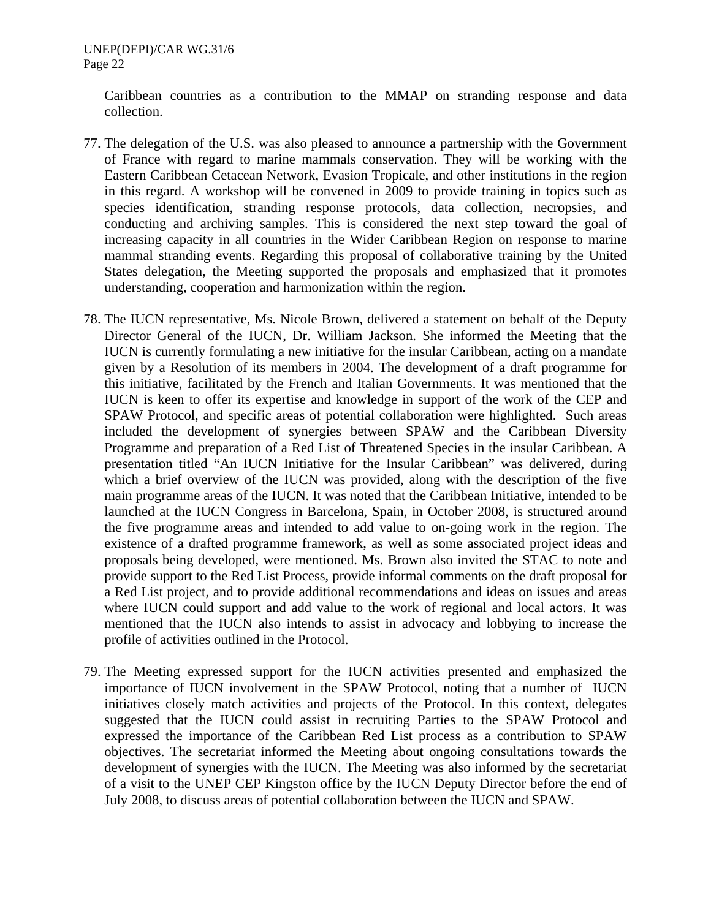Caribbean countries as a contribution to the MMAP on stranding response and data collection.

- 77. The delegation of the U.S. was also pleased to announce a partnership with the Government of France with regard to marine mammals conservation. They will be working with the Eastern Caribbean Cetacean Network, Evasion Tropicale, and other institutions in the region in this regard. A workshop will be convened in 2009 to provide training in topics such as species identification, stranding response protocols, data collection, necropsies, and conducting and archiving samples. This is considered the next step toward the goal of increasing capacity in all countries in the Wider Caribbean Region on response to marine mammal stranding events. Regarding this proposal of collaborative training by the United States delegation, the Meeting supported the proposals and emphasized that it promotes understanding, cooperation and harmonization within the region.
- 78. The IUCN representative, Ms. Nicole Brown, delivered a statement on behalf of the Deputy Director General of the IUCN, Dr. William Jackson. She informed the Meeting that the IUCN is currently formulating a new initiative for the insular Caribbean, acting on a mandate given by a Resolution of its members in 2004. The development of a draft programme for this initiative, facilitated by the French and Italian Governments. It was mentioned that the IUCN is keen to offer its expertise and knowledge in support of the work of the CEP and SPAW Protocol, and specific areas of potential collaboration were highlighted. Such areas included the development of synergies between SPAW and the Caribbean Diversity Programme and preparation of a Red List of Threatened Species in the insular Caribbean. A presentation titled "An IUCN Initiative for the Insular Caribbean" was delivered, during which a brief overview of the IUCN was provided, along with the description of the five main programme areas of the IUCN. It was noted that the Caribbean Initiative, intended to be launched at the IUCN Congress in Barcelona, Spain, in October 2008, is structured around the five programme areas and intended to add value to on-going work in the region. The existence of a drafted programme framework, as well as some associated project ideas and proposals being developed, were mentioned. Ms. Brown also invited the STAC to note and provide support to the Red List Process, provide informal comments on the draft proposal for a Red List project, and to provide additional recommendations and ideas on issues and areas where IUCN could support and add value to the work of regional and local actors. It was mentioned that the IUCN also intends to assist in advocacy and lobbying to increase the profile of activities outlined in the Protocol.
- 79. The Meeting expressed support for the IUCN activities presented and emphasized the importance of IUCN involvement in the SPAW Protocol, noting that a number of IUCN initiatives closely match activities and projects of the Protocol. In this context, delegates suggested that the IUCN could assist in recruiting Parties to the SPAW Protocol and expressed the importance of the Caribbean Red List process as a contribution to SPAW objectives. The secretariat informed the Meeting about ongoing consultations towards the development of synergies with the IUCN. The Meeting was also informed by the secretariat of a visit to the UNEP CEP Kingston office by the IUCN Deputy Director before the end of July 2008, to discuss areas of potential collaboration between the IUCN and SPAW.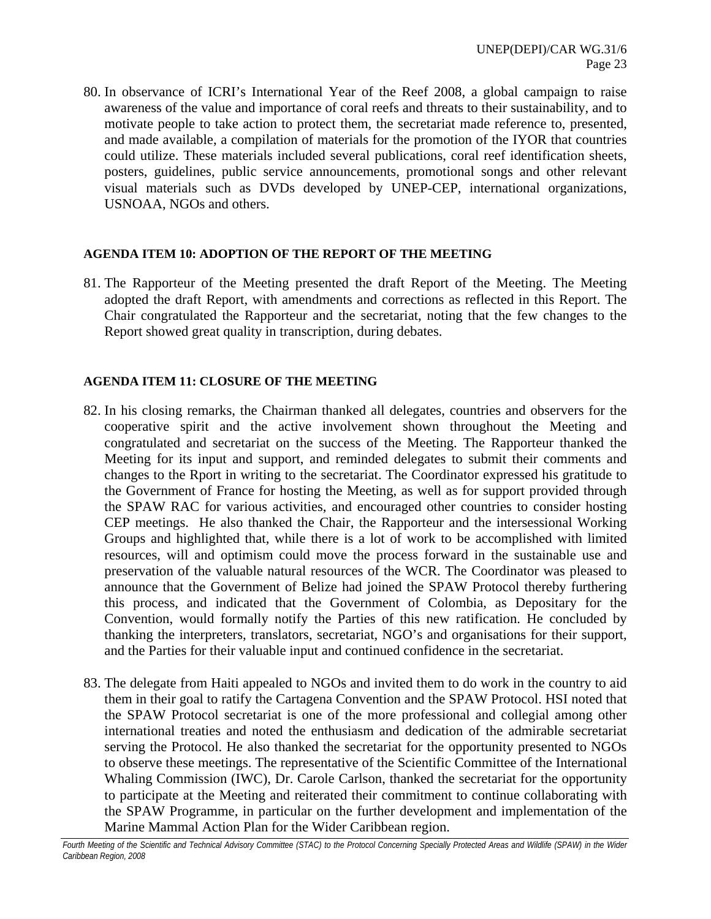80. In observance of ICRI's International Year of the Reef 2008, a global campaign to raise awareness of the value and importance of coral reefs and threats to their sustainability, and to motivate people to take action to protect them, the secretariat made reference to, presented, and made available, a compilation of materials for the promotion of the IYOR that countries could utilize. These materials included several publications, coral reef identification sheets, posters, guidelines, public service announcements, promotional songs and other relevant visual materials such as DVDs developed by UNEP-CEP, international organizations, USNOAA, NGOs and others.

#### **AGENDA ITEM 10: ADOPTION OF THE REPORT OF THE MEETING**

81. The Rapporteur of the Meeting presented the draft Report of the Meeting. The Meeting adopted the draft Report, with amendments and corrections as reflected in this Report. The Chair congratulated the Rapporteur and the secretariat, noting that the few changes to the Report showed great quality in transcription, during debates.

#### **AGENDA ITEM 11: CLOSURE OF THE MEETING**

- 82. In his closing remarks, the Chairman thanked all delegates, countries and observers for the cooperative spirit and the active involvement shown throughout the Meeting and congratulated and secretariat on the success of the Meeting. The Rapporteur thanked the Meeting for its input and support, and reminded delegates to submit their comments and changes to the Rport in writing to the secretariat. The Coordinator expressed his gratitude to the Government of France for hosting the Meeting, as well as for support provided through the SPAW RAC for various activities, and encouraged other countries to consider hosting CEP meetings. He also thanked the Chair, the Rapporteur and the intersessional Working Groups and highlighted that, while there is a lot of work to be accomplished with limited resources, will and optimism could move the process forward in the sustainable use and preservation of the valuable natural resources of the WCR. The Coordinator was pleased to announce that the Government of Belize had joined the SPAW Protocol thereby furthering this process, and indicated that the Government of Colombia, as Depositary for the Convention, would formally notify the Parties of this new ratification. He concluded by thanking the interpreters, translators, secretariat, NGO's and organisations for their support, and the Parties for their valuable input and continued confidence in the secretariat.
- 83. The delegate from Haiti appealed to NGOs and invited them to do work in the country to aid them in their goal to ratify the Cartagena Convention and the SPAW Protocol. HSI noted that the SPAW Protocol secretariat is one of the more professional and collegial among other international treaties and noted the enthusiasm and dedication of the admirable secretariat serving the Protocol. He also thanked the secretariat for the opportunity presented to NGOs to observe these meetings. The representative of the Scientific Committee of the International Whaling Commission (IWC), Dr. Carole Carlson, thanked the secretariat for the opportunity to participate at the Meeting and reiterated their commitment to continue collaborating with the SPAW Programme, in particular on the further development and implementation of the Marine Mammal Action Plan for the Wider Caribbean region.

*Fourth Meeting of the Scientific and Technical Advisory Committee (STAC) to the Protocol Concerning Specially Protected Areas and Wildlife (SPAW) in the Wider Caribbean Region, 2008*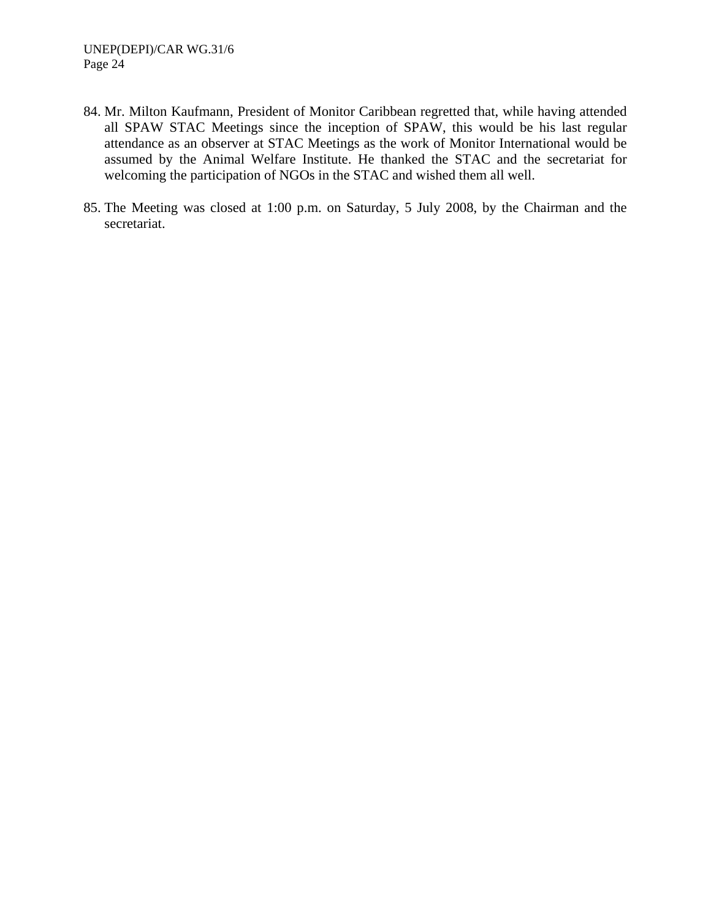- 84. Mr. Milton Kaufmann, President of Monitor Caribbean regretted that, while having attended all SPAW STAC Meetings since the inception of SPAW, this would be his last regular attendance as an observer at STAC Meetings as the work of Monitor International would be assumed by the Animal Welfare Institute. He thanked the STAC and the secretariat for welcoming the participation of NGOs in the STAC and wished them all well.
- 85. The Meeting was closed at 1:00 p.m. on Saturday, 5 July 2008, by the Chairman and the secretariat.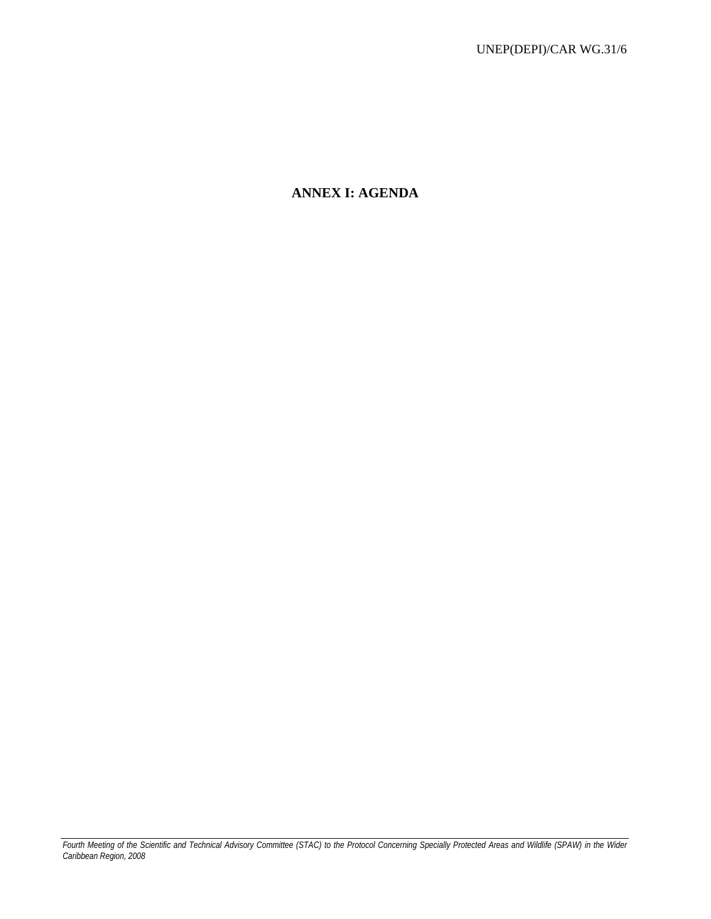# **ANNEX I: AGENDA**

*Fourth Meeting of the Scientific and Technical Advisory Committee (STAC) to the Protocol Concerning Specially Protected Areas and Wildlife (SPAW) in the Wider Caribbean Region, 2008*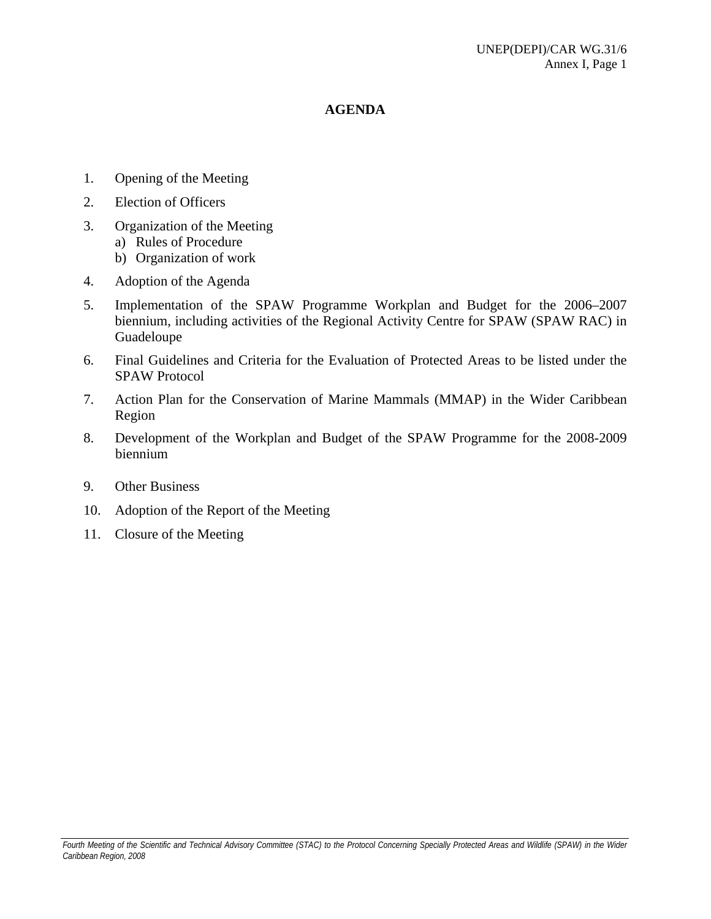### **AGENDA**

- 1. Opening of the Meeting
- 2. Election of Officers
- 3. Organization of the Meeting
	- a) Rules of Procedure
	- b) Organization of work
- 4. Adoption of the Agenda
- 5. Implementation of the SPAW Programme Workplan and Budget for the 2006–2007 biennium, including activities of the Regional Activity Centre for SPAW (SPAW RAC) in Guadeloupe
- 6. Final Guidelines and Criteria for the Evaluation of Protected Areas to be listed under the SPAW Protocol
- 7. Action Plan for the Conservation of Marine Mammals (MMAP) in the Wider Caribbean Region
- 8. Development of the Workplan and Budget of the SPAW Programme for the 2008-2009 biennium
- 9. Other Business
- 10. Adoption of the Report of the Meeting
- 11. Closure of the Meeting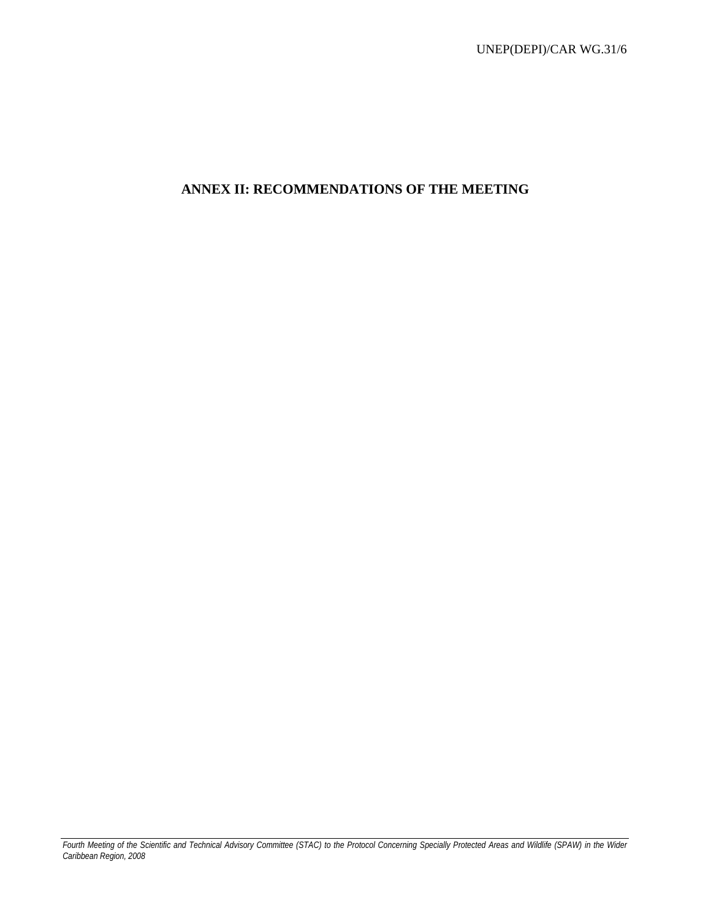# **ANNEX II: RECOMMENDATIONS OF THE MEETING**

*Fourth Meeting of the Scientific and Technical Advisory Committee (STAC) to the Protocol Concerning Specially Protected Areas and Wildlife (SPAW) in the Wider Caribbean Region, 2008*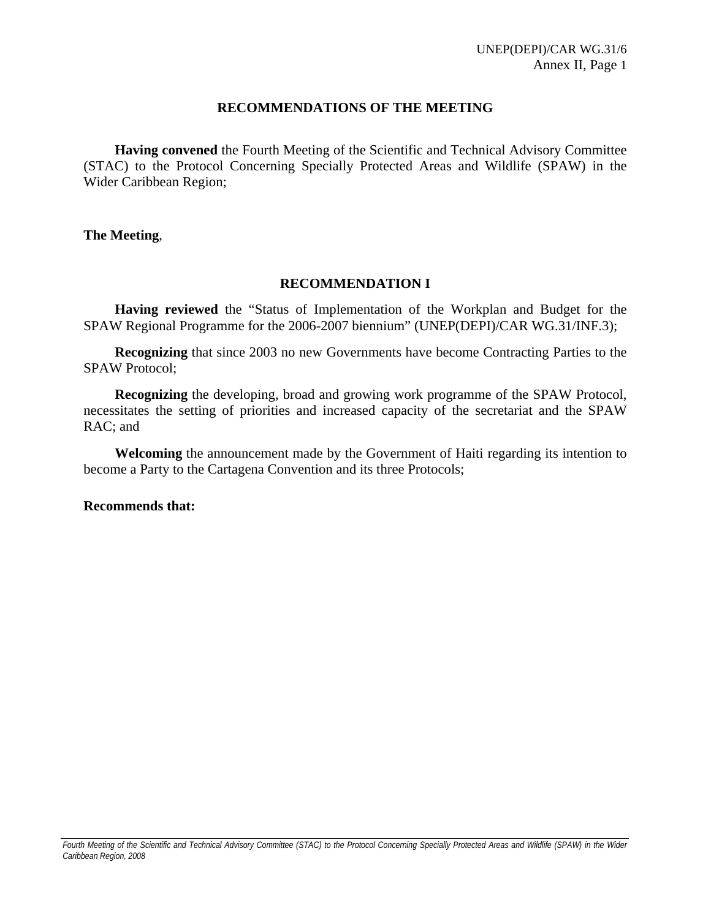### **RECOMMENDATIONS OF THE MEETING**

**Having convened** the Fourth Meeting of the Scientific and Technical Advisory Committee (STAC) to the Protocol Concerning Specially Protected Areas and Wildlife (SPAW) in the Wider Caribbean Region;

**The Meeting**,

### **RECOMMENDATION I**

**Having reviewed** the "Status of Implementation of the Workplan and Budget for the SPAW Regional Programme for the 2006-2007 biennium" (UNEP(DEPI)/CAR WG.31/INF.3);

**Recognizing** that since 2003 no new Governments have become Contracting Parties to the SPAW Protocol;

**Recognizing** the developing, broad and growing work programme of the SPAW Protocol, necessitates the setting of priorities and increased capacity of the secretariat and the SPAW RAC; and

**Welcoming** the announcement made by the Government of Haiti regarding its intention to become a Party to the Cartagena Convention and its three Protocols;

**Recommends that:**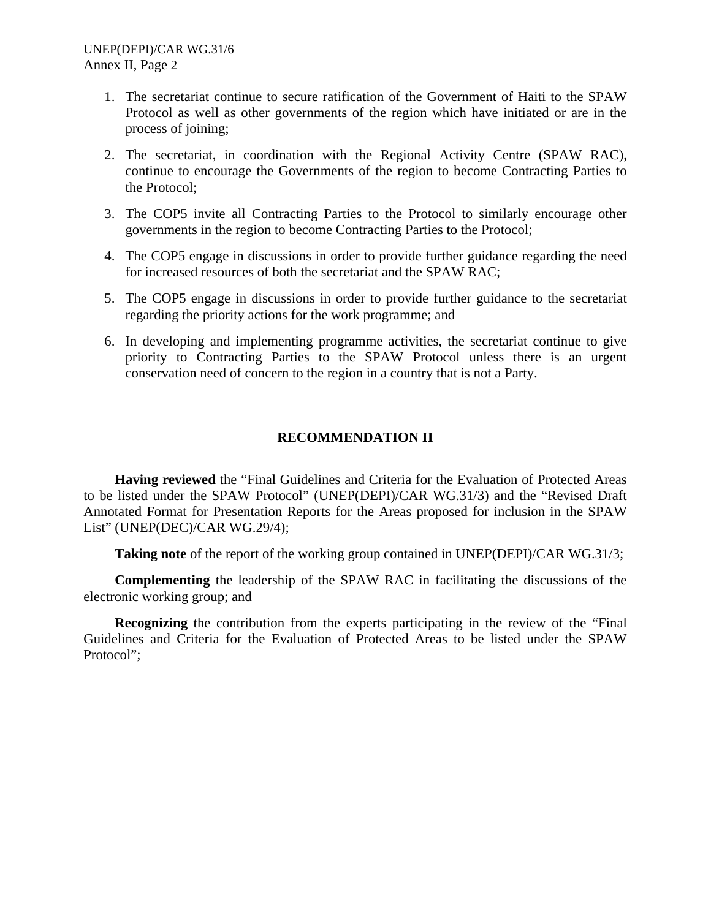- 1. The secretariat continue to secure ratification of the Government of Haiti to the SPAW Protocol as well as other governments of the region which have initiated or are in the process of joining;
- 2. The secretariat, in coordination with the Regional Activity Centre (SPAW RAC), continue to encourage the Governments of the region to become Contracting Parties to the Protocol;
- 3. The COP5 invite all Contracting Parties to the Protocol to similarly encourage other governments in the region to become Contracting Parties to the Protocol;
- 4. The COP5 engage in discussions in order to provide further guidance regarding the need for increased resources of both the secretariat and the SPAW RAC;
- 5. The COP5 engage in discussions in order to provide further guidance to the secretariat regarding the priority actions for the work programme; and
- 6. In developing and implementing programme activities, the secretariat continue to give priority to Contracting Parties to the SPAW Protocol unless there is an urgent conservation need of concern to the region in a country that is not a Party.

## **RECOMMENDATION II**

**Having reviewed** the "Final Guidelines and Criteria for the Evaluation of Protected Areas to be listed under the SPAW Protocol" (UNEP(DEPI)/CAR WG.31/3) and the "Revised Draft Annotated Format for Presentation Reports for the Areas proposed for inclusion in the SPAW List" (UNEP(DEC)/CAR WG.29/4);

**Taking note** of the report of the working group contained in UNEP(DEPI)/CAR WG.31/3;

**Complementing** the leadership of the SPAW RAC in facilitating the discussions of the electronic working group; and

**Recognizing** the contribution from the experts participating in the review of the "Final Guidelines and Criteria for the Evaluation of Protected Areas to be listed under the SPAW Protocol";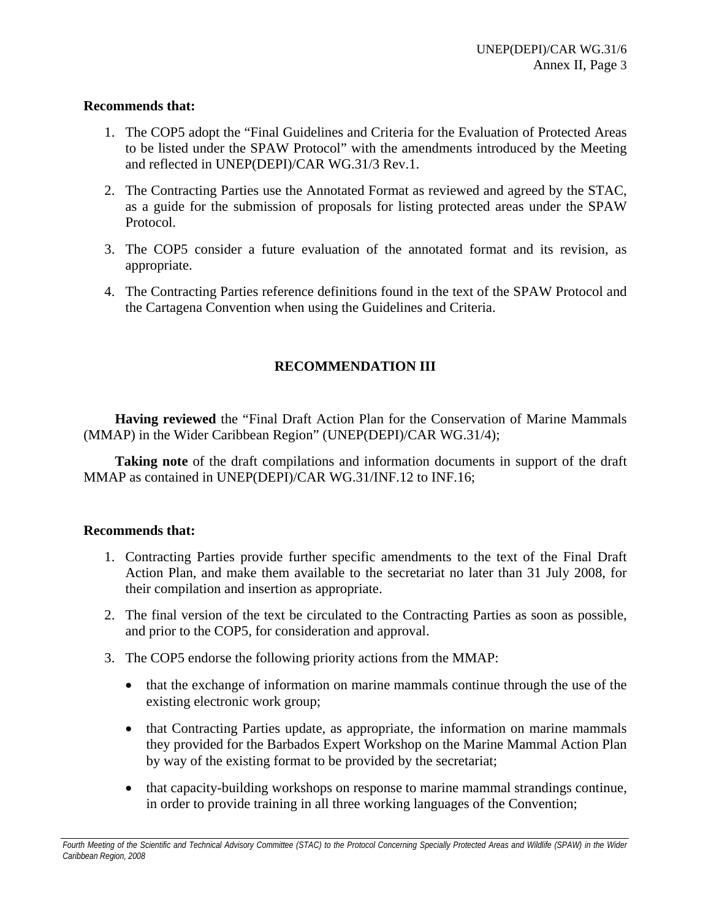### **Recommends that:**

- 1. The COP5 adopt the "Final Guidelines and Criteria for the Evaluation of Protected Areas to be listed under the SPAW Protocol" with the amendments introduced by the Meeting and reflected in UNEP(DEPI)/CAR WG.31/3 Rev.1.
- 2. The Contracting Parties use the Annotated Format as reviewed and agreed by the STAC, as a guide for the submission of proposals for listing protected areas under the SPAW Protocol.
- 3. The COP5 consider a future evaluation of the annotated format and its revision, as appropriate.
- 4. The Contracting Parties reference definitions found in the text of the SPAW Protocol and the Cartagena Convention when using the Guidelines and Criteria.

## **RECOMMENDATION III**

**Having reviewed** the "Final Draft Action Plan for the Conservation of Marine Mammals (MMAP) in the Wider Caribbean Region" (UNEP(DEPI)/CAR WG.31/4);

**Taking note** of the draft compilations and information documents in support of the draft MMAP as contained in UNEP(DEPI)/CAR WG.31/INF.12 to INF.16;

### **Recommends that:**

- 1. Contracting Parties provide further specific amendments to the text of the Final Draft Action Plan, and make them available to the secretariat no later than 31 July 2008, for their compilation and insertion as appropriate.
- 2. The final version of the text be circulated to the Contracting Parties as soon as possible, and prior to the COP5, for consideration and approval.
- 3. The COP5 endorse the following priority actions from the MMAP:
	- that the exchange of information on marine mammals continue through the use of the existing electronic work group;
	- that Contracting Parties update, as appropriate, the information on marine mammals they provided for the Barbados Expert Workshop on the Marine Mammal Action Plan by way of the existing format to be provided by the secretariat;
	- that capacity-building workshops on response to marine mammal strandings continue, in order to provide training in all three working languages of the Convention;

Fourth Meeting of the Scientific and Technical Advisory Committee (STAC) to the Protocol Concerning Specially Protected Areas and Wildlife (SPAW) in the Wider *Caribbean Region, 2008*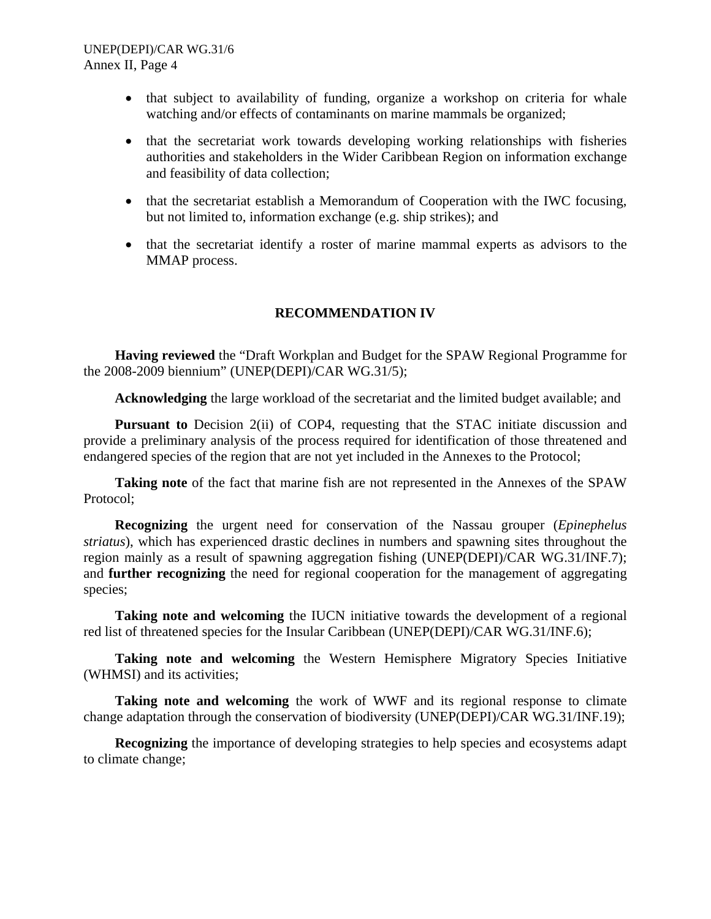- that subject to availability of funding, organize a workshop on criteria for whale watching and/or effects of contaminants on marine mammals be organized;
- that the secretariat work towards developing working relationships with fisheries authorities and stakeholders in the Wider Caribbean Region on information exchange and feasibility of data collection;
- that the secretariat establish a Memorandum of Cooperation with the IWC focusing, but not limited to, information exchange (e.g. ship strikes); and
- that the secretariat identify a roster of marine mammal experts as advisors to the MMAP process.

## **RECOMMENDATION IV**

**Having reviewed** the "Draft Workplan and Budget for the SPAW Regional Programme for the 2008-2009 biennium" (UNEP(DEPI)/CAR WG.31/5);

**Acknowledging** the large workload of the secretariat and the limited budget available; and

**Pursuant to** Decision 2(ii) of COP4, requesting that the STAC initiate discussion and provide a preliminary analysis of the process required for identification of those threatened and endangered species of the region that are not yet included in the Annexes to the Protocol;

**Taking note** of the fact that marine fish are not represented in the Annexes of the SPAW Protocol;

**Recognizing** the urgent need for conservation of the Nassau grouper (*Epinephelus striatus*), which has experienced drastic declines in numbers and spawning sites throughout the region mainly as a result of spawning aggregation fishing (UNEP(DEPI)/CAR WG.31/INF.7); and **further recognizing** the need for regional cooperation for the management of aggregating species;

**Taking note and welcoming** the IUCN initiative towards the development of a regional red list of threatened species for the Insular Caribbean (UNEP(DEPI)/CAR WG.31/INF.6);

**Taking note and welcoming** the Western Hemisphere Migratory Species Initiative (WHMSI) and its activities;

**Taking note and welcoming** the work of WWF and its regional response to climate change adaptation through the conservation of biodiversity (UNEP(DEPI)/CAR WG.31/INF.19);

**Recognizing** the importance of developing strategies to help species and ecosystems adapt to climate change;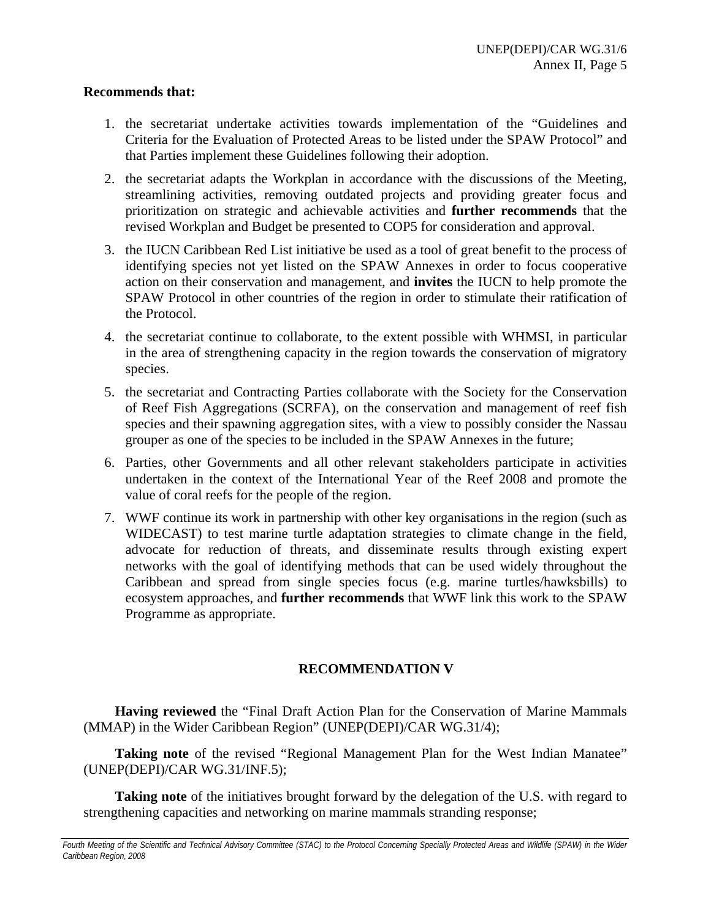### **Recommends that:**

- 1. the secretariat undertake activities towards implementation of the "Guidelines and Criteria for the Evaluation of Protected Areas to be listed under the SPAW Protocol" and that Parties implement these Guidelines following their adoption.
- 2. the secretariat adapts the Workplan in accordance with the discussions of the Meeting, streamlining activities, removing outdated projects and providing greater focus and prioritization on strategic and achievable activities and **further recommends** that the revised Workplan and Budget be presented to COP5 for consideration and approval.
- 3. the IUCN Caribbean Red List initiative be used as a tool of great benefit to the process of identifying species not yet listed on the SPAW Annexes in order to focus cooperative action on their conservation and management, and **invites** the IUCN to help promote the SPAW Protocol in other countries of the region in order to stimulate their ratification of the Protocol.
- 4. the secretariat continue to collaborate, to the extent possible with WHMSI, in particular in the area of strengthening capacity in the region towards the conservation of migratory species.
- 5. the secretariat and Contracting Parties collaborate with the Society for the Conservation of Reef Fish Aggregations (SCRFA), on the conservation and management of reef fish species and their spawning aggregation sites, with a view to possibly consider the Nassau grouper as one of the species to be included in the SPAW Annexes in the future;
- 6. Parties, other Governments and all other relevant stakeholders participate in activities undertaken in the context of the International Year of the Reef 2008 and promote the value of coral reefs for the people of the region.
- 7. WWF continue its work in partnership with other key organisations in the region (such as WIDECAST) to test marine turtle adaptation strategies to climate change in the field, advocate for reduction of threats, and disseminate results through existing expert networks with the goal of identifying methods that can be used widely throughout the Caribbean and spread from single species focus (e.g. marine turtles/hawksbills) to ecosystem approaches, and **further recommends** that WWF link this work to the SPAW Programme as appropriate.

### **RECOMMENDATION V**

**Having reviewed** the "Final Draft Action Plan for the Conservation of Marine Mammals (MMAP) in the Wider Caribbean Region" (UNEP(DEPI)/CAR WG.31/4);

**Taking note** of the revised "Regional Management Plan for the West Indian Manatee" (UNEP(DEPI)/CAR WG.31/INF.5);

**Taking note** of the initiatives brought forward by the delegation of the U.S. with regard to strengthening capacities and networking on marine mammals stranding response;

Fourth Meeting of the Scientific and Technical Advisory Committee (STAC) to the Protocol Concerning Specially Protected Areas and Wildlife (SPAW) in the Wider *Caribbean Region, 2008*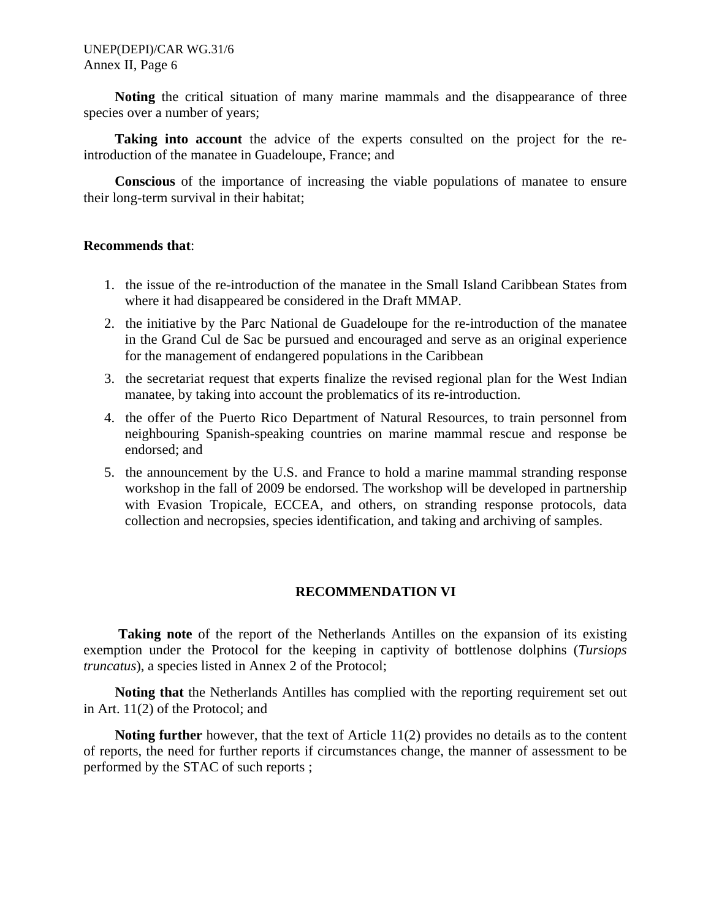**Noting** the critical situation of many marine mammals and the disappearance of three species over a number of years;

**Taking into account** the advice of the experts consulted on the project for the reintroduction of the manatee in Guadeloupe, France; and

**Conscious** of the importance of increasing the viable populations of manatee to ensure their long-term survival in their habitat;

### **Recommends that**:

- 1. the issue of the re-introduction of the manatee in the Small Island Caribbean States from where it had disappeared be considered in the Draft MMAP.
- 2. the initiative by the Parc National de Guadeloupe for the re-introduction of the manatee in the Grand Cul de Sac be pursued and encouraged and serve as an original experience for the management of endangered populations in the Caribbean
- 3. the secretariat request that experts finalize the revised regional plan for the West Indian manatee, by taking into account the problematics of its re-introduction.
- 4. the offer of the Puerto Rico Department of Natural Resources, to train personnel from neighbouring Spanish-speaking countries on marine mammal rescue and response be endorsed; and
- 5. the announcement by the U.S. and France to hold a marine mammal stranding response workshop in the fall of 2009 be endorsed. The workshop will be developed in partnership with Evasion Tropicale, ECCEA, and others, on stranding response protocols, data collection and necropsies, species identification, and taking and archiving of samples.

### **RECOMMENDATION VI**

**Taking note** of the report of the Netherlands Antilles on the expansion of its existing exemption under the Protocol for the keeping in captivity of bottlenose dolphins (*Tursiops truncatus*), a species listed in Annex 2 of the Protocol;

**Noting that** the Netherlands Antilles has complied with the reporting requirement set out in Art. 11(2) of the Protocol; and

**Noting further** however, that the text of Article 11(2) provides no details as to the content of reports, the need for further reports if circumstances change, the manner of assessment to be performed by the STAC of such reports ;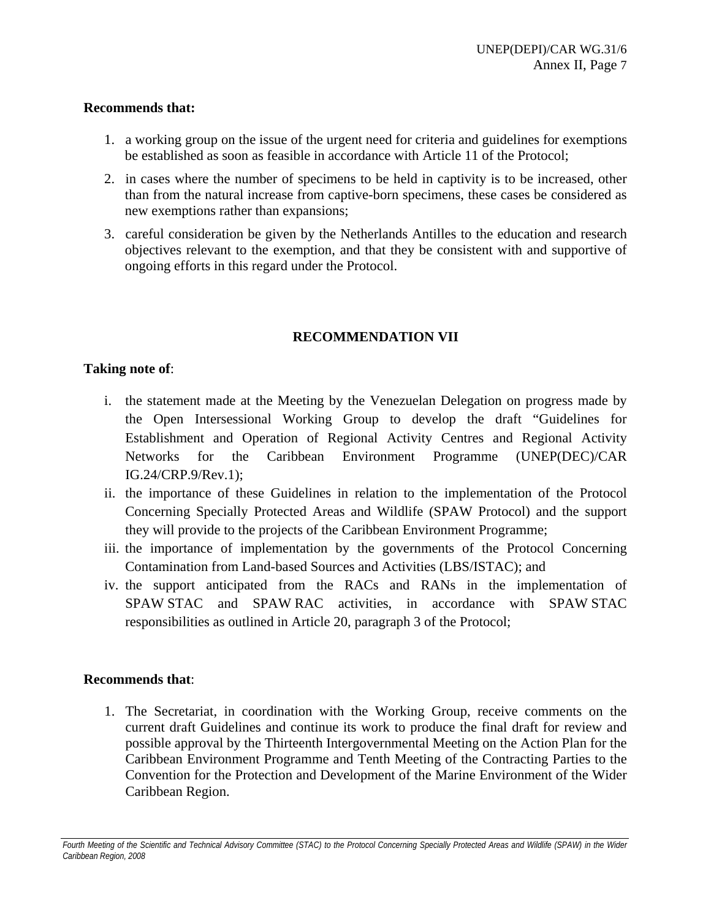## **Recommends that:**

- 1. a working group on the issue of the urgent need for criteria and guidelines for exemptions be established as soon as feasible in accordance with Article 11 of the Protocol;
- 2. in cases where the number of specimens to be held in captivity is to be increased, other than from the natural increase from captive-born specimens, these cases be considered as new exemptions rather than expansions;
- 3. careful consideration be given by the Netherlands Antilles to the education and research objectives relevant to the exemption, and that they be consistent with and supportive of ongoing efforts in this regard under the Protocol.

## **RECOMMENDATION VII**

## **Taking note of**:

- i. the statement made at the Meeting by the Venezuelan Delegation on progress made by the Open Intersessional Working Group to develop the draft "Guidelines for Establishment and Operation of Regional Activity Centres and Regional Activity Networks for the Caribbean Environment Programme (UNEP(DEC)/CAR IG.24/CRP.9/Rev.1);
- ii. the importance of these Guidelines in relation to the implementation of the Protocol Concerning Specially Protected Areas and Wildlife (SPAW Protocol) and the support they will provide to the projects of the Caribbean Environment Programme;
- iii. the importance of implementation by the governments of the Protocol Concerning Contamination from Land-based Sources and Activities (LBS/ISTAC); and
- iv. the support anticipated from the RACs and RANs in the implementation of SPAW STAC and SPAW RAC activities, in accordance with SPAW STAC responsibilities as outlined in Article 20, paragraph 3 of the Protocol;

## **Recommends that**:

1. The Secretariat, in coordination with the Working Group, receive comments on the current draft Guidelines and continue its work to produce the final draft for review and possible approval by the Thirteenth Intergovernmental Meeting on the Action Plan for the Caribbean Environment Programme and Tenth Meeting of the Contracting Parties to the Convention for the Protection and Development of the Marine Environment of the Wider Caribbean Region.

Fourth Meeting of the Scientific and Technical Advisory Committee (STAC) to the Protocol Concerning Specially Protected Areas and Wildlife (SPAW) in the Wider *Caribbean Region, 2008*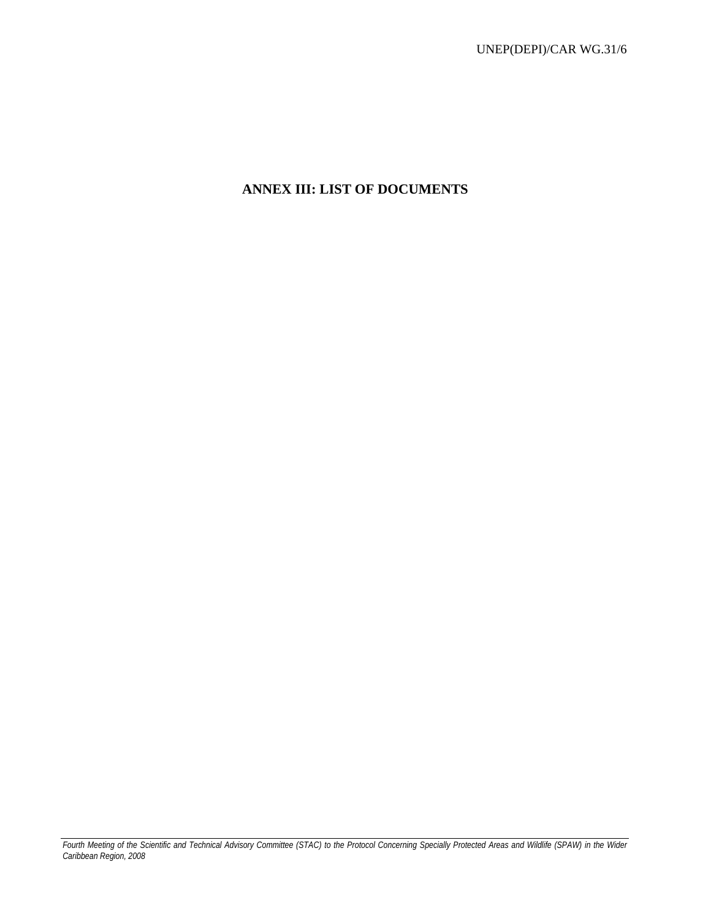# **ANNEX III: LIST OF DOCUMENTS**

*Fourth Meeting of the Scientific and Technical Advisory Committee (STAC) to the Protocol Concerning Specially Protected Areas and Wildlife (SPAW) in the Wider Caribbean Region, 2008*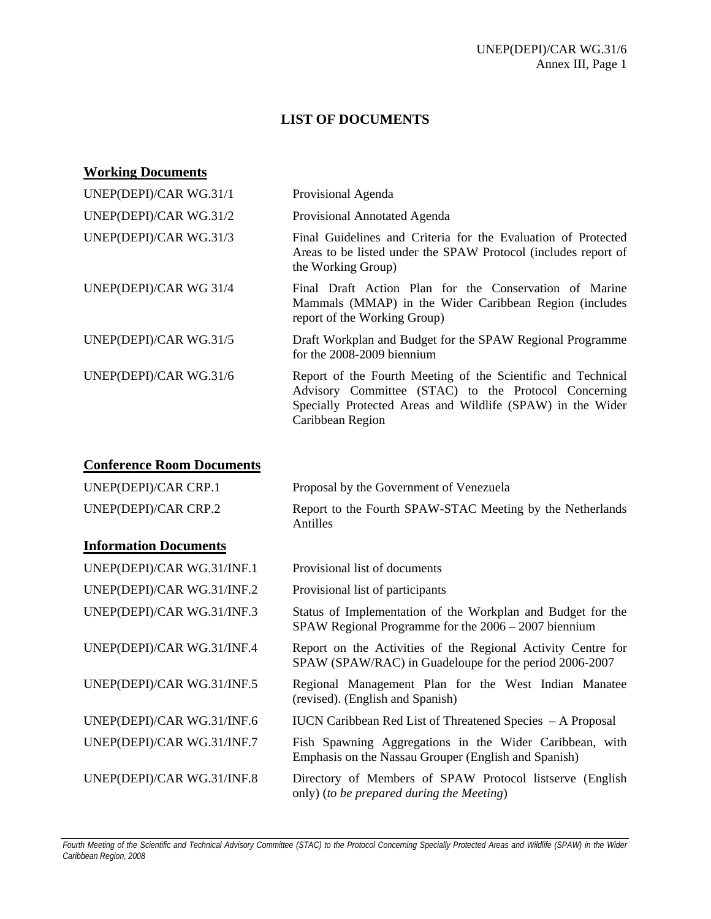## **LIST OF DOCUMENTS**

| <b>Working Documents</b> |                                                                                                                                                                                                        |
|--------------------------|--------------------------------------------------------------------------------------------------------------------------------------------------------------------------------------------------------|
| UNEP(DEPI)/CAR WG.31/1   | Provisional Agenda                                                                                                                                                                                     |
| UNEP(DEPI)/CAR WG.31/2   | Provisional Annotated Agenda                                                                                                                                                                           |
| UNEP(DEPI)/CAR WG.31/3   | Final Guidelines and Criteria for the Evaluation of Protected<br>Areas to be listed under the SPAW Protocol (includes report of<br>the Working Group)                                                  |
| UNEP(DEPI)/CAR WG 31/4   | Final Draft Action Plan for the Conservation of Marine<br>Mammals (MMAP) in the Wider Caribbean Region (includes<br>report of the Working Group)                                                       |
| UNEP(DEPI)/CAR WG.31/5   | Draft Workplan and Budget for the SPAW Regional Programme<br>for the $2008-2009$ biennium                                                                                                              |
| UNEP(DEPI)/CAR WG.31/6   | Report of the Fourth Meeting of the Scientific and Technical<br>Advisory Committee (STAC) to the Protocol Concerning<br>Specially Protected Areas and Wildlife (SPAW) in the Wider<br>Caribbean Region |

# **Conference Room Documents**

| UNEP(DEPI)/CAR CRP.1         | Proposal by the Government of Venezuela                                                                                 |  |
|------------------------------|-------------------------------------------------------------------------------------------------------------------------|--|
| UNEP(DEPI)/CAR CRP.2         | Report to the Fourth SPAW-STAC Meeting by the Netherlands<br>Antilles                                                   |  |
| <b>Information Documents</b> |                                                                                                                         |  |
| UNEP(DEPI)/CAR WG.31/INF.1   | Provisional list of documents                                                                                           |  |
| UNEP(DEPI)/CAR WG.31/INF.2   | Provisional list of participants                                                                                        |  |
| UNEP(DEPI)/CAR WG.31/INF.3   | Status of Implementation of the Workplan and Budget for the<br>$SPAW$ Regional Programme for the $2006 - 2007$ biennium |  |
| UNEP(DEPI)/CAR WG.31/INF.4   | Report on the Activities of the Regional Activity Centre for<br>SPAW (SPAW/RAC) in Guadeloupe for the period 2006-2007  |  |
| UNEP(DEPI)/CAR WG.31/INF.5   | Regional Management Plan for the West Indian Manatee<br>(revised). (English and Spanish)                                |  |
| UNEP(DEPI)/CAR WG.31/INF.6   | IUCN Caribbean Red List of Threatened Species - A Proposal                                                              |  |
| UNEP(DEPI)/CAR WG.31/INF.7   | Fish Spawning Aggregations in the Wider Caribbean, with<br>Emphasis on the Nassau Grouper (English and Spanish)         |  |
| UNEP(DEPI)/CAR WG.31/INF.8   | Directory of Members of SPAW Protocol listserve (English<br>only) (to be prepared during the Meeting)                   |  |

*Fourth Meeting of the Scientific and Technical Advisory Committee (STAC) to the Protocol Concerning Specially Protected Areas and Wildlife (SPAW) in the Wider Caribbean Region, 2008*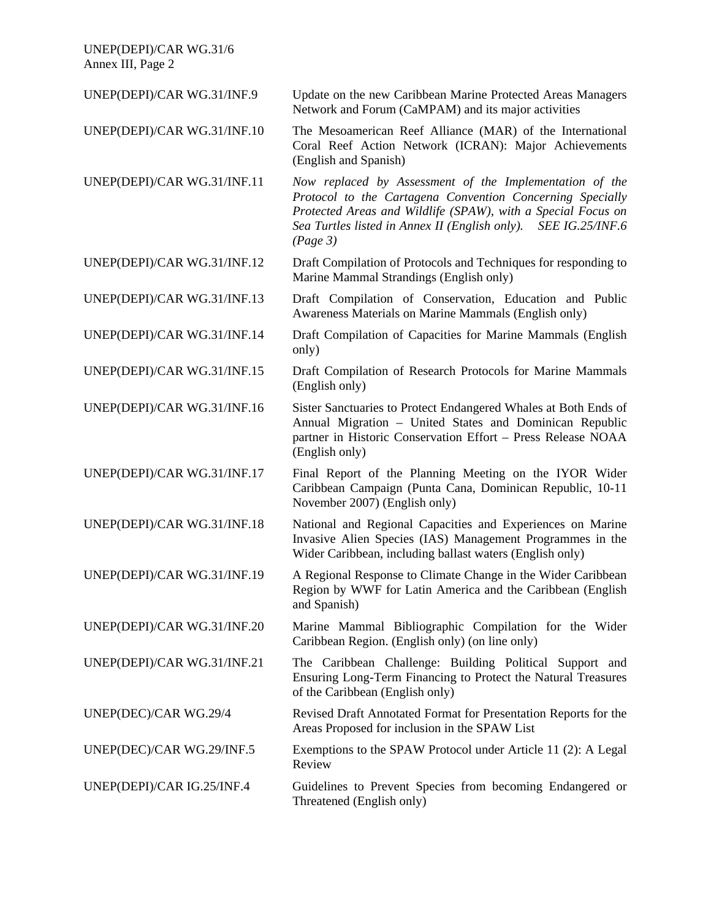UNEP(DEPI)/CAR WG.31/6 Annex III, Page 2

| UNEP(DEPI)/CAR WG.31/INF.9  | Update on the new Caribbean Marine Protected Areas Managers<br>Network and Forum (CaMPAM) and its major activities                                                                                                                                                           |
|-----------------------------|------------------------------------------------------------------------------------------------------------------------------------------------------------------------------------------------------------------------------------------------------------------------------|
| UNEP(DEPI)/CAR WG.31/INF.10 | The Mesoamerican Reef Alliance (MAR) of the International<br>Coral Reef Action Network (ICRAN): Major Achievements<br>(English and Spanish)                                                                                                                                  |
| UNEP(DEPI)/CAR WG.31/INF.11 | Now replaced by Assessment of the Implementation of the<br>Protocol to the Cartagena Convention Concerning Specially<br>Protected Areas and Wildlife (SPAW), with a Special Focus on<br>Sea Turtles listed in Annex II (English only).<br><b>SEE IG.25/INF.6</b><br>(Page 3) |
| UNEP(DEPI)/CAR WG.31/INF.12 | Draft Compilation of Protocols and Techniques for responding to<br>Marine Mammal Strandings (English only)                                                                                                                                                                   |
| UNEP(DEPI)/CAR WG.31/INF.13 | Draft Compilation of Conservation, Education and Public<br>Awareness Materials on Marine Mammals (English only)                                                                                                                                                              |
| UNEP(DEPI)/CAR WG.31/INF.14 | Draft Compilation of Capacities for Marine Mammals (English<br>only)                                                                                                                                                                                                         |
| UNEP(DEPI)/CAR WG.31/INF.15 | Draft Compilation of Research Protocols for Marine Mammals<br>(English only)                                                                                                                                                                                                 |
| UNEP(DEPI)/CAR WG.31/INF.16 | Sister Sanctuaries to Protect Endangered Whales at Both Ends of<br>Annual Migration - United States and Dominican Republic<br>partner in Historic Conservation Effort - Press Release NOAA<br>(English only)                                                                 |
| UNEP(DEPI)/CAR WG.31/INF.17 | Final Report of the Planning Meeting on the IYOR Wider<br>Caribbean Campaign (Punta Cana, Dominican Republic, 10-11<br>November 2007) (English only)                                                                                                                         |
| UNEP(DEPI)/CAR WG.31/INF.18 | National and Regional Capacities and Experiences on Marine<br>Invasive Alien Species (IAS) Management Programmes in the<br>Wider Caribbean, including ballast waters (English only)                                                                                          |
| UNEP(DEPI)/CAR WG.31/INF.19 | A Regional Response to Climate Change in the Wider Caribbean<br>Region by WWF for Latin America and the Caribbean (English<br>and Spanish)                                                                                                                                   |
| UNEP(DEPI)/CAR WG.31/INF.20 | Marine Mammal Bibliographic Compilation for the Wider<br>Caribbean Region. (English only) (on line only)                                                                                                                                                                     |
| UNEP(DEPI)/CAR WG.31/INF.21 | The Caribbean Challenge: Building Political Support and<br>Ensuring Long-Term Financing to Protect the Natural Treasures<br>of the Caribbean (English only)                                                                                                                  |
| UNEP(DEC)/CAR WG.29/4       | Revised Draft Annotated Format for Presentation Reports for the<br>Areas Proposed for inclusion in the SPAW List                                                                                                                                                             |
| UNEP(DEC)/CAR WG.29/INF.5   | Exemptions to the SPAW Protocol under Article 11 (2): A Legal<br>Review                                                                                                                                                                                                      |
| UNEP(DEPI)/CAR IG.25/INF.4  | Guidelines to Prevent Species from becoming Endangered or<br>Threatened (English only)                                                                                                                                                                                       |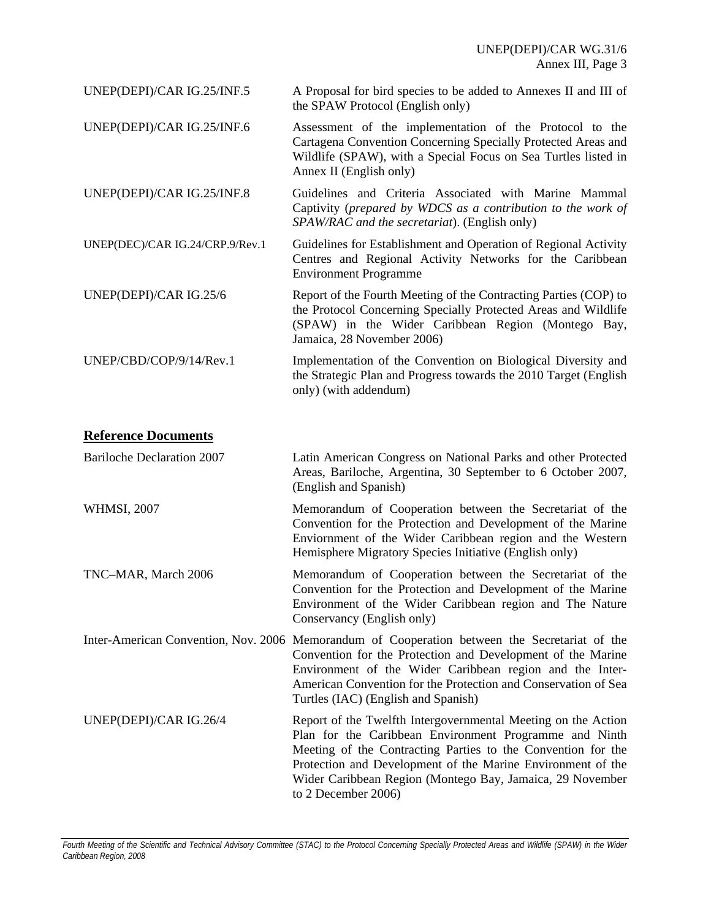| UNEP(DEPI)/CAR IG.25/INF.5      | A Proposal for bird species to be added to Annexes II and III of<br>the SPAW Protocol (English only)                                                                                                                   |
|---------------------------------|------------------------------------------------------------------------------------------------------------------------------------------------------------------------------------------------------------------------|
| UNEP(DEPI)/CAR IG.25/INF.6      | Assessment of the implementation of the Protocol to the<br>Cartagena Convention Concerning Specially Protected Areas and<br>Wildlife (SPAW), with a Special Focus on Sea Turtles listed in<br>Annex II (English only)  |
| UNEP(DEPI)/CAR IG.25/INF.8      | Guidelines and Criteria Associated with Marine Mammal<br>Captivity (prepared by WDCS as a contribution to the work of<br>SPAW/RAC and the secretariat). (English only)                                                 |
| UNEP(DEC)/CAR IG.24/CRP.9/Rev.1 | Guidelines for Establishment and Operation of Regional Activity<br>Centres and Regional Activity Networks for the Caribbean<br><b>Environment Programme</b>                                                            |
| UNEP(DEPI)/CAR IG.25/6          | Report of the Fourth Meeting of the Contracting Parties (COP) to<br>the Protocol Concerning Specially Protected Areas and Wildlife<br>(SPAW) in the Wider Caribbean Region (Montego Bay,<br>Jamaica, 28 November 2006) |
| UNEP/CBD/COP/9/14/Rev.1         | Implementation of the Convention on Biological Diversity and<br>the Strategic Plan and Progress towards the 2010 Target (English<br>only) (with addendum)                                                              |

## **Reference Documents**

| <b>Bariloche Declaration 2007</b> | Latin American Congress on National Parks and other Protected<br>Areas, Bariloche, Argentina, 30 September to 6 October 2007,<br>(English and Spanish)                                                                                                                                                                                     |
|-----------------------------------|--------------------------------------------------------------------------------------------------------------------------------------------------------------------------------------------------------------------------------------------------------------------------------------------------------------------------------------------|
| <b>WHMSI, 2007</b>                | Memorandum of Cooperation between the Secretariat of the<br>Convention for the Protection and Development of the Marine<br>Enviornment of the Wider Caribbean region and the Western<br>Hemisphere Migratory Species Initiative (English only)                                                                                             |
| TNC-MAR, March 2006               | Memorandum of Cooperation between the Secretariat of the<br>Convention for the Protection and Development of the Marine<br>Environment of the Wider Caribbean region and The Nature<br>Conservancy (English only)                                                                                                                          |
|                                   | Inter-American Convention, Nov. 2006 Memorandum of Cooperation between the Secretariat of the<br>Convention for the Protection and Development of the Marine<br>Environment of the Wider Caribbean region and the Inter-<br>American Convention for the Protection and Conservation of Sea<br>Turtles (IAC) (English and Spanish)          |
| UNEP(DEPI)/CAR IG.26/4            | Report of the Twelfth Intergovernmental Meeting on the Action<br>Plan for the Caribbean Environment Programme and Ninth<br>Meeting of the Contracting Parties to the Convention for the<br>Protection and Development of the Marine Environment of the<br>Wider Caribbean Region (Montego Bay, Jamaica, 29 November<br>to 2 December 2006) |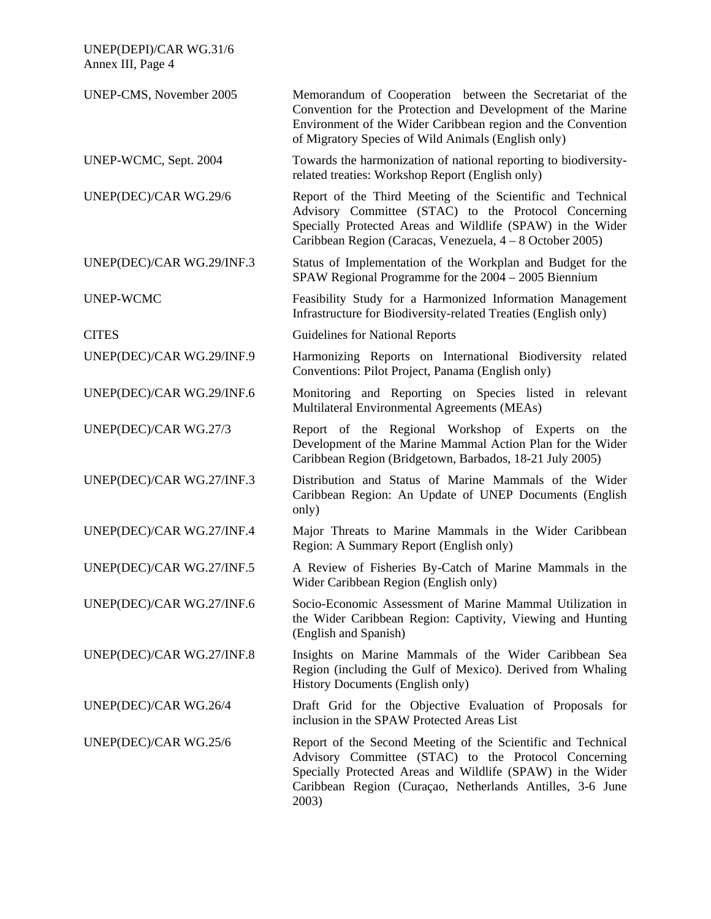| UNEP(DEPI)/CAR WG.31/6<br>Annex III, Page 4 |                                                                                                                                                                                                                                                          |
|---------------------------------------------|----------------------------------------------------------------------------------------------------------------------------------------------------------------------------------------------------------------------------------------------------------|
| UNEP-CMS, November 2005                     | Memorandum of Cooperation between the Secretariat of the<br>Convention for the Protection and Development of the Marine<br>Environment of the Wider Caribbean region and the Convention<br>of Migratory Species of Wild Animals (English only)           |
| UNEP-WCMC, Sept. 2004                       | Towards the harmonization of national reporting to biodiversity-<br>related treaties: Workshop Report (English only)                                                                                                                                     |
| UNEP(DEC)/CAR WG.29/6                       | Report of the Third Meeting of the Scientific and Technical<br>Advisory Committee (STAC) to the Protocol Concerning<br>Specially Protected Areas and Wildlife (SPAW) in the Wider<br>Caribbean Region (Caracas, Venezuela, 4 – 8 October 2005)           |
| UNEP(DEC)/CAR WG.29/INF.3                   | Status of Implementation of the Workplan and Budget for the<br>SPAW Regional Programme for the 2004 - 2005 Biennium                                                                                                                                      |
| <b>UNEP-WCMC</b>                            | Feasibility Study for a Harmonized Information Management<br>Infrastructure for Biodiversity-related Treaties (English only)                                                                                                                             |
| <b>CITES</b>                                | Guidelines for National Reports                                                                                                                                                                                                                          |
| UNEP(DEC)/CAR WG.29/INF.9                   | Harmonizing Reports on International Biodiversity related<br>Conventions: Pilot Project, Panama (English only)                                                                                                                                           |
| UNEP(DEC)/CAR WG.29/INF.6                   | Monitoring and Reporting on Species listed in relevant<br>Multilateral Environmental Agreements (MEAs)                                                                                                                                                   |
| UNEP(DEC)/CAR WG.27/3                       | Report of the Regional Workshop of Experts on the<br>Development of the Marine Mammal Action Plan for the Wider<br>Caribbean Region (Bridgetown, Barbados, 18-21 July 2005)                                                                              |
| UNEP(DEC)/CAR WG.27/INF.3                   | Distribution and Status of Marine Mammals of the Wider<br>Caribbean Region: An Update of UNEP Documents (English<br>only)                                                                                                                                |
| UNEP(DEC)/CAR WG.27/INF.4                   | Major Threats to Marine Mammals in the Wider Caribbean<br>Region: A Summary Report (English only)                                                                                                                                                        |
| UNEP(DEC)/CAR WG.27/INF.5                   | A Review of Fisheries By-Catch of Marine Mammals in the<br>Wider Caribbean Region (English only)                                                                                                                                                         |
| UNEP(DEC)/CAR WG.27/INF.6                   | Socio-Economic Assessment of Marine Mammal Utilization in<br>the Wider Caribbean Region: Captivity, Viewing and Hunting<br>(English and Spanish)                                                                                                         |
| UNEP(DEC)/CAR WG.27/INF.8                   | Insights on Marine Mammals of the Wider Caribbean Sea<br>Region (including the Gulf of Mexico). Derived from Whaling<br>History Documents (English only)                                                                                                 |
| UNEP(DEC)/CAR WG.26/4                       | Draft Grid for the Objective Evaluation of Proposals for<br>inclusion in the SPAW Protected Areas List                                                                                                                                                   |
| UNEP(DEC)/CAR WG.25/6                       | Report of the Second Meeting of the Scientific and Technical<br>Advisory Committee (STAC) to the Protocol Concerning<br>Specially Protected Areas and Wildlife (SPAW) in the Wider<br>Caribbean Region (Curaçao, Netherlands Antilles, 3-6 June<br>2003) |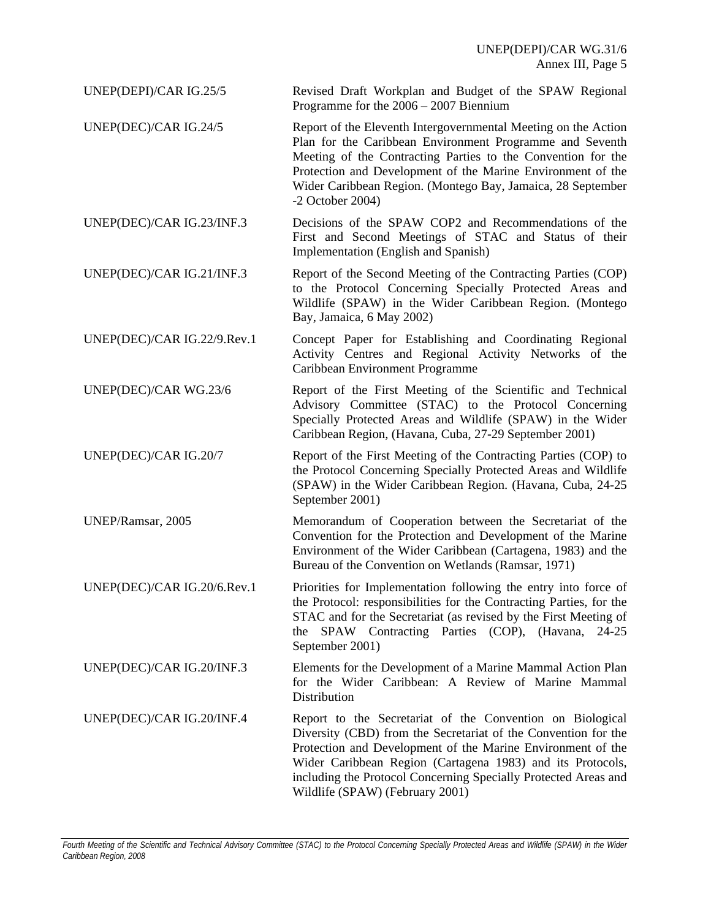UNEP(DEPI)/CAR IG.25/5 Revised Draft Workplan and Budget of the SPAW Regional Programme for the 2006 – 2007 Biennium

- UNEP(DEC)/CAR IG.24/5 Report of the Eleventh Intergovernmental Meeting on the Action Plan for the Caribbean Environment Programme and Seventh Meeting of the Contracting Parties to the Convention for the Protection and Development of the Marine Environment of the Wider Caribbean Region. (Montego Bay, Jamaica, 28 September -2 October 2004)
- UNEP(DEC)/CAR IG.23/INF.3 Decisions of the SPAW COP2 and Recommendations of the First and Second Meetings of STAC and Status of their Implementation (English and Spanish)
- UNEP(DEC)/CAR IG.21/INF.3 Report of the Second Meeting of the Contracting Parties (COP) to the Protocol Concerning Specially Protected Areas and Wildlife (SPAW) in the Wider Caribbean Region. (Montego Bay, Jamaica, 6 May 2002)
- UNEP(DEC)/CAR IG.22/9.Rev.1 Concept Paper for Establishing and Coordinating Regional Activity Centres and Regional Activity Networks of the Caribbean Environment Programme
- UNEP(DEC)/CAR WG.23/6 Report of the First Meeting of the Scientific and Technical Advisory Committee (STAC) to the Protocol Concerning Specially Protected Areas and Wildlife (SPAW) in the Wider Caribbean Region, (Havana, Cuba, 27-29 September 2001)
- UNEP(DEC)/CAR IG.20/7 Report of the First Meeting of the Contracting Parties (COP) to the Protocol Concerning Specially Protected Areas and Wildlife (SPAW) in the Wider Caribbean Region. (Havana, Cuba, 24-25 September 2001)

UNEP/Ramsar, 2005 Memorandum of Cooperation between the Secretariat of the Convention for the Protection and Development of the Marine Environment of the Wider Caribbean (Cartagena, 1983) and the Bureau of the Convention on Wetlands (Ramsar, 1971)

- UNEP(DEC)/CAR IG.20/6.Rev.1 Priorities for Implementation following the entry into force of the Protocol: responsibilities for the Contracting Parties, for the STAC and for the Secretariat (as revised by the First Meeting of the SPAW Contracting Parties (COP), (Havana, 24-25 September 2001)
- UNEP(DEC)/CAR IG.20/INF.3 Elements for the Development of a Marine Mammal Action Plan for the Wider Caribbean: A Review of Marine Mammal Distribution
- UNEP(DEC)/CAR IG.20/INF.4 Report to the Secretariat of the Convention on Biological Diversity (CBD) from the Secretariat of the Convention for the Protection and Development of the Marine Environment of the Wider Caribbean Region (Cartagena 1983) and its Protocols, including the Protocol Concerning Specially Protected Areas and Wildlife (SPAW) (February 2001)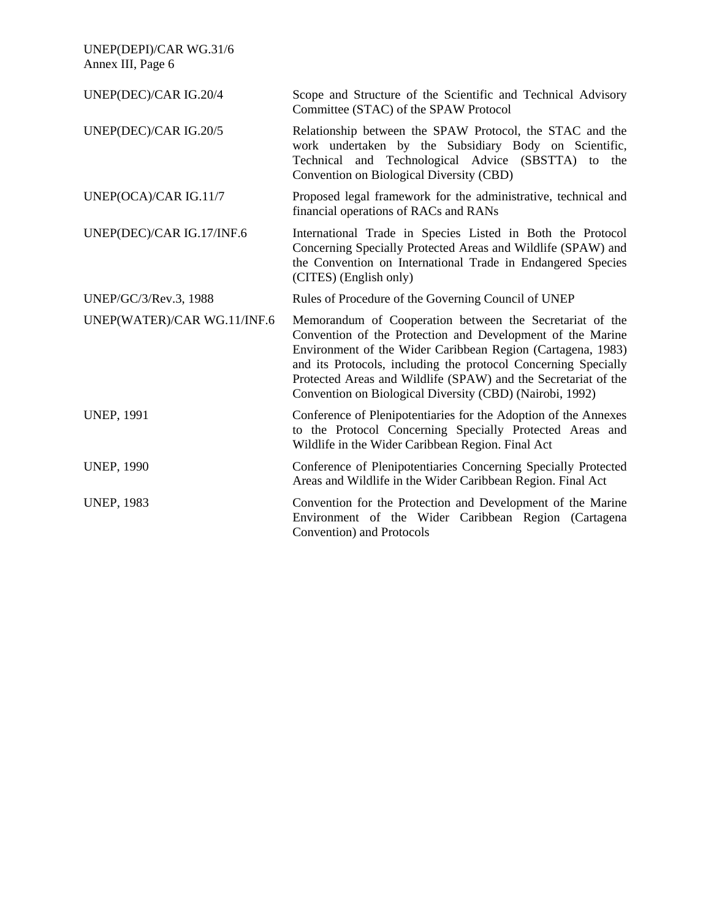| UNEP(DEPI)/CAR WG.31/6<br>Annex III, Page 6 |                                                                                                                                                                                                                                                                                                                                                                                       |
|---------------------------------------------|---------------------------------------------------------------------------------------------------------------------------------------------------------------------------------------------------------------------------------------------------------------------------------------------------------------------------------------------------------------------------------------|
| UNEP(DEC)/CAR IG.20/4                       | Scope and Structure of the Scientific and Technical Advisory<br>Committee (STAC) of the SPAW Protocol                                                                                                                                                                                                                                                                                 |
| UNEP(DEC)/CAR IG.20/5                       | Relationship between the SPAW Protocol, the STAC and the<br>work undertaken by the Subsidiary Body on Scientific,<br>Technical and Technological Advice (SBSTTA) to the<br>Convention on Biological Diversity (CBD)                                                                                                                                                                   |
| UNEP(OCA)/CAR IG.11/7                       | Proposed legal framework for the administrative, technical and<br>financial operations of RACs and RANs                                                                                                                                                                                                                                                                               |
| UNEP(DEC)/CAR IG.17/INF.6                   | International Trade in Species Listed in Both the Protocol<br>Concerning Specially Protected Areas and Wildlife (SPAW) and<br>the Convention on International Trade in Endangered Species<br>(CITES) (English only)                                                                                                                                                                   |
| UNEP/GC/3/Rev.3, 1988                       | Rules of Procedure of the Governing Council of UNEP                                                                                                                                                                                                                                                                                                                                   |
| UNEP(WATER)/CAR WG.11/INF.6                 | Memorandum of Cooperation between the Secretariat of the<br>Convention of the Protection and Development of the Marine<br>Environment of the Wider Caribbean Region (Cartagena, 1983)<br>and its Protocols, including the protocol Concerning Specially<br>Protected Areas and Wildlife (SPAW) and the Secretariat of the<br>Convention on Biological Diversity (CBD) (Nairobi, 1992) |
| <b>UNEP, 1991</b>                           | Conference of Plenipotentiaries for the Adoption of the Annexes<br>to the Protocol Concerning Specially Protected Areas and<br>Wildlife in the Wider Caribbean Region. Final Act                                                                                                                                                                                                      |
| <b>UNEP, 1990</b>                           | Conference of Plenipotentiaries Concerning Specially Protected<br>Areas and Wildlife in the Wider Caribbean Region. Final Act                                                                                                                                                                                                                                                         |
| <b>UNEP, 1983</b>                           | Convention for the Protection and Development of the Marine<br>Environment of the Wider Caribbean Region (Cartagena<br>Convention) and Protocols                                                                                                                                                                                                                                      |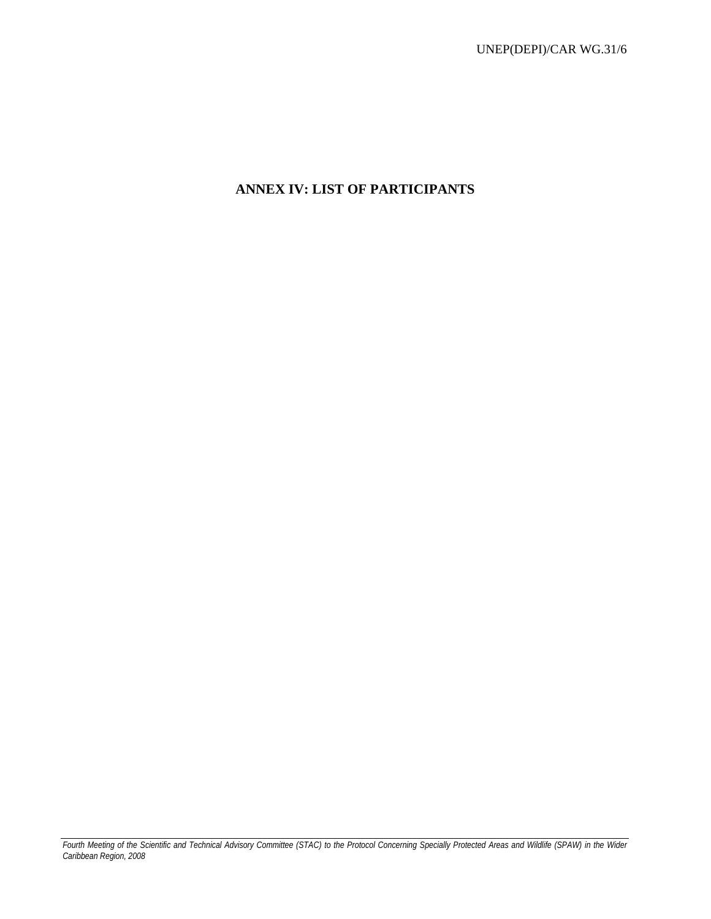# **ANNEX IV: LIST OF PARTICIPANTS**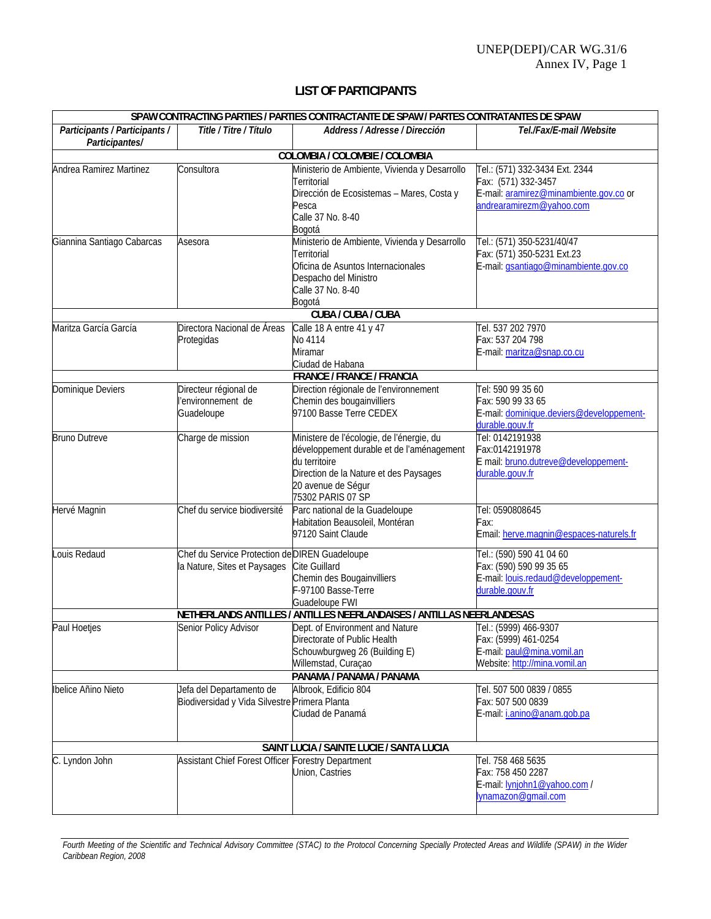### **LIST OF PARTICIPANTS**

| SPAW CONTRACTING PARTIES / PARTIES CONTRACTANTE DE SPAW / PARTES CONTRATANTES DE SPAW |                                                                                |                                                                                                                                                                                              |                                                                                                                             |
|---------------------------------------------------------------------------------------|--------------------------------------------------------------------------------|----------------------------------------------------------------------------------------------------------------------------------------------------------------------------------------------|-----------------------------------------------------------------------------------------------------------------------------|
| Participants / Participants /<br>Participantes/                                       | Title / Titre / Título                                                         | Address / Adresse / Dirección                                                                                                                                                                | Tel./Fax/E-mail /Website                                                                                                    |
|                                                                                       |                                                                                | COLOMBIA / COLOMBIE / COLOMBIA                                                                                                                                                               |                                                                                                                             |
| Andrea Ramirez Martinez                                                               | Consultora                                                                     | Ministerio de Ambiente, Vivienda y Desarrollo<br>Territorial<br>Dirección de Ecosistemas - Mares, Costa y<br>Pesca<br>Calle 37 No. 8-40<br>Bogotá                                            | Tel.: (571) 332-3434 Ext. 2344<br>Fax: (571) 332-3457<br>E-mail: aramirez@minambiente.gov.co or<br>andrearamirezm@yahoo.com |
| Giannina Santiago Cabarcas                                                            | Asesora                                                                        | Ministerio de Ambiente, Vivienda y Desarrollo<br>Territorial<br>Oficina de Asuntos Internacionales<br>Despacho del Ministro<br>Calle 37 No. 8-40<br>Bogotá                                   | Tel.: (571) 350-5231/40/47<br>Fax: (571) 350-5231 Ext.23<br>E-mail: gsantiago@minambiente.gov.co                            |
|                                                                                       |                                                                                | <b>CUBA / CUBA / CUBA</b>                                                                                                                                                                    |                                                                                                                             |
| Maritza García García                                                                 | Directora Nacional de Áreas<br>Protegidas                                      | Calle 18 A entre 41 y 47<br>No 4114<br><b>Miramar</b><br>Ciudad de Habana                                                                                                                    | Tel. 537 202 7970<br>Fax: 537 204 798<br>E-mail: maritza@snap.co.cu                                                         |
|                                                                                       |                                                                                | <b>FRANCE / FRANCE / FRANCIA</b>                                                                                                                                                             |                                                                                                                             |
| Dominique Deviers                                                                     | Directeur régional de<br>'environnement de<br>Guadeloupe                       | Direction régionale de l'environnement<br>Chemin des bougainvilliers<br>97100 Basse Terre CEDEX                                                                                              | Tel: 590 99 35 60<br>Fax: 590 99 33 65<br>E-mail: dominique.deviers@developpement-<br>durable.gouv.fr                       |
| <b>Bruno Dutreve</b>                                                                  | Charge de mission                                                              | Ministere de l'écologie, de l'énergie, du<br>développement durable et de l'aménagement<br>du territoire<br>Direction de la Nature et des Paysages<br>20 avenue de Ségur<br>75302 PARIS 07 SP | Tel: 0142191938<br>Fax:0142191978<br>E mail: bruno.dutreve@developpement-<br>durable.gouv.fr                                |
| Hervé Magnin                                                                          | Chef du service biodiversité                                                   | Parc national de la Guadeloupe<br>Habitation Beausoleil, Montéran<br>97120 Saint Claude                                                                                                      | Tel: 0590808645<br>Fax:<br>Email: herve.magnin@espaces-naturels.fr                                                          |
| Louis Redaud                                                                          | Chef du Service Protection de DIREN Guadeloupe<br>la Nature, Sites et Paysages | Cite Guillard<br>Chemin des Bougainvilliers<br>F-97100 Basse-Terre<br>Guadeloupe FWI<br>NETHERLANDS ANTILLES / ANTILLES NEERLANDAISES / ANTILLAS NEERLANDESAS                                | Tel.: (590) 590 41 04 60<br>Fax: (590) 590 99 35 65<br>E-mail: louis.redaud@developpement-<br>durable.gouv.fr               |
| Paul Hoetjes                                                                          | Senior Policy Advisor                                                          | Dept. of Environment and Nature                                                                                                                                                              | Tel.: (5999) 466-9307                                                                                                       |
|                                                                                       |                                                                                | Directorate of Public Health<br>Schouwburgweg 26 (Building E)<br>Willemstad, Curaçao<br>PANAMA / PANAMA / PANAMA                                                                             | Fax: (5999) 461-0254<br>E-mail: paul@mina.vomil.an<br>Website: http://mina.vomil.an                                         |
| Ibelice Añino Nieto                                                                   | Jefa del Departamento de                                                       | Albrook, Edificio 804                                                                                                                                                                        | Tel. 507 500 0839 / 0855                                                                                                    |
|                                                                                       | Biodiversidad y Vida Silvestre Primera Planta                                  | Ciudad de Panamá                                                                                                                                                                             | Fax: 507 500 0839<br>E-mail: i.anino@anam.gob.pa                                                                            |
|                                                                                       |                                                                                | SAINT LUCIA / SAINTE LUCIE / SANTA LUCIA                                                                                                                                                     |                                                                                                                             |
| C. Lyndon John                                                                        | Assistant Chief Forest Officer Forestry Department                             | Union, Castries                                                                                                                                                                              | Tel. 758 468 5635<br>Fax: 758 450 2287<br>E-mail: lynjohn1@yahoo.com /<br>lynamazon@gmail.com                               |

*Fourth Meeting of the Scientific and Technical Advisory Committee (STAC) to the Protocol Concerning Specially Protected Areas and Wildlife (SPAW) in the Wider Caribbean Region, 2008*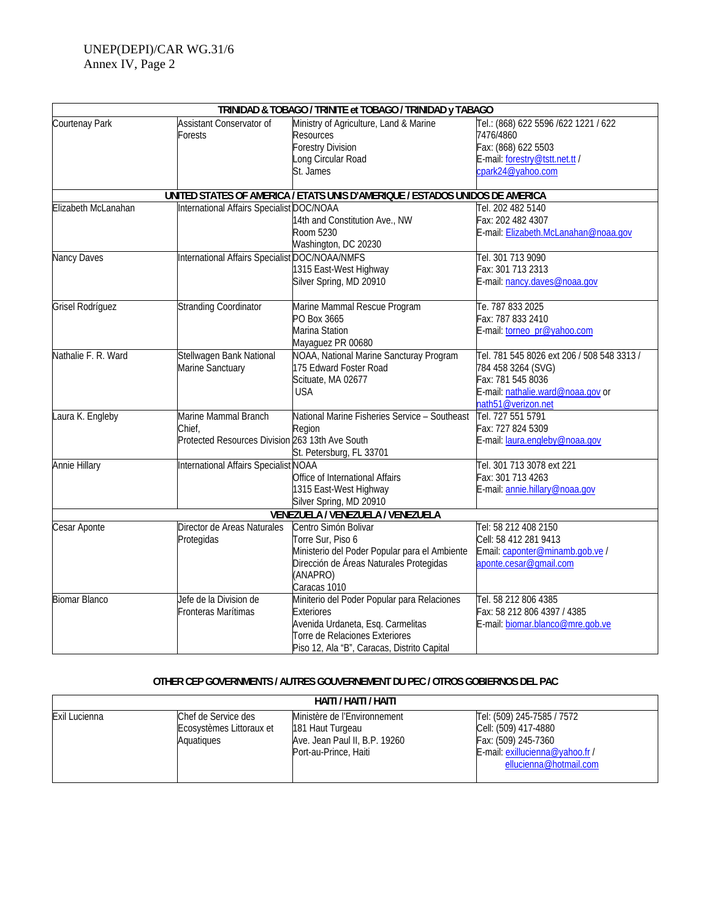|                      |                                                                                   | TRINIDAD & TOBAGO / TRINITE et TOBAGO / TRINIDAD y TABAGO                                                                                                                              |                                                                                                                                                  |
|----------------------|-----------------------------------------------------------------------------------|----------------------------------------------------------------------------------------------------------------------------------------------------------------------------------------|--------------------------------------------------------------------------------------------------------------------------------------------------|
| Courtenay Park       | Assistant Conservator of<br>Forests                                               | Ministry of Agriculture, Land & Marine<br>Resources<br><b>Forestry Division</b><br>Long Circular Road<br>St. James                                                                     | Tel.: (868) 622 5596 /622 1221 / 622<br>7476/4860<br>Fax: (868) 622 5503<br>E-mail: forestry@tstt.net.tt /<br>cpark24@yahoo.com                  |
|                      |                                                                                   | UNITED STATES OF AMERICA / ETATS UNIS D'AMERIQUE / ESTADOS UNIDOS DE AMERICA                                                                                                           |                                                                                                                                                  |
| Elizabeth McLanahan  | International Affairs Specialist DOC/NOAA                                         | 14th and Constitution Ave., NW<br>Room 5230<br>Washington, DC 20230                                                                                                                    | Tel. 202 482 5140<br>Fax: 202 482 4307<br>E-mail: Elizabeth.McLanahan@noaa.gov                                                                   |
| Nancy Daves          | International Affairs Specialist DOC/NOAA/NMFS                                    | 1315 East-West Highway<br>Silver Spring, MD 20910                                                                                                                                      | Tel. 301 713 9090<br>Fax: 301 713 2313<br>E-mail: nancy.daves@noaa.gov                                                                           |
| Grisel Rodríguez     | <b>Stranding Coordinator</b>                                                      | Marine Mammal Rescue Program<br>PO Box 3665<br>Marina Station<br>Mayaguez PR 00680                                                                                                     | Te. 787 833 2025<br>Fax: 787 833 2410<br>E-mail: torneo_pr@yahoo.com                                                                             |
| Nathalie F. R. Ward  | Stellwagen Bank National<br>Marine Sanctuary                                      | NOAA, National Marine Sancturay Program<br>175 Edward Foster Road<br>Scituate, MA 02677<br><b>USA</b>                                                                                  | Tel. 781 545 8026 ext 206 / 508 548 3313 /<br>784 458 3264 (SVG)<br>Fax: 781 545 8036<br>E-mail: nathalie.ward@noaa.gov or<br>nath51@verizon.net |
| Laura K. Engleby     | Marine Mammal Branch<br>Chief,<br>Protected Resources Division 263 13th Ave South | National Marine Fisheries Service - Southeast<br>Region<br>St. Petersburg, FL 33701                                                                                                    | Tel. 727 551 5791<br>Fax: 727 824 5309<br>E-mail: laura.engleby@noaa.gov                                                                         |
| <b>Annie Hillary</b> | International Affairs Specialist NOAA                                             | Office of International Affairs<br>1315 East-West Highway<br>Silver Spring, MD 20910                                                                                                   | Tel. 301 713 3078 ext 221<br>Fax: 301 713 4263<br>E-mail: annie.hillary@noaa.gov                                                                 |
|                      |                                                                                   | VENEZUELA / VENEZUELA / VENEZUELA                                                                                                                                                      |                                                                                                                                                  |
| Cesar Aponte         | Director de Areas Naturales<br>Protegidas                                         | Centro Simón Bolivar<br>Torre Sur, Piso 6<br>Ministerio del Poder Popular para el Ambiente<br>Dirección de Áreas Naturales Protegidas<br>(ANAPRO)<br>Caracas 1010                      | Tel: 58 212 408 2150<br>Cell: 58 412 281 9413<br>Email: caponter@minamb.gob.ve /<br>aponte.cesar@gmail.com                                       |
| <b>Biomar Blanco</b> | Jefe de la Division de<br>Fronteras Marítimas                                     | Miniterio del Poder Popular para Relaciones<br><b>Exteriores</b><br>Avenida Urdaneta, Esq. Carmelitas<br>Torre de Relaciones Exteriores<br>Piso 12, Ala "B", Caracas, Distrito Capital | Tel. 58 212 806 4385<br>Fax: 58 212 806 4397 / 4385<br>E-mail: biomar.blanco@mre.gob.ve                                                          |

### **OTHER CEP GOVERNMENTS / AUTRES GOUVERNEMENT DU PEC / OTROS GOBIERNOS DEL PAC**

| HAITI / HAITI / HAITI |                                                               |                                                                                                            |                                                                                                                                        |
|-----------------------|---------------------------------------------------------------|------------------------------------------------------------------------------------------------------------|----------------------------------------------------------------------------------------------------------------------------------------|
| Exil Lucienna         | Chef de Service des<br>Ecosystèmes Littoraux et<br>Aquatiques | Ministère de l'Environnement<br>181 Haut Turgeau<br>Ave. Jean Paul II, B.P. 19260<br>Port-au-Prince, Haiti | Tel: (509) 245-7585 / 7572<br>Cell: (509) 417-4880<br>Fax: (509) 245-7360<br>E-mail: exillucienna@yahoo.fr /<br>ellucienna@hotmail.com |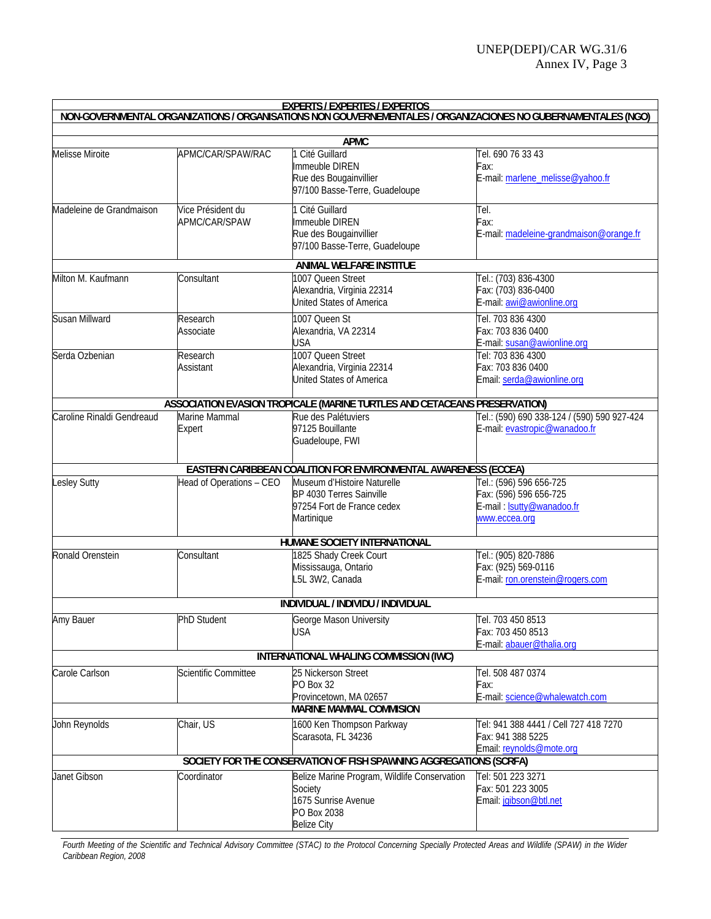|                            |                                    | <b>EXPERTS / EXPERTES / EXPERTOS</b>                                                                                |                                                                                                        |
|----------------------------|------------------------------------|---------------------------------------------------------------------------------------------------------------------|--------------------------------------------------------------------------------------------------------|
|                            |                                    | NON-GOVERNMENTAL ORGANIZATIONS / ORGANISATIONS NON GOUVERNEMENTALES / ORGANIZACIONES NO GUBERNAMENTALES (NGO)       |                                                                                                        |
|                            |                                    | <b>APMC</b>                                                                                                         |                                                                                                        |
| <b>Melisse Miroite</b>     | APMC/CAR/SPAW/RAC                  | Cité Guillard<br>Immeuble DIREN<br>Rue des Bougainvillier<br>97/100 Basse-Terre, Guadeloupe                         | Tel. 690 76 33 43<br>Fax:<br>E-mail: marlene_melisse@yahoo.fr                                          |
| Madeleine de Grandmaison   | Vice Président du<br>APMC/CAR/SPAW | 1 Cité Guillard<br>Immeuble DIREN<br>Rue des Bougainvillier<br>97/100 Basse-Terre, Guadeloupe                       | Tel.<br>Fax:<br>E-mail: madeleine-grandmaison@orange.fr                                                |
|                            |                                    | ANIMAL WELFARE INSTITUE                                                                                             |                                                                                                        |
| Milton M. Kaufmann         | Consultant                         | 1007 Queen Street<br>Alexandria, Virginia 22314<br><b>United States of America</b>                                  | Tel.: (703) 836-4300<br>Fax: (703) 836-0400<br>E-mail: awi@awionline.org                               |
| Susan Millward             | Research<br>Associate              | 1007 Queen St<br>Alexandria, VA 22314<br><b>USA</b>                                                                 | Tel. 703 836 4300<br>Fax: 703 836 0400<br>E-mail: susan@awionline.org                                  |
| Serda Ozbenian             | Research<br>Assistant              | 1007 Queen Street<br>Alexandria, Virginia 22314<br><b>United States of America</b>                                  | Tel: 703 836 4300<br>Fax: 703 836 0400<br>Email: serda@awionline.org                                   |
|                            |                                    | ASSOCIATION EVASION TROPICALE (MARINE TURTLES AND CETACEANS PRESERVATION)                                           |                                                                                                        |
| Caroline Rinaldi Gendreaud | Marine Mammal<br>Expert            | Rue des Palétuviers<br>97125 Bouillante<br>Guadeloupe, FWI                                                          | Tel.: (590) 690 338-124 / (590) 590 927-424<br>E-mail: evastropic@wanadoo.fr                           |
|                            |                                    | EASTERN CARIBBEAN COALITION FOR ENVIRONMENTAL AWARENESS (ECCEA)                                                     |                                                                                                        |
| <b>Lesley Sutty</b>        | Head of Operations - CEO           | Museum d'Histoire Naturelle<br>BP 4030 Terres Sainville<br>97254 Fort de France cedex<br>Martinique                 | Tel.: (596) 596 656-725<br>Fax: (596) 596 656-725<br>E-mail: <b>Isutty@wanadoo.fr</b><br>www.eccea.org |
|                            |                                    | HUMANE SOCIETY INTERNATIONAL                                                                                        |                                                                                                        |
| Ronald Orenstein           | Consultant                         | 1825 Shady Creek Court<br>Mississauga, Ontario<br>L5L 3W2, Canada                                                   | Tel.: (905) 820-7886<br>Fax: (925) 569-0116<br>E-mail: ron.orenstein@rogers.com                        |
|                            |                                    | INDIVIDUAL / INDIVIDU / INDIVIDUAL                                                                                  |                                                                                                        |
| Amy Bauer                  | <b>PhD Student</b>                 | George Mason University<br><b>USA</b>                                                                               | Tel. 703 450 8513<br>Fax: 703 450 8513<br>E-mail: abauer@thalia.org                                    |
|                            |                                    | INTERNATIONAL WHALING COMMISSION (IWC)                                                                              |                                                                                                        |
| Carole Carlson             | Scientific Committee               | 25 Nickerson Street<br>PO Box 32<br>Provincetown, MA 02657                                                          | Tel. 508 487 0374<br>Fax:<br>E-mail: science@whalewatch.com                                            |
|                            |                                    | <b>MARINE MAMMAL COMMISION</b>                                                                                      |                                                                                                        |
| John Reynolds              | Chair, US                          | 1600 Ken Thompson Parkway<br>Scarasota, FL 34236                                                                    | Tel: 941 388 4441 / Cell 727 418 7270<br>Fax: 941 388 5225<br>Email: reynolds@mote.org                 |
|                            |                                    | SOCIETY FOR THE CONSERVATION OF FISH SPAWNING AGGREGATIONS (SCRFA)                                                  |                                                                                                        |
| Janet Gibson               | Coordinator                        | Belize Marine Program, Wildlife Conservation<br>Society<br>1675 Sunrise Avenue<br>PO Box 2038<br><b>Belize City</b> | Tel: 501 223 3271<br>Fax: 501 223 3005<br>Email: jgibson@btl.net                                       |

*Fourth Meeting of the Scientific and Technical Advisory Committee (STAC) to the Protocol Concerning Specially Protected Areas and Wildlife (SPAW) in the Wider Caribbean Region, 2008*